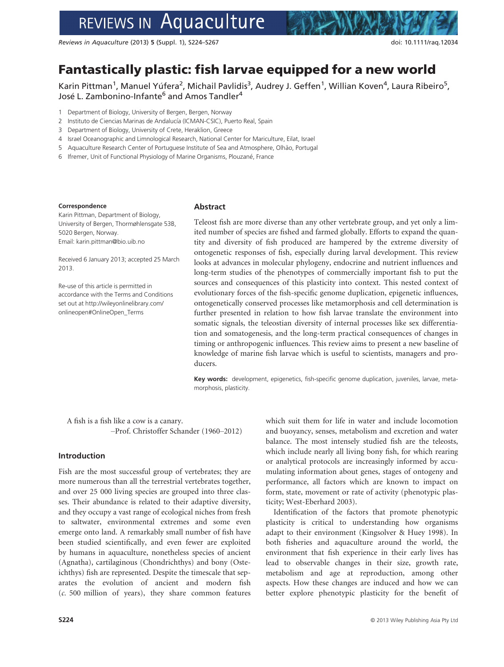# REVIEWS IN Aquaculture

Reviews in Aquaculture (2013) 5 (Suppl. 1), S224–S267 doi: 10.1111/raq.12034

# Fantastically plastic: fish larvae equipped for a new world

Karin Pittman<sup>1</sup>, Manuel Yúfera<sup>2</sup>, Michail Pavlidis<sup>3</sup>, Audrey J. Geffen<sup>1</sup>, Willian Koven<sup>4</sup>, Laura Ribeiro<sup>5</sup>, José L. Zambonino-Infante<sup>6</sup> and Amos Tandler<sup>4</sup>

- 1 Department of Biology, University of Bergen, Bergen, Norway
- 2 Instituto de Ciencias Marinas de Andalucía (ICMAN-CSIC), Puerto Real, Spain
- 3 Department of Biology, University of Crete, Heraklion, Greece
- 4 Israel Oceanographic and Limnological Research, National Center for Mariculture, Eilat, Israel
- 5 Aquaculture Research Center of Portuguese Institute of Sea and Atmosphere, Olhão, Portugal
- 6 Ifremer, Unit of Functional Physiology of Marine Organisms, Plouzané, France

#### Correspondence

Karin Pittman, Department of Biology, University of Bergen, Thormøhlensgate 53B, 5020 Bergen, Norway. Email: karin.pittman@bio.uib.no

Received 6 January 2013; accepted 25 March 2013.

Re-use of this article is permitted in accordance with the Terms and Conditions set out at http://wileyonlinelibrary.com/ onlineopen#OnlineOpen\_Terms

# Abstract

Teleost fish are more diverse than any other vertebrate group, and yet only a limited number of species are fished and farmed globally. Efforts to expand the quantity and diversity of fish produced are hampered by the extreme diversity of ontogenetic responses of fish, especially during larval development. This review looks at advances in molecular phylogeny, endocrine and nutrient influences and long-term studies of the phenotypes of commercially important fish to put the sources and consequences of this plasticity into context. This nested context of evolutionary forces of the fish-specific genome duplication, epigenetic influences, ontogenetically conserved processes like metamorphosis and cell determination is further presented in relation to how fish larvae translate the environment into somatic signals, the teleostian diversity of internal processes like sex differentiation and somatogenesis, and the long-term practical consequences of changes in timing or anthropogenic influences. This review aims to present a new baseline of knowledge of marine fish larvae which is useful to scientists, managers and producers.

Key words: development, epigenetics, fish-specific genome duplication, juveniles, larvae, metamorphosis, plasticity.

A fish is a fish like a cow is a canary. –Prof. Christoffer Schander (1960–2012)

# Introduction

Fish are the most successful group of vertebrates; they are more numerous than all the terrestrial vertebrates together, and over 25 000 living species are grouped into three classes. Their abundance is related to their adaptive diversity, and they occupy a vast range of ecological niches from fresh to saltwater, environmental extremes and some even emerge onto land. A remarkably small number of fish have been studied scientifically, and even fewer are exploited by humans in aquaculture, nonetheless species of ancient (Agnatha), cartilaginous (Chondrichthys) and bony (Osteichthys) fish are represented. Despite the timescale that separates the evolution of ancient and modern fish (c. 500 million of years), they share common features

which suit them for life in water and include locomotion and buoyancy, senses, metabolism and excretion and water balance. The most intensely studied fish are the teleosts, which include nearly all living bony fish, for which rearing or analytical protocols are increasingly informed by accumulating information about genes, stages of ontogeny and performance, all factors which are known to impact on form, state, movement or rate of activity (phenotypic plasticity; West-Eberhard 2003).

Identification of the factors that promote phenotypic plasticity is critical to understanding how organisms adapt to their environment (Kingsolver & Huey 1998). In both fisheries and aquaculture around the world, the environment that fish experience in their early lives has lead to observable changes in their size, growth rate, metabolism and age at reproduction, among other aspects. How these changes are induced and how we can better explore phenotypic plasticity for the benefit of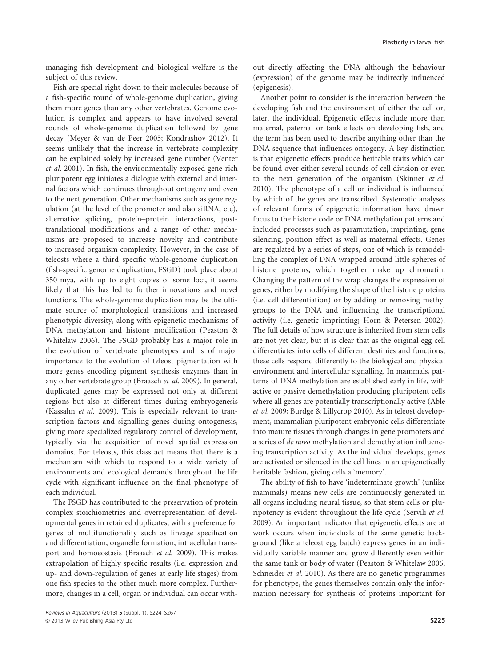managing fish development and biological welfare is the subject of this review.

Fish are special right down to their molecules because of a fish-specific round of whole-genome duplication, giving them more genes than any other vertebrates. Genome evolution is complex and appears to have involved several rounds of whole-genome duplication followed by gene decay (Meyer & van de Peer 2005; Kondrashov 2012). It seems unlikely that the increase in vertebrate complexity can be explained solely by increased gene number (Venter et al. 2001). In fish, the environmentally exposed gene-rich pluripotent egg initiates a dialogue with external and internal factors which continues throughout ontogeny and even to the next generation. Other mechanisms such as gene regulation (at the level of the promoter and also siRNA, etc), alternative splicing, protein–protein interactions, posttranslational modifications and a range of other mechanisms are proposed to increase novelty and contribute to increased organism complexity. However, in the case of teleosts where a third specific whole-genome duplication (fish-specific genome duplication, FSGD) took place about 350 mya, with up to eight copies of some loci, it seems likely that this has led to further innovations and novel functions. The whole-genome duplication may be the ultimate source of morphological transitions and increased phenotypic diversity, along with epigenetic mechanisms of DNA methylation and histone modification (Peaston & Whitelaw 2006). The FSGD probably has a major role in the evolution of vertebrate phenotypes and is of major importance to the evolution of teleost pigmentation with more genes encoding pigment synthesis enzymes than in any other vertebrate group (Braasch et al. 2009). In general, duplicated genes may be expressed not only at different regions but also at different times during embryogenesis (Kassahn et al. 2009). This is especially relevant to transcription factors and signalling genes during ontogenesis, giving more specialized regulatory control of development, typically via the acquisition of novel spatial expression domains. For teleosts, this class act means that there is a mechanism with which to respond to a wide variety of environments and ecological demands throughout the life cycle with significant influence on the final phenotype of each individual.

The FSGD has contributed to the preservation of protein complex stoichiometries and overrepresentation of developmental genes in retained duplicates, with a preference for genes of multifunctionality such as lineage specification and differentiation, organelle formation, intracellular transport and homoeostasis (Braasch et al. 2009). This makes extrapolation of highly specific results (i.e. expression and up- and down-regulation of genes at early life stages) from one fish species to the other much more complex. Furthermore, changes in a cell, organ or individual can occur without directly affecting the DNA although the behaviour (expression) of the genome may be indirectly influenced (epigenesis).

Another point to consider is the interaction between the developing fish and the environment of either the cell or, later, the individual. Epigenetic effects include more than maternal, paternal or tank effects on developing fish, and the term has been used to describe anything other than the DNA sequence that influences ontogeny. A key distinction is that epigenetic effects produce heritable traits which can be found over either several rounds of cell division or even to the next generation of the organism (Skinner et al. 2010). The phenotype of a cell or individual is influenced by which of the genes are transcribed. Systematic analyses of relevant forms of epigenetic information have drawn focus to the histone code or DNA methylation patterns and included processes such as paramutation, imprinting, gene silencing, position effect as well as maternal effects. Genes are regulated by a series of steps, one of which is remodelling the complex of DNA wrapped around little spheres of histone proteins, which together make up chromatin. Changing the pattern of the wrap changes the expression of genes, either by modifying the shape of the histone proteins (i.e. cell differentiation) or by adding or removing methyl groups to the DNA and influencing the transcriptional activity (i.e. genetic imprinting; Horn & Petersen 2002). The full details of how structure is inherited from stem cells are not yet clear, but it is clear that as the original egg cell differentiates into cells of different destinies and functions, these cells respond differently to the biological and physical environment and intercellular signalling. In mammals, patterns of DNA methylation are established early in life, with active or passive demethylation producing pluripotent cells where all genes are potentially transcriptionally active (Able et al. 2009; Burdge & Lillycrop 2010). As in teleost development, mammalian pluripotent embryonic cells differentiate into mature tissues through changes in gene promoters and a series of de novo methylation and demethylation influencing transcription activity. As the individual develops, genes are activated or silenced in the cell lines in an epigenetically heritable fashion, giving cells a 'memory'.

The ability of fish to have 'indeterminate growth' (unlike mammals) means new cells are continuously generated in all organs including neural tissue, so that stem cells or pluripotency is evident throughout the life cycle (Servili et al. 2009). An important indicator that epigenetic effects are at work occurs when individuals of the same genetic background (like a teleost egg batch) express genes in an individually variable manner and grow differently even within the same tank or body of water (Peaston & Whitelaw 2006; Schneider *et al.* 2010). As there are no genetic programmes for phenotype, the genes themselves contain only the information necessary for synthesis of proteins important for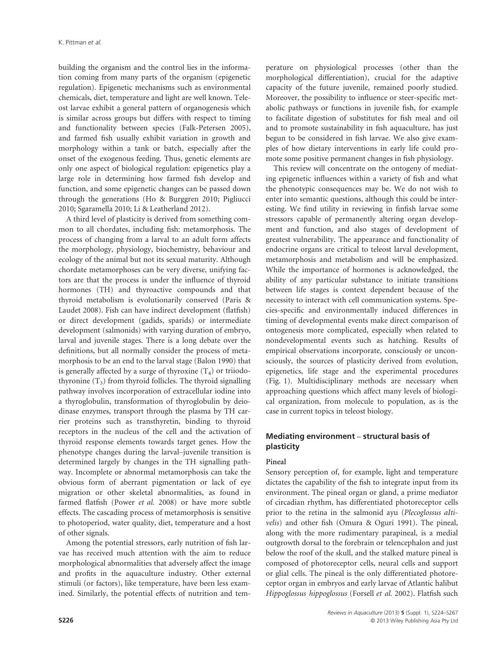building the organism and the control lies in the information coming from many parts of the organism (epigenetic regulation). Epigenetic mechanisms such as environmental chemicals, diet, temperature and light are well known. Teleost larvae exhibit a general pattern of organogenesis which is similar across groups but differs with respect to timing and functionality between species (Falk-Petersen 2005), and farmed fish usually exhibit variation in growth and morphology within a tank or batch, especially after the onset of the exogenous feeding. Thus, genetic elements are only one aspect of biological regulation: epigenetics play a large role in determining how farmed fish develop and function, and some epigenetic changes can be passed down through the generations (Ho & Burggren 2010; Pigliucci 2010; Sgaramella 2010; Li & Leatherland 2012).

A third level of plasticity is derived from something common to all chordates, including fish: metamorphosis. The process of changing from a larval to an adult form affects the morphology, physiology, biochemistry, behaviour and ecology of the animal but not its sexual maturity. Although chordate metamorphoses can be very diverse, unifying factors are that the process is under the influence of thyroid hormones (TH) and thyroactive compounds and that thyroid metabolism is evolutionarily conserved (Paris & Laudet 2008). Fish can have indirect development (flatfish) or direct development (gadids, sparids) or intermediate development (salmonids) with varying duration of embryo, larval and juvenile stages. There is a long debate over the definitions, but all normally consider the process of metamorphosis to be an end to the larval stage (Balon 1990) that is generally affected by a surge of thyroxine  $(T_4)$  or triiodothyronine  $(T_3)$  from thyroid follicles. The thyroid signalling pathway involves incorporation of extracellular iodine into a thyroglobulin, transformation of thyroglobulin by deiodinase enzymes, transport through the plasma by TH carrier proteins such as transthyretin, binding to thyroid receptors in the nucleus of the cell and the activation of thyroid response elements towards target genes. How the phenotype changes during the larval–juvenile transition is determined largely by changes in the TH signalling pathway. Incomplete or abnormal metamorphosis can take the obvious form of aberrant pigmentation or lack of eye migration or other skeletal abnormalities, as found in farmed flatfish (Power et al. 2008) or have more subtle effects. The cascading process of metamorphosis is sensitive to photoperiod, water quality, diet, temperature and a host of other signals.

Among the potential stressors, early nutrition of fish larvae has received much attention with the aim to reduce morphological abnormalities that adversely affect the image and profits in the aquaculture industry. Other external stimuli (or factors), like temperature, have been less examined. Similarly, the potential effects of nutrition and temperature on physiological processes (other than the morphological differentiation), crucial for the adaptive capacity of the future juvenile, remained poorly studied. Moreover, the possibility to influence or steer-specific metabolic pathways or functions in juvenile fish, for example to facilitate digestion of substitutes for fish meal and oil and to promote sustainability in fish aquaculture, has just begun to be considered in fish larvae. We also give examples of how dietary interventions in early life could promote some positive permanent changes in fish physiology.

This review will concentrate on the ontogeny of mediating epigenetic influences within a variety of fish and what the phenotypic consequences may be. We do not wish to enter into semantic questions, although this could be interesting. We find utility in reviewing in finfish larvae some stressors capable of permanently altering organ development and function, and also stages of development of greatest vulnerability. The appearance and functionality of endocrine organs are critical to teleost larval development, metamorphosis and metabolism and will be emphasized. While the importance of hormones is acknowledged, the ability of any particular substance to initiate transitions between life stages is context dependent because of the necessity to interact with cell communication systems. Species-specific and environmentally induced differences in timing of developmental events make direct comparison of ontogenesis more complicated, especially when related to nondevelopmental events such as hatching. Results of empirical observations incorporate, consciously or unconsciously, the sources of plasticity derived from evolution, epigenetics, life stage and the experimental procedures (Fig. 1). Multidisciplinary methods are necessary when approaching questions which affect many levels of biological organization, from molecule to population, as is the case in current topics in teleost biology.

# Mediating environment – structural basis of plasticity

## Pineal

Sensory perception of, for example, light and temperature dictates the capability of the fish to integrate input from its environment. The pineal organ or gland, a prime mediator of circadian rhythm, has differentiated photoreceptor cells prior to the retina in the salmonid ayu (Plecoglossus aItivelis) and other fish (Omura & Oguri 1991). The pineal, along with the more rudimentary parapineal, is a medial outgrowth dorsal to the forebrain or telencephalon and just below the roof of the skull, and the stalked mature pineal is composed of photoreceptor cells, neural cells and support or glial cells. The pineal is the only differentiated photoreceptor organ in embryos and early larvae of Atlantic halibut Hippoglossus hippoglossus (Forsell et al. 2002). Flatfish such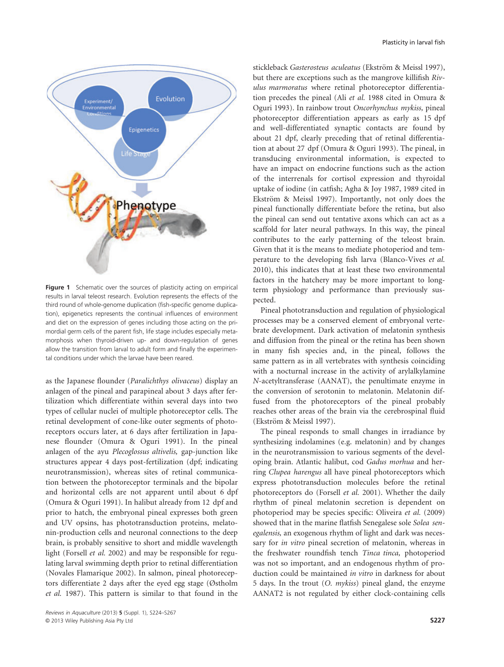

Figure 1 Schematic over the sources of plasticity acting on empirical results in larval teleost research. Evolution represents the effects of the third round of whole-genome duplication (fish-specific genome duplication), epigenetics represents the continual influences of environment and diet on the expression of genes including those acting on the primordial germ cells of the parent fish, life stage includes especially metamorphosis when thyroid-driven up- and down-regulation of genes allow the transition from larval to adult form and finally the experimental conditions under which the larvae have been reared.

as the Japanese flounder (Paralichthys olivaceus) display an anlagen of the pineal and parapineal about 3 days after fertilization which differentiate within several days into two types of cellular nuclei of multiple photoreceptor cells. The retinal development of cone-like outer segments of photoreceptors occurs later, at 6 days after fertilization in Japanese flounder (Omura & Oguri 1991). In the pineal anlagen of the ayu Plecoglossus altivelis, gap-junction like structures appear 4 days post-fertilization (dpf; indicating neurotransmission), whereas sites of retinal communication between the photoreceptor terminals and the bipolar and horizontal cells are not apparent until about 6 dpf (Omura & Oguri 1991). In halibut already from 12 dpf and prior to hatch, the embryonal pineal expresses both green and UV opsins, has phototransduction proteins, melatonin-production cells and neuronal connections to the deep brain, is probably sensitive to short and middle wavelength light (Forsell et al. 2002) and may be responsible for regulating larval swimming depth prior to retinal differentiation (Novales Flamarique 2002). In salmon, pineal photoreceptors differentiate 2 days after the eyed egg stage (Østholm et al. 1987). This pattern is similar to that found in the

stickleback Gasterosteus aculeatus (Ekström & Meissl 1997), but there are exceptions such as the mangrove killifish Rivulus marmoratus where retinal photoreceptor differentiation precedes the pineal (Ali et al. 1988 cited in Omura & Oguri 1993). In rainbow trout Oncorhynchus mykiss, pineal photoreceptor differentiation appears as early as 15 dpf and well-differentiated synaptic contacts are found by about 21 dpf, clearly preceding that of retinal differentiation at about 27 dpf (Omura & Oguri 1993). The pineal, in transducing environmental information, is expected to have an impact on endocrine functions such as the action of the interrenals for cortisol expression and thyroidal uptake of iodine (in catfish; Agha & Joy 1987, 1989 cited in Ekström & Meissl 1997). Importantly, not only does the pineal functionally differentiate before the retina, but also the pineal can send out tentative axons which can act as a scaffold for later neural pathways. In this way, the pineal contributes to the early patterning of the teleost brain. Given that it is the means to mediate photoperiod and temperature to the developing fish larva (Blanco-Vives et al. 2010), this indicates that at least these two environmental factors in the hatchery may be more important to longterm physiology and performance than previously suspected.

Pineal phototransduction and regulation of physiological processes may be a conserved element of embryonal vertebrate development. Dark activation of melatonin synthesis and diffusion from the pineal or the retina has been shown in many fish species and, in the pineal, follows the same pattern as in all vertebrates with synthesis coinciding with a nocturnal increase in the activity of arylalkylamine N-acetyltransferase (AANAT), the penultimate enzyme in the conversion of serotonin to melatonin. Melatonin diffused from the photoreceptors of the pineal probably reaches other areas of the brain via the cerebrospinal fluid (Ekström & Meissl 1997).

The pineal responds to small changes in irradiance by synthesizing indolamines (e.g. melatonin) and by changes in the neurotransmission to various segments of the developing brain. Atlantic halibut, cod Gadus morhua and herring Clupea harengus all have pineal photoreceptors which express phototransduction molecules before the retinal photoreceptors do (Forsell et al. 2001). Whether the daily rhythm of pineal melatonin secretion is dependent on photoperiod may be species specific: Oliveira et al. (2009) showed that in the marine flatfish Senegalese sole Solea senegalensis, an exogenous rhythm of light and dark was necessary for *in vitro* pineal secretion of melatonin, whereas in the freshwater roundfish tench Tinca tinca, photoperiod was not so important, and an endogenous rhythm of production could be maintained in vitro in darkness for about 5 days. In the trout (O. mykiss) pineal gland, the enzyme AANAT2 is not regulated by either clock-containing cells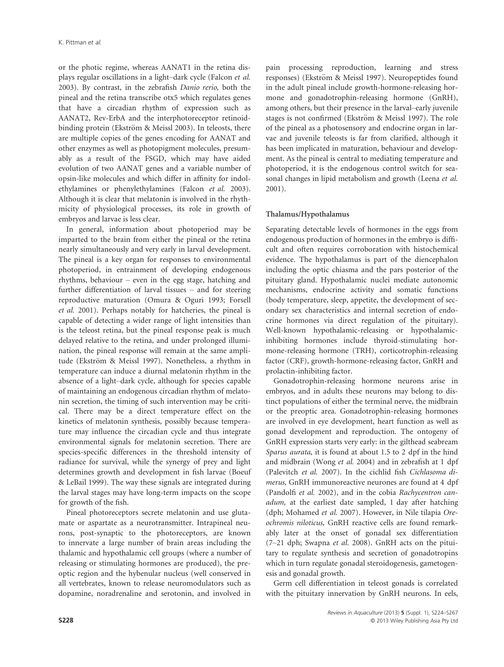or the photic regime, whereas AANAT1 in the retina displays regular oscillations in a light–dark cycle (Falcon et al. 2003). By contrast, in the zebrafish Danio rerio, both the pineal and the retina transcribe otx5 which regulates genes that have a circadian rhythm of expression such as AANAT2, Rev-ErbA and the interphotoreceptor retinoidbinding protein (Ekström & Meissl 2003). In teleosts, there are multiple copies of the genes encoding for AANAT and other enzymes as well as photopigment molecules, presumably as a result of the FSGD, which may have aided evolution of two AANAT genes and a variable number of opsin-like molecules and which differ in affinity for indolethylamines or phenylethylamines (Falcon et al. 2003). Although it is clear that melatonin is involved in the rhythmicity of physiological processes, its role in growth of embryos and larvae is less clear.

In general, information about photoperiod may be imparted to the brain from either the pineal or the retina nearly simultaneously and very early in larval development. The pineal is a key organ for responses to environmental photoperiod, in entrainment of developing endogenous rhythms, behaviour – even in the egg stage, hatching and further differentiation of larval tissues – and for steering reproductive maturation (Omura & Oguri 1993; Forsell et al. 2001). Perhaps notably for hatcheries, the pineal is capable of detecting a wider range of light intensities than is the teleost retina, but the pineal response peak is much delayed relative to the retina, and under prolonged illumination, the pineal response will remain at the same amplitude (Ekström & Meissl 1997). Nonetheless, a rhythm in temperature can induce a diurnal melatonin rhythm in the absence of a light–dark cycle, although for species capable of maintaining an endogenous circadian rhythm of melatonin secretion, the timing of such intervention may be critical. There may be a direct temperature effect on the kinetics of melatonin synthesis, possibly because temperature may influence the circadian cycle and thus integrate environmental signals for melatonin secretion. There are species-specific differences in the threshold intensity of radiance for survival, while the synergy of prey and light determines growth and development in fish larvae (Boeuf & LeBail 1999). The way these signals are integrated during the larval stages may have long-term impacts on the scope for growth of the fish.

Pineal photoreceptors secrete melatonin and use glutamate or aspartate as a neurotransmitter. Intrapineal neurons, post-synaptic to the photoreceptors, are known to innervate a large number of brain areas including the thalamic and hypothalamic cell groups (where a number of releasing or stimulating hormones are produced), the preoptic region and the hybenular nucleus (well conserved in all vertebrates, known to release neuromodulators such as dopamine, noradrenaline and serotonin, and involved in pain processing reproduction, learning and stress responses) (Ekström & Meissl 1997). Neuropeptides found in the adult pineal include growth-hormone-releasing hormone and gonadotrophin-releasing hormone (GnRH), among others, but their presence in the larval–early juvenile stages is not confirmed (Ekström & Meissl 1997). The role of the pineal as a photosensory and endocrine organ in larvae and juvenile teleosts is far from clarified, although it has been implicated in maturation, behaviour and development. As the pineal is central to mediating temperature and photoperiod, it is the endogenous control switch for seasonal changes in lipid metabolism and growth (Leena et al. 2001).

# Thalamus/Hypothalamus

Separating detectable levels of hormones in the eggs from endogenous production of hormones in the embryo is difficult and often requires corroboration with histochemical evidence. The hypothalamus is part of the diencephalon including the optic chiasma and the pars posterior of the pituitary gland. Hypothalamic nuclei mediate autonomic mechanisms, endocrine activity and somatic functions (body temperature, sleep, appetite, the development of secondary sex characteristics and internal secretion of endocrine hormones via direct regulation of the pituitary). Well-known hypothalamic-releasing or hypothalamicinhibiting hormones include thyroid-stimulating hormone-releasing hormone (TRH), corticotrophin-releasing factor (CRF), growth-hormone-releasing factor, GnRH and prolactin-inhibiting factor.

Gonadotrophin-releasing hormone neurons arise in embryos, and in adults these neurons may belong to distinct populations of either the terminal nerve, the midbrain or the preoptic area. Gonadotrophin-releasing hormones are involved in eye development, heart function as well as gonad development and reproduction. The ontogeny of GnRH expression starts very early: in the gilthead seabream Sparus aurata, it is found at about 1.5 to 2 dpf in the hind and midbrain (Wong et al. 2004) and in zebrafish at 1 dpf (Palevitch et al. 2007). In the cichlid fish Cichlasoma dimerus, GnRH immunoreactive neurones are found at 4 dpf (Pandolfi et al. 2002), and in the cobia Rachycentron canadum, at the earliest date sampled, 1 day after hatching (dph; Mohamed et al. 2007). However, in Nile tilapia Oreochromis niloticus, GnRH reactive cells are found remarkably later at the onset of gonadal sex differentiation (7–21 dph; Swapna et al. 2008). GnRH acts on the pituitary to regulate synthesis and secretion of gonadotropins which in turn regulate gonadal steroidogenesis, gametogenesis and gonadal growth.

Germ cell differentiation in teleost gonads is correlated with the pituitary innervation by GnRH neurons. In eels,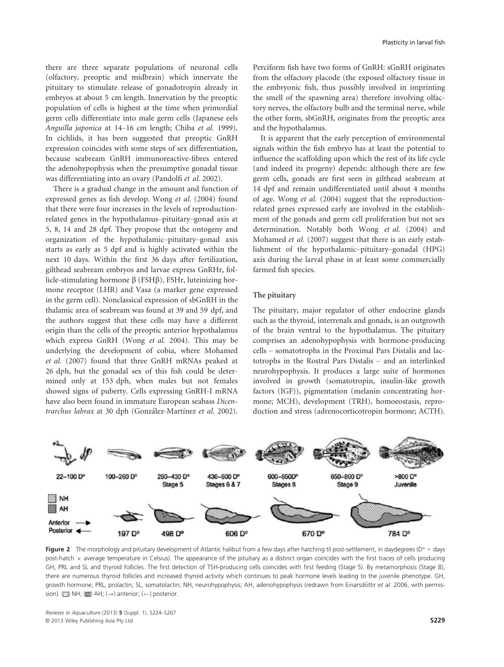there are three separate populations of neuronal cells (olfactory, preoptic and midbrain) which innervate the pituitary to stimulate release of gonadotropin already in embryos at about 5 cm length. Innervation by the preoptic population of cells is highest at the time when primordial germ cells differentiate into male germ cells (Japanese eels Anguilla japonica at 14–16 cm length; Chiba et al. 1999). In cichlids, it has been suggested that preoptic GnRH expression coincides with some steps of sex differentiation, because seabream GnRH immunoreactive-fibres entered the adenohypophysis when the presumptive gonadal tissue was differentiating into an ovary (Pandolfi et al. 2002).

There is a gradual change in the amount and function of expressed genes as fish develop. Wong et al. (2004) found that there were four increases in the levels of reproductionrelated genes in the hypothalamus–pituitary–gonad axis at 5, 8, 14 and 28 dpf. They propose that the ontogeny and organization of the hypothalamic–pituitary–gonad axis starts as early as 5 dpf and is highly activated within the next 10 days. Within the first 36 days after fertilization, gilthead seabream embryos and larvae express GnRHr, follicle-stimulating hormone  $\beta$  (FSH $\beta$ ), FSHr, luteinizing hormone receptor (LHR) and Vasa (a marker gene expressed in the germ cell). Nonclassical expression of sbGnRH in the thalamic area of seabream was found at 39 and 59 dpf, and the authors suggest that these cells may have a different origin than the cells of the preoptic anterior hypothalamus which express GnRH (Wong et al. 2004). This may be underlying the development of cobia, where Mohamed et al. (2007) found that three GnRH mRNAs peaked at 26 dph, but the gonadal sex of this fish could be determined only at 153 dph, when males but not females showed signs of puberty. Cells expressing GnRH-I mRNA have also been found in immature European seabass Dicentrarchus labrax at 30 dph (González-Martínez et al. 2002).

Perciform fish have two forms of GnRH: sGnRH originates from the olfactory placode (the exposed olfactory tissue in the embryonic fish, thus possibly involved in imprinting the smell of the spawning area) therefore involving olfactory nerves, the olfactory bulb and the terminal nerve, while the other form, sbGnRH, originates from the preoptic area and the hypothalamus.

It is apparent that the early perception of environmental signals within the fish embryo has at least the potential to influence the scaffolding upon which the rest of its life cycle (and indeed its progeny) depends: although there are few germ cells, gonads are first seen in gilthead seabream at 14 dpf and remain undifferentiated until about 4 months of age. Wong et al. (2004) suggest that the reproductionrelated genes expressed early are involved in the establishment of the gonads and germ cell proliferation but not sex determination. Notably both Wong et al. (2004) and Mohamed et al. (2007) suggest that there is an early establishment of the hypothalamic–pituitary–gonadal (HPG) axis during the larval phase in at least some commercially farmed fish species.

# The pituitary

The pituitary, major regulator of other endocrine glands such as the thyroid, interrenals and gonads, is an outgrowth of the brain ventral to the hypothalamus. The pituitary comprises an adenohypophysis with hormone-producing cells – somatotrophs in the Proximal Pars Distalis and lactotrophs in the Rostral Pars Distalis – and an interlinked neurohypophysis. It produces a large suite of hormones involved in growth (somatotropin, insulin-like growth factors (IGF)), pigmentation (melanin concentrating hormone; MCH), development (TRH), homoeostasis, reproduction and stress (adrenocorticotropin hormone; ACTH).



Figure 2 The morphology and pituitary development of Atlantic halibut from a few days after hatching til post-settlement, in daydegrees ( $D^{\circ}$  = days post-hatch x average temperature in Celsius). The appearance of the pituitary as a distinct organ coincides with the first traces of cells producing GH, PRL and SL and thyroid follicles. The first detection of TSH-producing cells coincides with first feeding (Stage 5). By metamorphosis (Stage 8), there are numerous thyroid follicles and increased thyroid activity which continues to peak hormone levels leading to the juvenile phenotype. GH, growth hormone; PRL, prolactin; SL, somatolactin; NH, neurohypophysis; AH, adenohypophysis (redrawn from Einarsdóttir et al. 2006, with permission). ( $\mathbb{N}$ ) NH; ( $\blacksquare$ ) AH; ( $\rightarrow$ ) anterior; ( $\leftarrow$ ) posterior.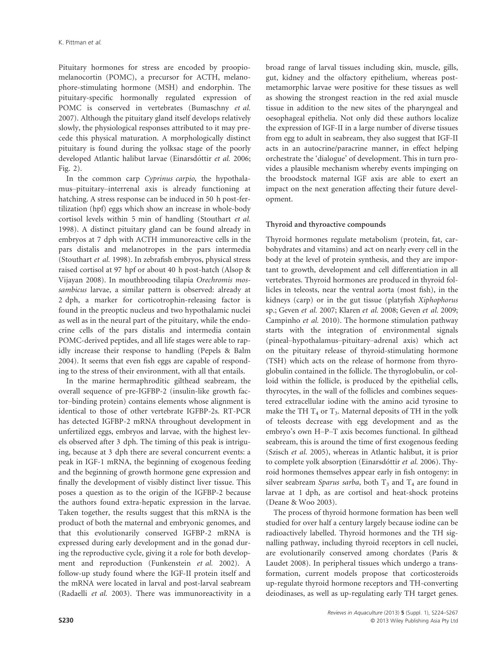Pituitary hormones for stress are encoded by proopiomelanocortin (POMC), a precursor for ACTH, melanophore-stimulating hormone (MSH) and endorphin. The pituitary-specific hormonally regulated expression of POMC is conserved in vertebrates (Bumaschny et al. 2007). Although the pituitary gland itself develops relatively slowly, the physiological responses attributed to it may precede this physical maturation. A morphologically distinct pituitary is found during the yolksac stage of the poorly developed Atlantic halibut larvae (Einarsdóttir et al. 2006; Fig. 2).

In the common carp Cyprinus carpio, the hypothalamus–pituitary–interrenal axis is already functioning at hatching. A stress response can be induced in 50 h post-fertilization (hpf) eggs which show an increase in whole-body cortisol levels within 5 min of handling (Stouthart et al. 1998). A distinct pituitary gland can be found already in embryos at 7 dph with ACTH immunoreactive cells in the pars distalis and melanotropes in the pars intermedia (Stouthart et al. 1998). In zebrafish embryos, physical stress raised cortisol at 97 hpf or about 40 h post-hatch (Alsop & Vijayan 2008). In mouthbrooding tilapia Orechromis mossambicus larvae, a similar pattern is observed: already at 2 dph, a marker for corticotrophin-releasing factor is found in the preoptic nucleus and two hypothalamic nuclei as well as in the neural part of the pituitary, while the endocrine cells of the pars distalis and intermedia contain POMC-derived peptides, and all life stages were able to rapidly increase their response to handling (Pepels & Balm 2004). It seems that even fish eggs are capable of responding to the stress of their environment, with all that entails.

In the marine hermaphroditic gilthead seabream, the overall sequence of pre-IGFBP-2 (insulin-like growth factor–binding protein) contains elements whose alignment is identical to those of other vertebrate IGFBP-2s. RT-PCR has detected IGFBP-2 mRNA throughout development in unfertilized eggs, embryos and larvae, with the highest levels observed after 3 dph. The timing of this peak is intriguing, because at 3 dph there are several concurrent events: a peak in IGF-1 mRNA, the beginning of exogenous feeding and the beginning of growth hormone gene expression and finally the development of visibly distinct liver tissue. This poses a question as to the origin of the IGFBP-2 because the authors found extra-hepatic expression in the larvae. Taken together, the results suggest that this mRNA is the product of both the maternal and embryonic genomes, and that this evolutionarily conserved IGFBP-2 mRNA is expressed during early development and in the gonad during the reproductive cycle, giving it a role for both development and reproduction (Funkenstein et al. 2002). A follow-up study found where the IGF-II protein itself and the mRNA were located in larval and post-larval seabream (Radaelli et al. 2003). There was immunoreactivity in a

broad range of larval tissues including skin, muscle, gills, gut, kidney and the olfactory epithelium, whereas postmetamorphic larvae were positive for these tissues as well as showing the strongest reaction in the red axial muscle tissue in addition to the new sites of the pharyngeal and oesophageal epithelia. Not only did these authors localize the expression of IGF-II in a large number of diverse tissues from egg to adult in seabream, they also suggest that IGF-II acts in an autocrine/paracrine manner, in effect helping orchestrate the 'dialogue' of development. This in turn provides a plausible mechanism whereby events impinging on the broodstock maternal IGF axis are able to exert an impact on the next generation affecting their future development.

# Thyroid and thyroactive compounds

Thyroid hormones regulate metabolism (protein, fat, carbohydrates and vitamins) and act on nearly every cell in the body at the level of protein synthesis, and they are important to growth, development and cell differentiation in all vertebrates. Thyroid hormones are produced in thyroid follicles in teleosts, near the ventral aorta (most fish), in the kidneys (carp) or in the gut tissue (platyfish Xiphophorus sp.; Geven et al. 2007; Klaren et al. 2008; Geven et al. 2009; Campinho et al. 2010). The hormone stimulation pathway starts with the integration of environmental signals (pineal–hypothalamus–pituitary–adrenal axis) which act on the pituitary release of thyroid-stimulating hormone (TSH) which acts on the release of hormone from thyroglobulin contained in the follicle. The thyroglobulin, or colloid within the follicle, is produced by the epithelial cells, thyrocytes, in the wall of the follicles and combines sequestered extracellular iodine with the amino acid tyrosine to make the TH  $T_4$  or  $T_3$ . Maternal deposits of TH in the yolk of teleosts decrease with egg development and as the embryo's own H–P–T axis becomes functional. In gilthead seabream, this is around the time of first exogenous feeding (Szisch et al. 2005), whereas in Atlantic halibut, it is prior to complete yolk absorption (Einarsdóttir et al. 2006). Thyroid hormones themselves appear early in fish ontogeny: in silver seabream Sparus sarba, both  $T_3$  and  $T_4$  are found in larvae at 1 dph, as are cortisol and heat-shock proteins (Deane & Woo 2003).

The process of thyroid hormone formation has been well studied for over half a century largely because iodine can be radioactively labelled. Thyroid hormones and the TH signalling pathway, including thyroid receptors in cell nuclei, are evolutionarily conserved among chordates (Paris & Laudet 2008). In peripheral tissues which undergo a transformation, current models propose that corticosteroids up-regulate thyroid hormone receptors and TH-converting deiodinases, as well as up-regulating early TH target genes.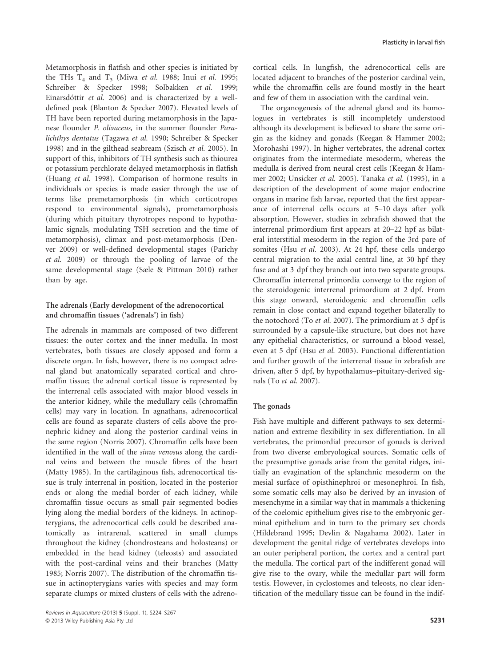Metamorphosis in flatfish and other species is initiated by the THs  $T_4$  and  $T_3$  (Miwa *et al.* 1988; Inui *et al.* 1995; Schreiber & Specker 1998; Solbakken et al. 1999; Einarsdóttir et al. 2006) and is characterized by a welldefined peak (Blanton & Specker 2007). Elevated levels of TH have been reported during metamorphosis in the Japanese flounder P. olivaceus, in the summer flounder Paralichthys dentatus (Tagawa et al. 1990; Schreiber & Specker 1998) and in the gilthead seabream (Szisch et al. 2005). In support of this, inhibitors of TH synthesis such as thiourea or potassium perchlorate delayed metamorphosis in flatfish (Huang et al. 1998). Comparison of hormone results in individuals or species is made easier through the use of terms like premetamorphosis (in which corticotropes respond to environmental signals), prometamorphosis (during which pituitary thyrotropes respond to hypothalamic signals, modulating TSH secretion and the time of metamorphosis), climax and post-metamorphosis (Denver 2009) or well-defined developmental stages (Parichy et al. 2009) or through the pooling of larvae of the same developmental stage (Sæle & Pittman 2010) rather than by age.

# The adrenals (Early development of the adrenocortical and chromaffin tissues ('adrenals') in fish)

The adrenals in mammals are composed of two different tissues: the outer cortex and the inner medulla. In most vertebrates, both tissues are closely apposed and form a discrete organ. In fish, however, there is no compact adrenal gland but anatomically separated cortical and chromaffin tissue; the adrenal cortical tissue is represented by the interrenal cells associated with major blood vessels in the anterior kidney, while the medullary cells (chromaffin cells) may vary in location. In agnathans, adrenocortical cells are found as separate clusters of cells above the pronephric kidney and along the posterior cardinal veins in the same region (Norris 2007). Chromaffin cells have been identified in the wall of the sinus venosus along the cardinal veins and between the muscle fibres of the heart (Matty 1985). In the cartilaginous fish, adrenocortical tissue is truly interrenal in position, located in the posterior ends or along the medial border of each kidney, while chromaffin tissue occurs as small pair segmented bodies lying along the medial borders of the kidneys. In actinopterygians, the adrenocortical cells could be described anatomically as intrarenal, scattered in small clumps throughout the kidney (chondrosteans and holosteans) or embedded in the head kidney (teleosts) and associated with the post-cardinal veins and their branches (Matty 1985; Norris 2007). The distribution of the chromaffin tissue in actinopterygians varies with species and may form separate clumps or mixed clusters of cells with the adreno-

cortical cells. In lungfish, the adrenocortical cells are located adjacent to branches of the posterior cardinal vein, while the chromaffin cells are found mostly in the heart and few of them in association with the cardinal vein.

The organogenesis of the adrenal gland and its homologues in vertebrates is still incompletely understood although its development is believed to share the same origin as the kidney and gonads (Keegan & Hammer 2002; Morohashi 1997). In higher vertebrates, the adrenal cortex originates from the intermediate mesoderm, whereas the medulla is derived from neural crest cells (Keegan & Hammer 2002; Unsicker et al. 2005). Tanaka et al. (1995), in a description of the development of some major endocrine organs in marine fish larvae, reported that the first appearance of interrenal cells occurs at 5–10 days after yolk absorption. However, studies in zebrafish showed that the interrenal primordium first appears at 20–22 hpf as bilateral interstitial mesoderm in the region of the 3rd pare of somites (Hsu et al. 2003). At 24 hpf, these cells undergo central migration to the axial central line, at 30 hpf they fuse and at 3 dpf they branch out into two separate groups. Chromaffin interrenal primordia converge to the region of the steroidogenic interrenal primordium at 2 dpf. From this stage onward, steroidogenic and chromaffin cells remain in close contact and expand together bilaterally to the notochord (To et al. 2007). The primordium at 3 dpf is surrounded by a capsule-like structure, but does not have any epithelial characteristics, or surround a blood vessel, even at 5 dpf (Hsu et al. 2003). Functional differentiation and further growth of the interrenal tissue in zebrafish are driven, after 5 dpf, by hypothalamus–pituitary-derived signals (To et al. 2007).

# The gonads

Fish have multiple and different pathways to sex determination and extreme flexibility in sex differentiation. In all vertebrates, the primordial precursor of gonads is derived from two diverse embryological sources. Somatic cells of the presumptive gonads arise from the genital ridges, initially an evagination of the splanchnic mesoderm on the mesial surface of opisthinephroi or mesonephroi. In fish, some somatic cells may also be derived by an invasion of mesenchyme in a similar way that in mammals a thickening of the coelomic epithelium gives rise to the embryonic germinal epithelium and in turn to the primary sex chords (Hildebrand 1995; Devlin & Nagahama 2002). Later in development the genital ridge of vertebrates develops into an outer peripheral portion, the cortex and a central part the medulla. The cortical part of the indifferent gonad will give rise to the ovary, while the medullar part will form testis. However, in cyclostomes and teleosts, no clear identification of the medullary tissue can be found in the indif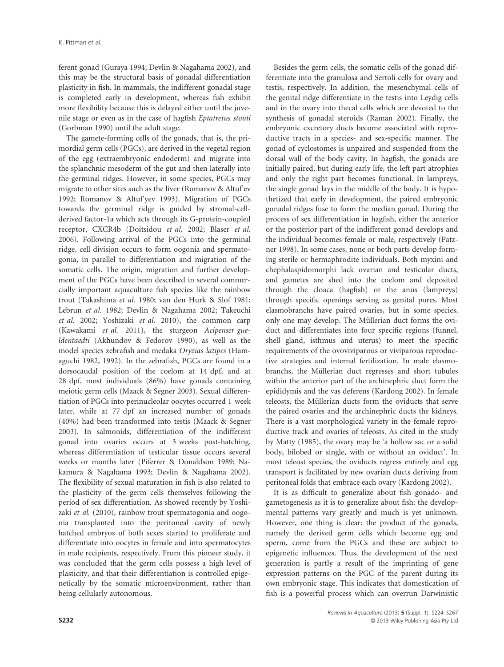ferent gonad (Guraya 1994; Devlin & Nagahama 2002), and this may be the structural basis of gonadal differentiation plasticity in fish. In mammals, the indifferent gonadal stage is completed early in development, whereas fish exhibit more flexibility because this is delayed either until the juvenile stage or even as in the case of hagfish Eptatretus stouti (Gorbman 1990) until the adult stage.

The gamete-forming cells of the gonads, that is, the primordial germ cells (PGCs), are derived in the vegetal region of the egg (extraembryonic endoderm) and migrate into the splanchnic mesoderm of the gut and then laterally into the germinal ridges. However, in some species, PGCs may migrate to other sites such as the liver (Romanov & Altuf'ev 1992; Romanov & Altuf'yev 1993). Migration of PGCs towards the germinal ridge is guided by stromal-cellderived factor-1a which acts through its G-protein-coupled receptor, CXCR4b (Doitsidou et al. 2002; Blaser et al. 2006). Following arrival of the PGCs into the germinal ridge, cell division occurs to form oogonia and spermatogonia, in parallel to differentiation and migration of the somatic cells. The origin, migration and further development of the PGCs have been described in several commercially important aquaculture fish species like the rainbow trout (Takashima et al. 1980; van den Hurk & Slof 1981; Lebrun et al. 1982; Devlin & Nagahama 2002; Takeuchi et al. 2002; Yoshizaki et al. 2010), the common carp (Kawakami et al. 2011), the sturgeon Acipenser gueldentaedti (Akhundov & Fedorov 1990), as well as the model species zebrafish and medaka Oryzias latipes (Hamaguchi 1982, 1992). In the zebrafish, PGCs are found in a dorsocaudal position of the coelom at 14 dpf, and at 28 dpf, most individuals (86%) have gonads containing meiotic germ cells (Maack & Segner 2003). Sexual differentiation of PGCs into perinucleolar oocytes occurred 1 week later, while at 77 dpf an increased number of gonads (40%) had been transformed into testis (Maack & Segner 2003). In salmonids, differentiation of the indifferent gonad into ovaries occurs at 3 weeks post-hatching, whereas differentiation of testicular tissue occurs several weeks or months later (Piferrer & Donaldson 1989; Nakamura & Nagahama 1993; Devlin & Nagahama 2002). The flexibility of sexual maturation in fish is also related to the plasticity of the germ cells themselves following the period of sex differentiation. As showed recently by Yoshizaki et al. (2010), rainbow trout spermatogonia and oogonia transplanted into the peritoneal cavity of newly hatched embryos of both sexes started to proliferate and differentiate into oocytes in female and into spermatocytes in male recipients, respectively. From this pioneer study, it was concluded that the germ cells possess a high level of plasticity, and that their differentiation is controlled epigenetically by the somatic microenvironment, rather than being cellularly autonomous.

Besides the germ cells, the somatic cells of the gonad differentiate into the granulosa and Sertoli cells for ovary and testis, respectively. In addition, the mesenchymal cells of the genital ridge differentiate in the testis into Leydig cells and in the ovary into thecal cells which are devoted to the synthesis of gonadal steroids (Raman 2002). Finally, the embryonic excretory ducts become associated with reproductive tracts in a species- and sex-specific manner. The gonad of cyclostomes is unpaired and suspended from the dorsal wall of the body cavity. In hagfish, the gonads are initially paired, but during early life, the left part atrophies and only the right part becomes functional. In lampreys, the single gonad lays in the middle of the body. It is hypothetized that early in development, the paired embryonic gonadal ridges fuse to form the median gonad. During the process of sex differentiation in hagfish, either the anterior or the posterior part of the indifferent gonad develops and the individual becomes female or male, respectively (Patzner 1998). In some cases, none or both parts develop forming sterile or hermaphrodite individuals. Both myxini and chephalaspidomorphi lack ovarian and testicular ducts, and gametes are shed into the coelom and deposited through the cloaca (hagfish) or the anus (lampreys) through specific openings serving as genital pores. Most elasmobranchs have paired ovaries, but in some species, only one may develop. The Müllerian duct forms the oviduct and differentiates into four specific regions (funnel, shell gland, isthmus and uterus) to meet the specific requirements of the ovoviviparous or viviparous reproductive strategies and internal fertilization. In male elasmobranchs, the Müllerian duct regresses and short tubules within the anterior part of the archinephric duct form the epididymis and the vas deferens (Kardong 2002). In female teleosts, the Müllerian ducts form the oviducts that serve the paired ovaries and the archinephric ducts the kidneys. There is a vast morphological variety in the female reproductive track and ovaries of teleosts. As cited in the study by Matty (1985), the ovary may be 'a hollow sac or a solid body, bilobed or single, with or without an oviduct'. In most teleost species, the oviducts regress entirely and egg transport is facilitated by new ovarian ducts deriving from peritoneal folds that embrace each ovary (Kardong 2002).

It is as difficult to generalize about fish gonado- and gametogenesis as it is to generalize about fish: the developmental patterns vary greatly and much is yet unknown. However, one thing is clear: the product of the gonads, namely the derived germ cells which become egg and sperm, come from the PGCs and these are subject to epigenetic influences. Thus, the development of the next generation is partly a result of the imprinting of gene expression patterns on the PGC of the parent during its own embryonic stage. This indicates that domestication of fish is a powerful process which can overrun Darwinistic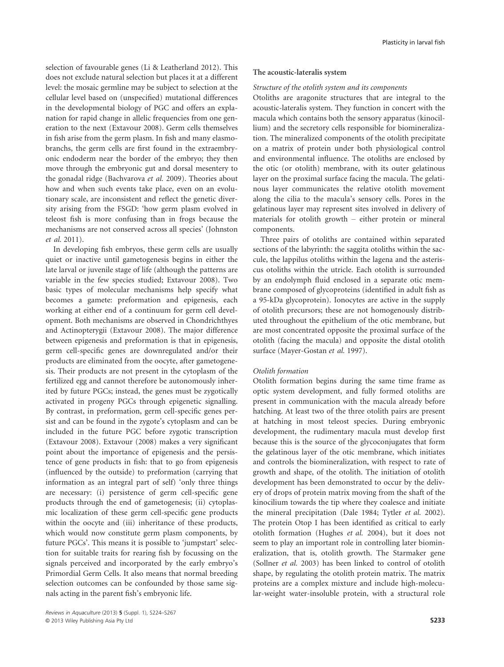selection of favourable genes (Li & Leatherland 2012). This does not exclude natural selection but places it at a different level: the mosaic germline may be subject to selection at the cellular level based on (unspecified) mutational differences in the developmental biology of PGC and offers an explanation for rapid change in allelic frequencies from one generation to the next (Extavour 2008). Germ cells themselves in fish arise from the germ plasm. In fish and many elasmobranchs, the germ cells are first found in the extraembryonic endoderm near the border of the embryo; they then move through the embryonic gut and dorsal mesentery to the gonadal ridge (Bachvarova et al. 2009). Theories about how and when such events take place, even on an evolutionary scale, are inconsistent and reflect the genetic diversity arising from the FSGD: 'how germ plasm evolved in teleost fish is more confusing than in frogs because the mechanisms are not conserved across all species' (Johnston et al. 2011).

In developing fish embryos, these germ cells are usually quiet or inactive until gametogenesis begins in either the late larval or juvenile stage of life (although the patterns are variable in the few species studied; Extavour 2008). Two basic types of molecular mechanisms help specify what becomes a gamete: preformation and epigenesis, each working at either end of a continuum for germ cell development. Both mechanisms are observed in Chondrichthyes and Actinopterygii (Extavour 2008). The major difference between epigenesis and preformation is that in epigenesis, germ cell-specific genes are downregulated and/or their products are eliminated from the oocyte, after gametogenesis. Their products are not present in the cytoplasm of the fertilized egg and cannot therefore be autonomously inherited by future PGCs; instead, the genes must be zygotically activated in progeny PGCs through epigenetic signalling. By contrast, in preformation, germ cell-specific genes persist and can be found in the zygote's cytoplasm and can be included in the future PGC before zygotic transcription (Extavour 2008). Extavour (2008) makes a very significant point about the importance of epigenesis and the persistence of gene products in fish: that to go from epigenesis (influenced by the outside) to preformation (carrying that information as an integral part of self) 'only three things are necessary: (i) persistence of germ cell-specific gene products through the end of gametogenesis; (ii) cytoplasmic localization of these germ cell-specific gene products within the oocyte and (iii) inheritance of these products, which would now constitute germ plasm components, by future PGCs'. This means it is possible to 'jumpstart' selection for suitable traits for rearing fish by focussing on the signals perceived and incorporated by the early embryo's Primordial Germ Cells. It also means that normal breeding selection outcomes can be confounded by those same signals acting in the parent fish's embryonic life.

#### The acoustic-lateralis system

#### Structure of the otolith system and its components

Otoliths are aragonite structures that are integral to the acoustic-lateralis system. They function in concert with the macula which contains both the sensory apparatus (kinocillium) and the secretory cells responsible for biomineralization. The mineralized components of the otolith precipitate on a matrix of protein under both physiological control and environmental influence. The otoliths are enclosed by the otic (or otolith) membrane, with its outer gelatinous layer on the proximal surface facing the macula. The gelatinous layer communicates the relative otolith movement along the cilia to the macula's sensory cells. Pores in the gelatinous layer may represent sites involved in delivery of materials for otolith growth – either protein or mineral components.

Three pairs of otoliths are contained within separated sections of the labyrinth: the saggita otoliths within the saccule, the lappilus otoliths within the lagena and the asteriscus otoliths within the utricle. Each otolith is surrounded by an endolymph fluid enclosed in a separate otic membrane composed of glycoproteins (identified in adult fish as a 95-kDa glycoprotein). Ionocytes are active in the supply of otolith precursors; these are not homogenously distributed throughout the epithelium of the otic membrane, but are most concentrated opposite the proximal surface of the otolith (facing the macula) and opposite the distal otolith surface (Mayer-Gostan et al. 1997).

#### Otolith formation

Otolith formation begins during the same time frame as optic system development, and fully formed otoliths are present in communication with the macula already before hatching. At least two of the three otolith pairs are present at hatching in most teleost species. During embryonic development, the rudimentary macula must develop first because this is the source of the glycoconjugates that form the gelatinous layer of the otic membrane, which initiates and controls the biomineralization, with respect to rate of growth and shape, of the otolith. The initiation of otolith development has been demonstrated to occur by the delivery of drops of protein matrix moving from the shaft of the kinocilium towards the tip where they coalesce and initiate the mineral precipitation (Dale 1984; Tytler et al. 2002). The protein Otop I has been identified as critical to early otolith formation (Hughes et al. 2004), but it does not seem to play an important role in controlling later biomineralization, that is, otolith growth. The Starmaker gene (Sollner et al. 2003) has been linked to control of otolith shape, by regulating the otolith protein matrix. The matrix proteins are a complex mixture and include high-molecular-weight water-insoluble protein, with a structural role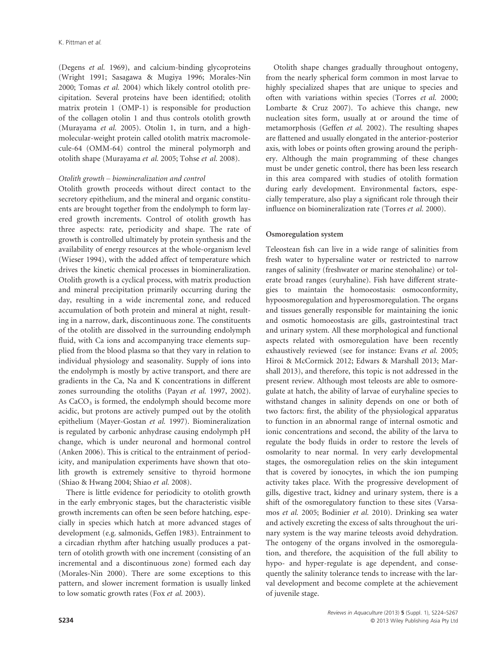(Degens et al. 1969), and calcium-binding glycoproteins (Wright 1991; Sasagawa & Mugiya 1996; Morales-Nin 2000; Tomas et al. 2004) which likely control otolith precipitation. Several proteins have been identified; otolith matrix protein 1 (OMP-1) is responsible for production of the collagen otolin 1 and thus controls otolith growth (Murayama et al. 2005). Otolin 1, in turn, and a highmolecular-weight protein called otolith matrix macromolecule-64 (OMM-64) control the mineral polymorph and otolith shape (Murayama et al. 2005; Tohse et al. 2008).

# Otolith growth – biomineralization and control

Otolith growth proceeds without direct contact to the secretory epithelium, and the mineral and organic constituents are brought together from the endolymph to form layered growth increments. Control of otolith growth has three aspects: rate, periodicity and shape. The rate of growth is controlled ultimately by protein synthesis and the availability of energy resources at the whole-organism level (Wieser 1994), with the added affect of temperature which drives the kinetic chemical processes in biomineralization. Otolith growth is a cyclical process, with matrix production and mineral precipitation primarily occurring during the day, resulting in a wide incremental zone, and reduced accumulation of both protein and mineral at night, resulting in a narrow, dark, discontinuous zone. The constituents of the otolith are dissolved in the surrounding endolymph fluid, with Ca ions and accompanying trace elements supplied from the blood plasma so that they vary in relation to individual physiology and seasonality. Supply of ions into the endolymph is mostly by active transport, and there are gradients in the Ca, Na and K concentrations in different zones surrounding the otoliths (Payan et al. 1997, 2002). As  $CaCO<sub>3</sub>$  is formed, the endolymph should become more acidic, but protons are actively pumped out by the otolith epithelium (Mayer-Gostan et al. 1997). Biomineralization is regulated by carbonic anhydrase causing endolymph pH change, which is under neuronal and hormonal control (Anken 2006). This is critical to the entrainment of periodicity, and manipulation experiments have shown that otolith growth is extremely sensitive to thyroid hormone (Shiao & Hwang 2004; Shiao et al. 2008).

There is little evidence for periodicity to otolith growth in the early embryonic stages, but the characteristic visible growth increments can often be seen before hatching, especially in species which hatch at more advanced stages of development (e.g. salmonids, Geffen 1983). Entrainment to a circadian rhythm after hatching usually produces a pattern of otolith growth with one increment (consisting of an incremental and a discontinuous zone) formed each day (Morales-Nin 2000). There are some exceptions to this pattern, and slower increment formation is usually linked to low somatic growth rates (Fox et al. 2003).

Otolith shape changes gradually throughout ontogeny, from the nearly spherical form common in most larvae to highly specialized shapes that are unique to species and often with variations within species (Torres et al. 2000; Lombarte & Cruz 2007). To achieve this change, new nucleation sites form, usually at or around the time of metamorphosis (Geffen et al. 2002). The resulting shapes are flattened and usually elongated in the anterior-posterior axis, with lobes or points often growing around the periphery. Although the main programming of these changes must be under genetic control, there has been less research in this area compared with studies of otolith formation during early development. Environmental factors, especially temperature, also play a significant role through their influence on biomineralization rate (Torres et al. 2000).

#### Osmoregulation system

Teleostean fish can live in a wide range of salinities from fresh water to hypersaline water or restricted to narrow ranges of salinity (freshwater or marine stenohaline) or tolerate broad ranges (euryhaline). Fish have different strategies to maintain the homoeostasis: osmoconformity, hypoosmoregulation and hyperosmoregulation. The organs and tissues generally responsible for maintaining the ionic and osmotic homoeostasis are gills, gastrointestinal tract and urinary system. All these morphological and functional aspects related with osmoregulation have been recently exhaustively reviewed (see for instance: Evans et al. 2005; Hiroi & McCormick 2012; Edwars & Marshall 2013; Marshall 2013), and therefore, this topic is not addressed in the present review. Although most teleosts are able to osmoregulate at hatch, the ability of larvae of euryhaline species to withstand changes in salinity depends on one or both of two factors: first, the ability of the physiological apparatus to function in an abnormal range of internal osmotic and ionic concentrations and second, the ability of the larva to regulate the body fluids in order to restore the levels of osmolarity to near normal. In very early developmental stages, the osmoregulation relies on the skin integument that is covered by ionocytes, in which the ion pumping activity takes place. With the progressive development of gills, digestive tract, kidney and urinary system, there is a shift of the osmoregulatory function to these sites (Varsamos et al. 2005; Bodinier et al. 2010). Drinking sea water and actively excreting the excess of salts throughout the urinary system is the way marine teleosts avoid dehydration. The ontogeny of the organs involved in the osmoregulation, and therefore, the acquisition of the full ability to hypo- and hyper-regulate is age dependent, and consequently the salinity tolerance tends to increase with the larval development and become complete at the achievement of juvenile stage.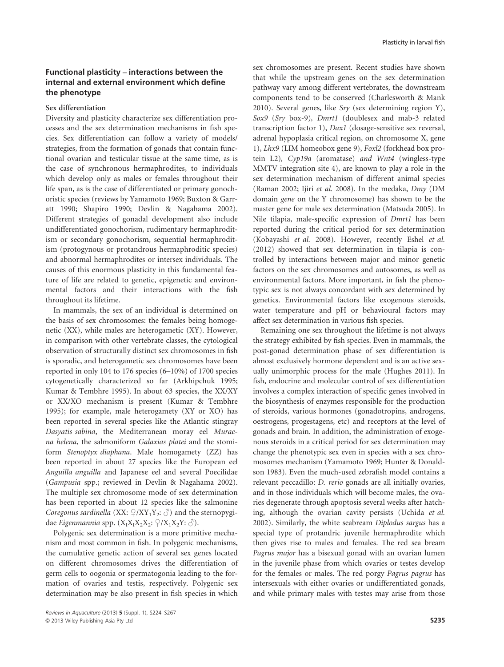# Functional plasticity – interactions between the internal and external environment which define the phenotype

# Sex differentiation

Diversity and plasticity characterize sex differentiation processes and the sex determination mechanisms in fish species. Sex differentiation can follow a variety of models/ strategies, from the formation of gonads that contain functional ovarian and testicular tissue at the same time, as is the case of synchronous hermaphrodites, to individuals which develop only as males or females throughout their life span, as is the case of differentiated or primary gonochoristic species (reviews by Yamamoto 1969; Buxton & Garratt 1990; Shapiro 1990; Devlin & Nagahama 2002). Different strategies of gonadal development also include undifferentiated gonochorism, rudimentary hermaphroditism or secondary gonochorism, sequential hermaphroditism (protogynous or protandrous hermaphroditic species) and abnormal hermaphrodites or intersex individuals. The causes of this enormous plasticity in this fundamental feature of life are related to genetic, epigenetic and environmental factors and their interactions with the fish throughout its lifetime.

In mammals, the sex of an individual is determined on the basis of sex chromosomes: the females being homogenetic (XX), while males are heterogametic (XY). However, in comparison with other vertebrate classes, the cytological observation of structurally distinct sex chromosomes in fish is sporadic, and heterogametic sex chromosomes have been reported in only 104 to 176 species (6–10%) of 1700 species cytogenetically characterized so far (Arkhipchuk 1995; Kumar & Tembhre 1995). In about 63 species, the XX/XY or XX/XO mechanism is present (Kumar & Tembhre 1995); for example, male heterogamety (XY or XO) has been reported in several species like the Atlantic stingray Dasyatis sabina, the Mediterranean moray eel Muraena helena, the salmoniform Galaxias platei and the stomiform Stenoptyx diaphana. Male homogamety (ZZ) has been reported in about 27 species like the European eel Anguilla anguilla and Japanese eel and several Poecilidae (Gampusia spp.; reviewed in Devlin & Nagahama 2002). The multiple sex chromosome mode of sex determination has been reported in about 12 species like the salmonine Coregonus sardinella (XX:  $\mathcal{L}/XY_1Y_2$ :  $\Diamond$ ) and the sternopygidae Eigenmannia spp. (X<sub>I</sub>X<sub>I</sub>X<sub>2</sub>X<sub>2</sub>:  $\mathcal{L}/X_1X_2Y: \mathcal{L}.$ 

Polygenic sex determination is a more primitive mechanism and most common in fish. In polygenic mechanisms, the cumulative genetic action of several sex genes located on different chromosomes drives the differentiation of germ cells to oogonia or spermatogonia leading to the formation of ovaries and testis, respectively. Polygenic sex determination may be also present in fish species in which

sex chromosomes are present. Recent studies have shown that while the upstream genes on the sex determination pathway vary among different vertebrates, the downstream components tend to be conserved (Charlesworth & Mank 2010). Several genes, like Sry (sex determining region Y), Sox9 (Sry box-9), Dmrt1 (doublesex and mab-3 related transcription factor 1), Dax1 (dosage-sensitive sex reversal, adrenal hypoplasia critical region, on chromosome X, gene 1), Lhx9 (LIM homeobox gene 9), Foxl2 (forkhead box protein L2), Cyp19a (aromatase) and Wnt4 (wingless-type MMTV integration site 4), are known to play a role in the sex determination mechanism of different animal species (Raman 2002; Ijiri et al. 2008). In the medaka, Dmy (DM domain gene on the Y chromosome) has shown to be the master gene for male sex determination (Matsuda 2005). In Nile tilapia, male-specific expression of Dmrt1 has been reported during the critical period for sex determination (Kobayashi et al. 2008). However, recently Eshel et al. (2012) showed that sex determination in tilapia is controlled by interactions between major and minor genetic factors on the sex chromosomes and autosomes, as well as environmental factors. More important, in fish the phenotypic sex is not always concordant with sex determined by genetics. Environmental factors like exogenous steroids, water temperature and pH or behavioural factors may affect sex determination in various fish species.

Remaining one sex throughout the lifetime is not always the strategy exhibited by fish species. Even in mammals, the post-gonad determination phase of sex differentiation is almost exclusively hormone dependent and is an active sexually unimorphic process for the male (Hughes 2011). In fish, endocrine and molecular control of sex differentiation involves a complex interaction of specific genes involved in the biosynthesis of enzymes responsible for the production of steroids, various hormones (gonadotropins, androgens, oestrogens, progestagens, etc) and receptors at the level of gonads and brain. In addition, the administration of exogenous steroids in a critical period for sex determination may change the phenotypic sex even in species with a sex chromosomes mechanism (Yamamoto 1969; Hunter & Donaldson 1983). Even the much-used zebrafish model contains a relevant peccadillo: D. rerio gonads are all initially ovaries, and in those individuals which will become males, the ovaries degenerate through apoptosis several weeks after hatching, although the ovarian cavity persists (Uchida et al. 2002). Similarly, the white seabream Diplodus sargus has a special type of protandric juvenile hermaphrodite which then gives rise to males and females. The red sea bream Pagrus major has a bisexual gonad with an ovarian lumen in the juvenile phase from which ovaries or testes develop for the females or males. The red porgy Pagrus pagrus has intersexuals with either ovaries or undifferentiated gonads, and while primary males with testes may arise from those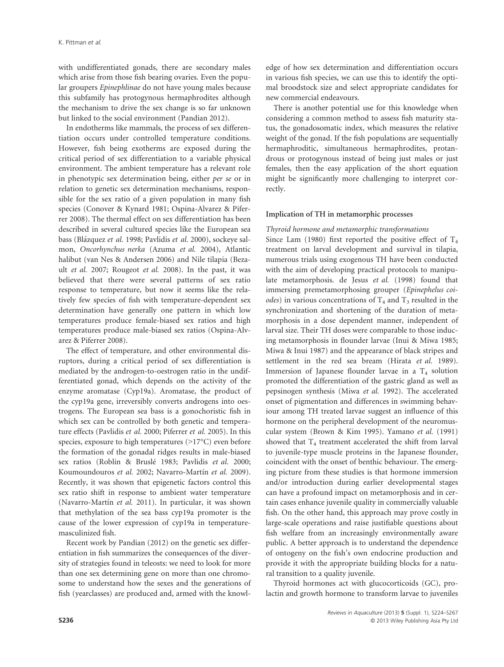with undifferentiated gonads, there are secondary males which arise from those fish bearing ovaries. Even the popular groupers Epinephlinae do not have young males because this subfamily has protogynous hermaphrodites although the mechanism to drive the sex change is so far unknown but linked to the social environment (Pandian 2012).

In endotherms like mammals, the process of sex differentiation occurs under controlled temperature conditions. However, fish being exotherms are exposed during the critical period of sex differentiation to a variable physical environment. The ambient temperature has a relevant role in phenotypic sex determination being, either per se or in relation to genetic sex determination mechanisms, responsible for the sex ratio of a given population in many fish species (Conover & Kynard 1981; Ospina-Alvarez & Piferrer 2008). The thermal effect on sex differentiation has been described in several cultured species like the European sea bass (Blázquez et al. 1998; Pavlidis et al. 2000), sockeye salmon, Oncorhynchus nerka (Azuma et al. 2004), Atlantic halibut (van Nes & Andersen 2006) and Nile tilapia (Bezault et al. 2007; Rougeot et al. 2008). In the past, it was believed that there were several patterns of sex ratio response to temperature, but now it seems like the relatively few species of fish with temperature-dependent sex determination have generally one pattern in which low temperatures produce female-biased sex ratios and high temperatures produce male-biased sex ratios (Ospina-Alvarez & Piferrer 2008).

The effect of temperature, and other environmental disruptors, during a critical period of sex differentiation is mediated by the androgen-to-oestrogen ratio in the undifferentiated gonad, which depends on the activity of the enzyme aromatase (Cyp19a). Aromatase, the product of the cyp19a gene, irreversibly converts androgens into oestrogens. The European sea bass is a gonochoristic fish in which sex can be controlled by both genetic and temperature effects (Pavlidis et al. 2000; Piferrer et al. 2005). In this species, exposure to high temperatures (>17°C) even before the formation of the gonadal ridges results in male-biased sex ratios (Roblin & Brusle 1983; Pavlidis et al. 2000; Koumoundouros et al. 2002; Navarro-Martín et al. 2009). Recently, it was shown that epigenetic factors control this sex ratio shift in response to ambient water temperature (Navarro-Martín et al. 2011). In particular, it was shown that methylation of the sea bass cyp19a promoter is the cause of the lower expression of cyp19a in temperaturemasculinized fish.

Recent work by Pandian (2012) on the genetic sex differentiation in fish summarizes the consequences of the diversity of strategies found in teleosts: we need to look for more than one sex determining gene on more than one chromosome to understand how the sexes and the generations of fish (yearclasses) are produced and, armed with the knowledge of how sex determination and differentiation occurs in various fish species, we can use this to identify the optimal broodstock size and select appropriate candidates for new commercial endeavours.

There is another potential use for this knowledge when considering a common method to assess fish maturity status, the gonadosomatic index, which measures the relative weight of the gonad. If the fish populations are sequentially hermaphroditic, simultaneous hermaphrodites, protandrous or protogynous instead of being just males or just females, then the easy application of the short equation might be significantly more challenging to interpret correctly.

# Implication of TH in metamorphic processes

#### Thyroid hormone and metamorphic transformations

Since Lam (1980) first reported the positive effect of  $T_4$ treatment on larval development and survival in tilapia, numerous trials using exogenous TH have been conducted with the aim of developing practical protocols to manipulate metamorphosis. de Jesus et al. (1998) found that immersing premetamorphosing grouper (Epinephelus coi*odes*) in various concentrations of  $T_4$  and  $T_3$  resulted in the synchronization and shortening of the duration of metamorphosis in a dose dependent manner, independent of larval size. Their TH doses were comparable to those inducing metamorphosis in flounder larvae (Inui & Miwa 1985; Miwa & Inui 1987) and the appearance of black stripes and settlement in the red sea bream (Hirata et al. 1989). Immersion of Japanese flounder larvae in a  $T_4$  solution promoted the differentiation of the gastric gland as well as pepsinogen synthesis (Miwa et al. 1992). The accelerated onset of pigmentation and differences in swimming behaviour among TH treated larvae suggest an influence of this hormone on the peripheral development of the neuromuscular system (Brown & Kim 1995). Yamano et al. (1991) showed that  $T_4$  treatment accelerated the shift from larval to juvenile-type muscle proteins in the Japanese flounder, coincident with the onset of benthic behaviour. The emerging picture from these studies is that hormone immersion and/or introduction during earlier developmental stages can have a profound impact on metamorphosis and in certain cases enhance juvenile quality in commercially valuable fish. On the other hand, this approach may prove costly in large-scale operations and raise justifiable questions about fish welfare from an increasingly environmentally aware public. A better approach is to understand the dependence of ontogeny on the fish's own endocrine production and provide it with the appropriate building blocks for a natural transition to a quality juvenile.

Thyroid hormones act with glucocorticoids (GC), prolactin and growth hormone to transform larvae to juveniles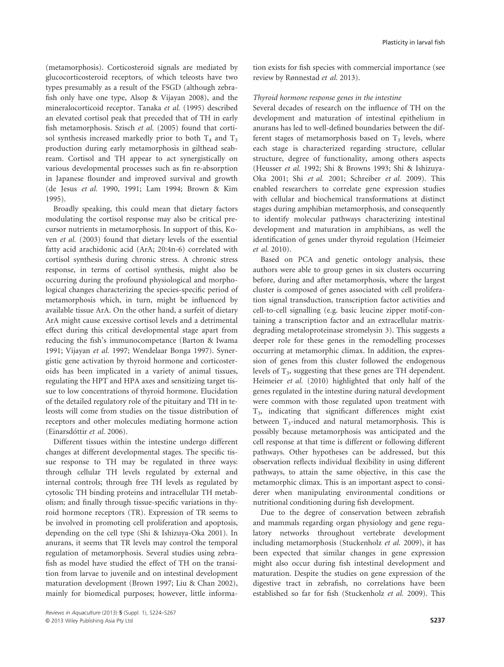(metamorphosis). Corticosteroid signals are mediated by glucocorticosteroid receptors, of which teleosts have two types presumably as a result of the FSGD (although zebrafish only have one type, Alsop & Vijayan 2008), and the mineralocorticoid receptor. Tanaka et al. (1995) described an elevated cortisol peak that preceded that of TH in early fish metamorphosis. Szisch et al. (2005) found that cortisol synthesis increased markedly prior to both  $T_4$  and  $T_3$ production during early metamorphosis in gilthead seabream. Cortisol and TH appear to act synergistically on various developmental processes such as fin re-absorption in Japanese flounder and improved survival and growth (de Jesus et al. 1990, 1991; Lam 1994; Brown & Kim 1995).

Broadly speaking, this could mean that dietary factors modulating the cortisol response may also be critical precursor nutrients in metamorphosis. In support of this, Koven et al. (2003) found that dietary levels of the essential fatty acid arachidonic acid (ArA; 20:4n-6) correlated with cortisol synthesis during chronic stress. A chronic stress response, in terms of cortisol synthesis, might also be occurring during the profound physiological and morphological changes characterizing the species-specific period of metamorphosis which, in turn, might be influenced by available tissue ArA. On the other hand, a surfeit of dietary ArA might cause excessive cortisol levels and a detrimental effect during this critical developmental stage apart from reducing the fish's immunocompetance (Barton & Iwama 1991; Vijayan et al. 1997; Wendelaar Bonga 1997). Synergistic gene activation by thyroid hormone and corticosteroids has been implicated in a variety of animal tissues, regulating the HPT and HPA axes and sensitizing target tissue to low concentrations of thyroid hormone. Elucidation of the detailed regulatory role of the pituitary and TH in teleosts will come from studies on the tissue distribution of receptors and other molecules mediating hormone action (Einarsdottir et al. 2006).

Different tissues within the intestine undergo different changes at different developmental stages. The specific tissue response to TH may be regulated in three ways: through cellular TH levels regulated by external and internal controls; through free TH levels as regulated by cytosolic TH binding proteins and intracellular TH metabolism; and finally through tissue-specific variations in thyroid hormone receptors (TR). Expression of TR seems to be involved in promoting cell proliferation and apoptosis, depending on the cell type (Shi & Ishizuya-Oka 2001). In anurans, it seems that TR levels may control the temporal regulation of metamorphosis. Several studies using zebrafish as model have studied the effect of TH on the transition from larvae to juvenile and on intestinal development maturation development (Brown 1997; Liu & Chan 2002), mainly for biomedical purposes; however, little informa-

tion exists for fish species with commercial importance (see review by Rønnestad et al. 2013).

# Thyroid hormone response genes in the intestine

Several decades of research on the influence of TH on the development and maturation of intestinal epithelium in anurans has led to well-defined boundaries between the different stages of metamorphosis based on  $T<sub>3</sub>$  levels, where each stage is characterized regarding structure, cellular structure, degree of functionality, among others aspects (Heusser et al. 1992; Shi & Browns 1993; Shi & Ishizuya-Oka 2001; Shi et al. 2001; Schreiber et al. 2009). This enabled researchers to correlate gene expression studies with cellular and biochemical transformations at distinct stages during amphibian metamorphosis, and consequently to identify molecular pathways characterizing intestinal development and maturation in amphibians, as well the identification of genes under thyroid regulation (Heimeier et al. 2010).

Based on PCA and genetic ontology analysis, these authors were able to group genes in six clusters occurring before, during and after metamorphosis, where the largest cluster is composed of genes associated with cell proliferation signal transduction, transcription factor activities and cell-to-cell signalling (e.g. basic leucine zipper motif-containing a transcription factor and an extracellular matrixdegrading metaloproteinase stromelysin 3). This suggests a deeper role for these genes in the remodelling processes occurring at metamorphic climax. In addition, the expression of genes from this cluster followed the endogenous levels of  $T_3$ , suggesting that these genes are TH dependent. Heimeier et al. (2010) highlighted that only half of the genes regulated in the intestine during natural development were common with those regulated upon treatment with T3, indicating that significant differences might exist between  $T_3$ -induced and natural metamorphosis. This is possibly because metamorphosis was anticipated and the cell response at that time is different or following different pathways. Other hypotheses can be addressed, but this observation reflects individual flexibility in using different pathways, to attain the same objective, in this case the metamorphic climax. This is an important aspect to considerer when manipulating environmental conditions or nutritional conditioning during fish development.

Due to the degree of conservation between zebrafish and mammals regarding organ physiology and gene regulatory networks throughout vertebrate development including metamorphosis (Stuckenholz et al. 2009), it has been expected that similar changes in gene expression might also occur during fish intestinal development and maturation. Despite the studies on gene expression of the digestive tract in zebrafish, no correlations have been established so far for fish (Stuckenholz et al. 2009). This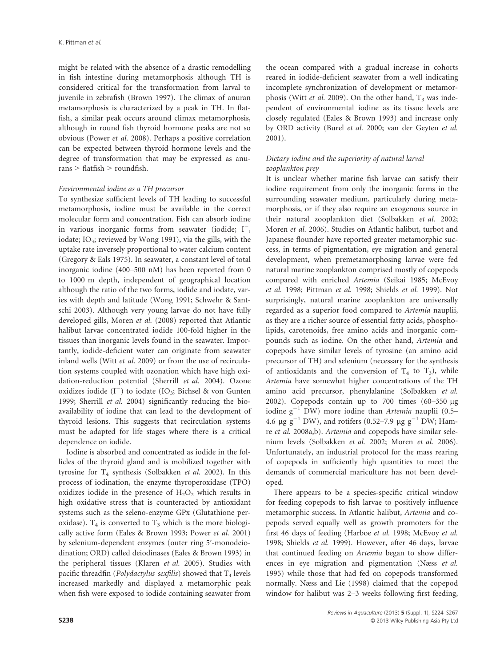might be related with the absence of a drastic remodelling in fish intestine during metamorphosis although TH is considered critical for the transformation from larval to juvenile in zebrafish (Brown 1997). The climax of anuran metamorphosis is characterized by a peak in TH. In flatfish, a similar peak occurs around climax metamorphosis, although in round fish thyroid hormone peaks are not so obvious (Power et al. 2008). Perhaps a positive correlation can be expected between thyroid hormone levels and the degree of transformation that may be expressed as anurans > flatfish > roundfish.

#### Environmental iodine as a TH precursor

To synthesize sufficient levels of TH leading to successful metamorphosis, iodine must be available in the correct molecular form and concentration. Fish can absorb iodine in various inorganic forms from seawater (iodide;  $I^-$ , iodate;  $IO_3$ ; reviewed by Wong 1991), via the gills, with the uptake rate inversely proportional to water calcium content (Gregory & Eals 1975). In seawater, a constant level of total inorganic iodine (400–500 nM) has been reported from 0 to 1000 m depth, independent of geographical location although the ratio of the two forms, iodide and iodate, varies with depth and latitude (Wong 1991; Schwehr & Santschi 2003). Although very young larvae do not have fully developed gills, Moren et al. (2008) reported that Atlantic halibut larvae concentrated iodide 100-fold higher in the tissues than inorganic levels found in the seawater. Importantly, iodide-deficient water can originate from seawater inland wells (Witt et al. 2009) or from the use of recirculation systems coupled with ozonation which have high oxidation-reduction potential (Sherrill et al. 2004). Ozone oxidizes iodide  $(I^-)$  to iodate  $(IO_3; Bichsel \& von Gunten)$ 1999; Sherrill et al. 2004) significantly reducing the bioavailability of iodine that can lead to the development of thyroid lesions. This suggests that recirculation systems must be adapted for life stages where there is a critical dependence on iodide.

Iodine is absorbed and concentrated as iodide in the follicles of the thyroid gland and is mobilized together with tyrosine for  $T_4$  synthesis (Solbakken *et al.* 2002). In this process of iodination, the enzyme thyroperoxidase (TPO) oxidizes iodide in the presence of  $H_2O_2$  which results in high oxidative stress that is counteracted by antioxidant systems such as the seleno-enzyme GPx (Glutathione peroxidase).  $T_4$  is converted to  $T_3$  which is the more biologically active form (Eales & Brown 1993; Power et al. 2001) by selenium-dependent enzymes (outer ring 5′-monodeiodination; ORD) called deiodinases (Eales & Brown 1993) in the peripheral tissues (Klaren et al. 2005). Studies with pacific threadfin (Polydactylus sexfilis) showed that  $T_4$  levels increased markedly and displayed a metamorphic peak when fish were exposed to iodide containing seawater from

the ocean compared with a gradual increase in cohorts reared in iodide-deficient seawater from a well indicating incomplete synchronization of development or metamorphosis (Witt et al. 2009). On the other hand,  $T_3$  was independent of environmental iodine as its tissue levels are closely regulated (Eales & Brown 1993) and increase only by ORD activity (Burel et al. 2000; van der Geyten et al. 2001).

# Dietary iodine and the superiority of natural larval zooplankton prey

It is unclear whether marine fish larvae can satisfy their iodine requirement from only the inorganic forms in the surrounding seawater medium, particularly during metamorphosis, or if they also require an exogenous source in their natural zooplankton diet (Solbakken et al. 2002; Moren et al. 2006). Studies on Atlantic halibut, turbot and Japanese flounder have reported greater metamorphic success, in terms of pigmentation, eye migration and general development, when premetamorphosing larvae were fed natural marine zooplankton comprised mostly of copepods compared with enriched Artemia (Seikai 1985; McEvoy et al. 1998; Pittman et al. 1998; Shields et al. 1999). Not surprisingly, natural marine zooplankton are universally regarded as a superior food compared to Artemia nauplii, as they are a richer source of essential fatty acids, phospholipids, carotenoids, free amino acids and inorganic compounds such as iodine. On the other hand, Artemia and copepods have similar levels of tyrosine (an amino acid precursor of TH) and selenium (necessary for the synthesis of antioxidants and the conversion of  $T_4$  to  $T_3$ ), while Artemia have somewhat higher concentrations of the TH amino acid precursor, phenylalanine (Solbakken et al. 2002). Copepods contain up to 700 times  $(60-350 \text{ µg})$ iodine  $g^{-1}$  DW) more iodine than Artemia nauplii (0.5– 4.6  $\mu$ g g<sup>-1</sup> DW), and rotifers (0.52–7.9  $\mu$ g g<sup>-1</sup> DW; Hamre et al. 2008a,b). Artemia and copepods have similar selenium levels (Solbakken et al. 2002; Moren et al. 2006). Unfortunately, an industrial protocol for the mass rearing of copepods in sufficiently high quantities to meet the demands of commercial mariculture has not been developed.

There appears to be a species-specific critical window for feeding copepods to fish larvae to positively influence metamorphic success. In Atlantic halibut, Artemia and copepods served equally well as growth promoters for the first 46 days of feeding (Harboe et al. 1998; McEvoy et al. 1998; Shields et al. 1999). However, after 46 days, larvae that continued feeding on Artemia began to show differences in eye migration and pigmentation (Næss et al. 1995) while those that had fed on copepods transformed normally. Næss and Lie (1998) claimed that the copepod window for halibut was 2–3 weeks following first feeding,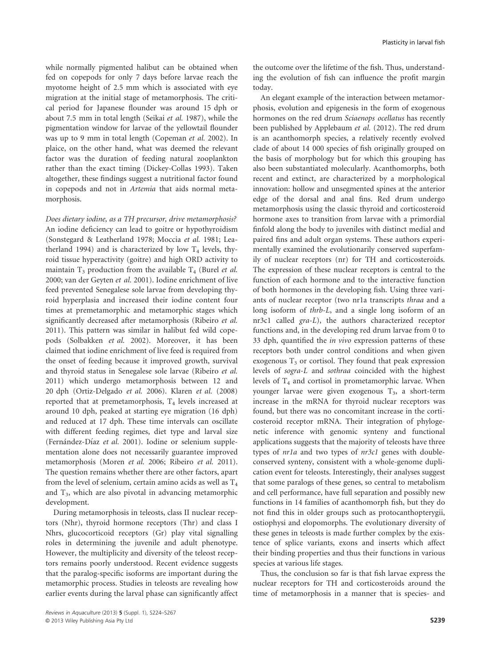while normally pigmented halibut can be obtained when fed on copepods for only 7 days before larvae reach the myotome height of 2.5 mm which is associated with eye migration at the initial stage of metamorphosis. The critical period for Japanese flounder was around 15 dph or about 7.5 mm in total length (Seikai et al. 1987), while the pigmentation window for larvae of the yellowtail flounder was up to 9 mm in total length (Copeman et al. 2002). In plaice, on the other hand, what was deemed the relevant factor was the duration of feeding natural zooplankton rather than the exact timing (Dickey-Collas 1993). Taken altogether, these findings suggest a nutritional factor found in copepods and not in Artemia that aids normal metamorphosis.

Does dietary iodine, as a TH precursor, drive metamorphosis? An iodine deficiency can lead to goitre or hypothyroidism (Sonstegard & Leatherland 1978; Moccia et al. 1981; Leatherland 1994) and is characterized by low  $T<sub>4</sub>$  levels, thyroid tissue hyperactivity (goitre) and high ORD activity to maintain  $T_3$  production from the available  $T_4$  (Burel et al. 2000; van der Geyten et al. 2001). Iodine enrichment of live feed prevented Senegalese sole larvae from developing thyroid hyperplasia and increased their iodine content four times at premetamorphic and metamorphic stages which significantly decreased after metamorphosis (Ribeiro et al. 2011). This pattern was similar in halibut fed wild copepods (Solbakken et al. 2002). Moreover, it has been claimed that iodine enrichment of live feed is required from the onset of feeding because it improved growth, survival and thyroid status in Senegalese sole larvae (Ribeiro et al. 2011) which undergo metamorphosis between 12 and 20 dph (Ortiz-Delgado et al. 2006). Klaren et al. (2008) reported that at premetamorphosis,  $T_4$  levels increased at around 10 dph, peaked at starting eye migration (16 dph) and reduced at 17 dph. These time intervals can oscillate with different feeding regimes, diet type and larval size (Fernández-Díaz et al. 2001). Iodine or selenium supplementation alone does not necessarily guarantee improved metamorphosis (Moren et al. 2006; Ribeiro et al. 2011). The question remains whether there are other factors, apart from the level of selenium, certain amino acids as well as  $T_4$ and T<sub>3</sub>, which are also pivotal in advancing metamorphic development.

During metamorphosis in teleosts, class II nuclear receptors (Nhr), thyroid hormone receptors (Thr) and class I Nhrs, glucocorticoid receptors (Gr) play vital signalling roles in determining the juvenile and adult phenotype. However, the multiplicity and diversity of the teleost receptors remains poorly understood. Recent evidence suggests that the paralog-specific isoforms are important during the metamorphic process. Studies in teleosts are revealing how earlier events during the larval phase can significantly affect

the outcome over the lifetime of the fish. Thus, understanding the evolution of fish can influence the profit margin today.

An elegant example of the interaction between metamorphosis, evolution and epigenesis in the form of exogenous hormones on the red drum Sciaenops ocellatus has recently been published by Applebaum et al. (2012). The red drum is an acanthomorph species, a relatively recently evolved clade of about 14 000 species of fish originally grouped on the basis of morphology but for which this grouping has also been substantiated molecularly. Acanthomorphs, both recent and extinct, are characterized by a morphological innovation: hollow and unsegmented spines at the anterior edge of the dorsal and anal fins. Red drum undergo metamorphosis using the classic thyroid and corticosteroid hormone axes to transition from larvae with a primordial finfold along the body to juveniles with distinct medial and paired fins and adult organ systems. These authors experimentally examined the evolutionarily conserved superfamily of nuclear receptors (nr) for TH and corticosteroids. The expression of these nuclear receptors is central to the function of each hormone and to the interactive function of both hormones in the developing fish. Using three variants of nuclear receptor (two nr1a transcripts thraa and a long isoform of thrb-L, and a single long isoform of an nr3c1 called gra-L), the authors characterized receptor functions and, in the developing red drum larvae from 0 to 33 dph, quantified the in vivo expression patterns of these receptors both under control conditions and when given exogenous  $T_3$  or cortisol. They found that peak expression levels of sogra-L and sothraa coincided with the highest levels of  $T_4$  and cortisol in prometamorphic larvae. When younger larvae were given exogenous  $T_3$ , a short-term increase in the mRNA for thyroid nuclear receptors was found, but there was no concomitant increase in the corticosteroid receptor mRNA. Their integration of phylogenetic inference with genomic synteny and functional applications suggests that the majority of teleosts have three types of nr1a and two types of nr3c1 genes with doubleconserved synteny, consistent with a whole-genome duplication event for teleosts. Interestingly, their analyses suggest that some paralogs of these genes, so central to metabolism and cell performance, have full separation and possibly new functions in 14 families of acanthomorph fish, but they do not find this in older groups such as protocanthopterygii, ostiophysi and elopomorphs. The evolutionary diversity of these genes in teleosts is made further complex by the existence of splice variants, exons and inserts which affect their binding properties and thus their functions in various species at various life stages.

Thus, the conclusion so far is that fish larvae express the nuclear receptors for TH and corticosteroids around the time of metamorphosis in a manner that is species- and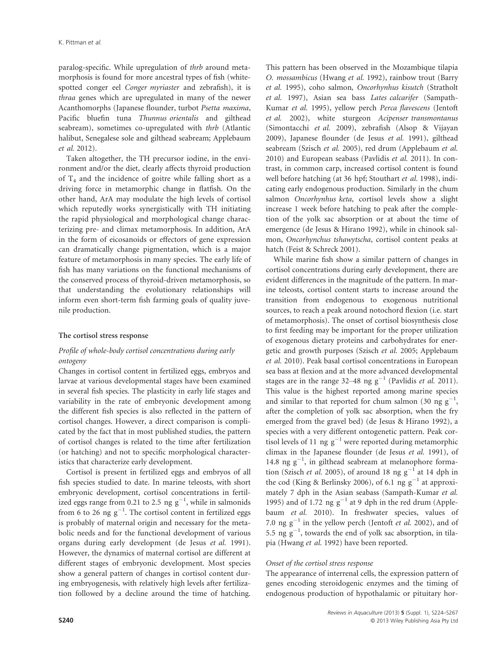paralog-specific. While upregulation of thrb around metamorphosis is found for more ancestral types of fish (whitespotted conger eel Conger myriaster and zebrafish), it is thraa genes which are upregulated in many of the newer Acanthomorphs (Japanese flounder, turbot Psetta maxima, Pacific bluefin tuna Thunnus orientalis and gilthead seabream), sometimes co-upregulated with thrb (Atlantic halibut, Senegalese sole and gilthead seabream; Applebaum et al. 2012).

Taken altogether, the TH precursor iodine, in the environment and/or the diet, clearly affects thyroid production of  $T_4$  and the incidence of goitre while falling short as a driving force in metamorphic change in flatfish. On the other hand, ArA may modulate the high levels of cortisol which reputedly works synergistically with TH initiating the rapid physiological and morphological change characterizing pre- and climax metamorphosis. In addition, ArA in the form of eicosanoids or effectors of gene expression can dramatically change pigmentation, which is a major feature of metamorphosis in many species. The early life of fish has many variations on the functional mechanisms of the conserved process of thyroid-driven metamorphosis, so that understanding the evolutionary relationships will inform even short-term fish farming goals of quality juvenile production.

# The cortisol stress response

# Profile of whole-body cortisol concentrations during early ontogeny

Changes in cortisol content in fertilized eggs, embryos and larvae at various developmental stages have been examined in several fish species. The plasticity in early life stages and variability in the rate of embryonic development among the different fish species is also reflected in the pattern of cortisol changes. However, a direct comparison is complicated by the fact that in most published studies, the pattern of cortisol changes is related to the time after fertilization (or hatching) and not to specific morphological characteristics that characterize early development.

Cortisol is present in fertilized eggs and embryos of all fish species studied to date. In marine teleosts, with short embryonic development, cortisol concentrations in fertilized eggs range from 0.21 to 2.5 ng  $g^{-1}$ , while in salmonids from 6 to 26 ng  $g^{-1}$ . The cortisol content in fertilized eggs is probably of maternal origin and necessary for the metabolic needs and for the functional development of various organs during early development (de Jesus et al. 1991). However, the dynamics of maternal cortisol are different at different stages of embryonic development. Most species show a general pattern of changes in cortisol content during embryogenesis, with relatively high levels after fertilization followed by a decline around the time of hatching.

This pattern has been observed in the Mozambique tilapia O. mossambicus (Hwang et al. 1992), rainbow trout (Barry et al. 1995), coho salmon, Oncorhynhus kisutch (Stratholt et al. 1997), Asian sea bass Lates calcarifer (Sampath-Kumar et al. 1995), yellow perch Perca flavescens (Jentoft et al. 2002), white sturgeon Acipenser transmontanus (Simontacchi et al. 2009), zebrafish (Alsop & Vijayan 2009), Japanese flounder (de Jesus et al. 1991), gilthead seabream (Szisch et al. 2005), red drum (Applebaum et al. 2010) and European seabass (Pavlidis et al. 2011). In contrast, in common carp, increased cortisol content is found well before hatching (at 36 hpf; Stouthart et al. 1998), indicating early endogenous production. Similarly in the chum salmon Oncorhynhus keta, cortisol levels show a slight increase 1 week before hatching to peak after the completion of the yolk sac absorption or at about the time of emergence (de Jesus & Hirano 1992), while in chinook salmon, Oncorhynchus tshawytscha, cortisol content peaks at hatch (Feist & Schreck 2001).

While marine fish show a similar pattern of changes in cortisol concentrations during early development, there are evident differences in the magnitude of the pattern. In marine teleosts, cortisol content starts to increase around the transition from endogenous to exogenous nutritional sources, to reach a peak around notochord flexion (i.e. start of metamorphosis). The onset of cortisol biosynthesis close to first feeding may be important for the proper utilization of exogenous dietary proteins and carbohydrates for energetic and growth purposes (Szisch et al. 2005; Applebaum et al. 2010). Peak basal cortisol concentrations in European sea bass at flexion and at the more advanced developmental stages are in the range  $32-48$  ng  $g^{-1}$  (Pavlidis et al. 2011). This value is the highest reported among marine species and similar to that reported for chum salmon (30 ng  $g^{-1}$ , after the completion of yolk sac absorption, when the fry emerged from the gravel bed) (de Jesus & Hirano 1992), a species with a very different ontogenetic pattern. Peak cortisol levels of 11 ng  $g^{-1}$  were reported during metamorphic climax in the Japanese flounder (de Jesus et al. 1991), of 14.8 ng  $g^{-1}$ , in gilthead seabream at melanophore formation (Szisch et al. 2005), of around 18 ng  $g^{-1}$  at 14 dph in the cod (King & Berlinsky 2006), of 6.1 ng  $g^{-1}$  at approximately 7 dph in the Asian seabass (Sampath-Kumar et al. 1995) and of 1.72 ng  $g^{-1}$  at 9 dph in the red drum (Applebaum et al. 2010). In freshwater species, values of 7.0 ng  $g^{-1}$  in the yellow perch (Jentoft et al. 2002), and of 5.5 ng  $g^{-1}$ , towards the end of yolk sac absorption, in tilapia (Hwang et al. 1992) have been reported.

# Onset of the cortisol stress response

The appearance of interrenal cells, the expression pattern of genes encoding steroidogenic enzymes and the timing of endogenous production of hypothalamic or pituitary hor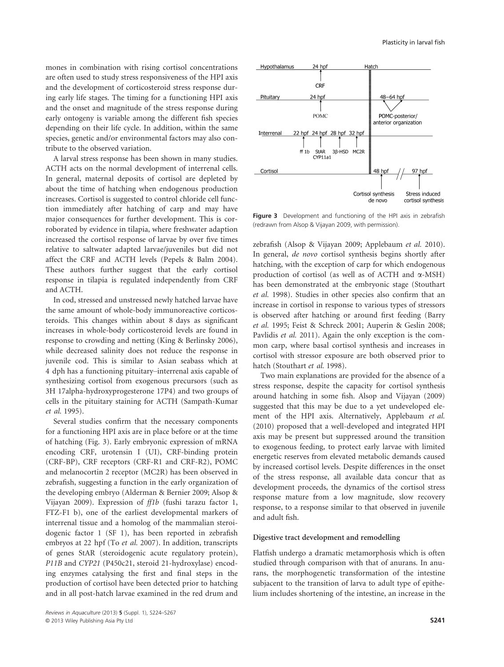mones in combination with rising cortisol concentrations are often used to study stress responsiveness of the HPI axis and the development of corticosteroid stress response during early life stages. The timing for a functioning HPI axis and the onset and magnitude of the stress response during early ontogeny is variable among the different fish species depending on their life cycle. In addition, within the same species, genetic and/or environmental factors may also contribute to the observed variation.

A larval stress response has been shown in many studies. ACTH acts on the normal development of interrenal cells. In general, maternal deposits of cortisol are depleted by about the time of hatching when endogenous production increases. Cortisol is suggested to control chloride cell function immediately after hatching of carp and may have major consequences for further development. This is corroborated by evidence in tilapia, where freshwater adaption increased the cortisol response of larvae by over five times relative to saltwater adapted larvae/juveniles but did not affect the CRF and ACTH levels (Pepels & Balm 2004). These authors further suggest that the early cortisol response in tilapia is regulated independently from CRF and ACTH.

In cod, stressed and unstressed newly hatched larvae have the same amount of whole-body immunoreactive corticosteroids. This changes within about 8 days as significant increases in whole-body corticosteroid levels are found in response to crowding and netting (King & Berlinsky 2006), while decreased salinity does not reduce the response in juvenile cod. This is similar to Asian seabass which at 4 dph has a functioning pituitary–interrenal axis capable of synthesizing cortisol from exogenous precursors (such as 3H 17alpha-hydroxyprogesterone 17P4) and two groups of cells in the pituitary staining for ACTH (Sampath-Kumar et al. 1995).

Several studies confirm that the necessary components for a functioning HPI axis are in place before or at the time of hatching (Fig. 3). Early embryonic expression of mRNA encoding CRF, urotensin I (UI), CRF-binding protein (CRF-BP), CRF receptors (CRF-R1 and CRF-R2), POMC and melanocortin 2 receptor (MC2R) has been observed in zebrafish, suggesting a function in the early organization of the developing embryo (Alderman & Bernier 2009; Alsop & Vijayan 2009). Expression of ff1b (fushi tarazu factor 1, FTZ-F1 b), one of the earliest developmental markers of interrenal tissue and a homolog of the mammalian steroidogenic factor 1 (SF 1), has been reported in zebrafish embryos at 22 hpf (To et al. 2007). In addition, transcripts of genes StAR (steroidogenic acute regulatory protein), P11B and CYP21 (P450c21, steroid 21-hydroxylase) encoding enzymes catalysing the first and final steps in the production of cortisol have been detected prior to hatching and in all post-hatch larvae examined in the red drum and



Figure 3 Development and functioning of the HPI axis in zebrafish (redrawn from Alsop & Vijayan 2009, with permission).

zebrafish (Alsop & Vijayan 2009; Applebaum et al. 2010). In general, de novo cortisol synthesis begins shortly after hatching, with the exception of carp for which endogenous production of cortisol (as well as of ACTH and  $\alpha$ -MSH) has been demonstrated at the embryonic stage (Stouthart et al. 1998). Studies in other species also confirm that an increase in cortisol in response to various types of stressors is observed after hatching or around first feeding (Barry et al. 1995; Feist & Schreck 2001; Auperin & Geslin 2008; Pavlidis et al. 2011). Again the only exception is the common carp, where basal cortisol synthesis and increases in cortisol with stressor exposure are both observed prior to hatch (Stouthart et al. 1998).

Two main explanations are provided for the absence of a stress response, despite the capacity for cortisol synthesis around hatching in some fish. Alsop and Vijayan (2009) suggested that this may be due to a yet undeveloped element of the HPI axis. Alternatively, Applebaum et al. (2010) proposed that a well-developed and integrated HPI axis may be present but suppressed around the transition to exogenous feeding, to protect early larvae with limited energetic reserves from elevated metabolic demands caused by increased cortisol levels. Despite differences in the onset of the stress response, all available data concur that as development proceeds, the dynamics of the cortisol stress response mature from a low magnitude, slow recovery response, to a response similar to that observed in juvenile and adult fish.

#### Digestive tract development and remodelling

Flatfish undergo a dramatic metamorphosis which is often studied through comparison with that of anurans. In anurans, the morphogenetic transformation of the intestine subjacent to the transition of larva to adult type of epithelium includes shortening of the intestine, an increase in the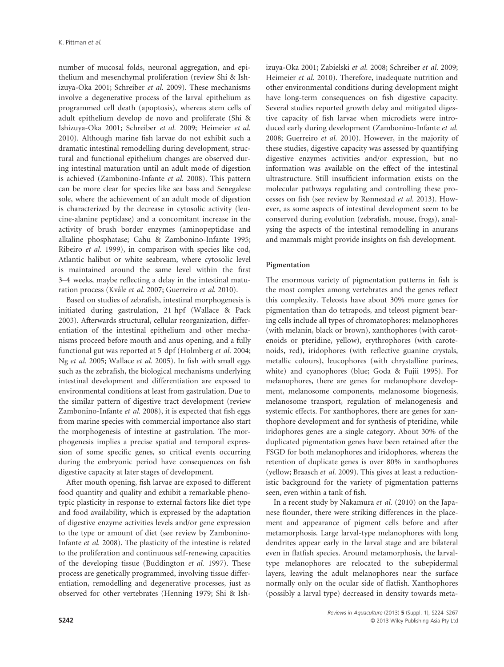number of mucosal folds, neuronal aggregation, and epithelium and mesenchymal proliferation (review Shi & Ishizuya-Oka 2001; Schreiber et al. 2009). These mechanisms involve a degenerative process of the larval epithelium as programmed cell death (apoptosis), whereas stem cells of adult epithelium develop de novo and proliferate (Shi & Ishizuya-Oka 2001; Schreiber et al. 2009; Heimeier et al. 2010). Although marine fish larvae do not exhibit such a dramatic intestinal remodelling during development, structural and functional epithelium changes are observed during intestinal maturation until an adult mode of digestion is achieved (Zambonino-Infante et al. 2008). This pattern can be more clear for species like sea bass and Senegalese sole, where the achievement of an adult mode of digestion is characterized by the decrease in cytosolic activity (leucine-alanine peptidase) and a concomitant increase in the activity of brush border enzymes (aminopeptidase and alkaline phosphatase; Cahu & Zambonino-Infante 1995; Ribeiro et al. 1999), in comparison with species like cod, Atlantic halibut or white seabream, where cytosolic level is maintained around the same level within the first 3–4 weeks, maybe reflecting a delay in the intestinal maturation process (Kvale et al. 2007; Guerreiro et al. 2010).

Based on studies of zebrafish, intestinal morphogenesis is initiated during gastrulation, 21 hpf (Wallace & Pack 2003). Afterwards structural, cellular reorganization, differentiation of the intestinal epithelium and other mechanisms proceed before mouth and anus opening, and a fully functional gut was reported at 5 dpf (Holmberg et al. 2004; Ng et al. 2005; Wallace et al. 2005). In fish with small eggs such as the zebrafish, the biological mechanisms underlying intestinal development and differentiation are exposed to environmental conditions at least from gastrulation. Due to the similar pattern of digestive tract development (review Zambonino-Infante et al. 2008), it is expected that fish eggs from marine species with commercial importance also start the morphogenesis of intestine at gastrulation. The morphogenesis implies a precise spatial and temporal expression of some specific genes, so critical events occurring during the embryonic period have consequences on fish digestive capacity at later stages of development.

After mouth opening, fish larvae are exposed to different food quantity and quality and exhibit a remarkable phenotypic plasticity in response to external factors like diet type and food availability, which is expressed by the adaptation of digestive enzyme activities levels and/or gene expression to the type or amount of diet (see review by Zambonino-Infante et al. 2008). The plasticity of the intestine is related to the proliferation and continuous self-renewing capacities of the developing tissue (Buddington et al. 1997). These process are genetically programmed, involving tissue differentiation, remodelling and degenerative processes, just as observed for other vertebrates (Henning 1979; Shi & Ishizuya-Oka 2001; Zabielski et al. 2008; Schreiber et al. 2009; Heimeier et al. 2010). Therefore, inadequate nutrition and other environmental conditions during development might have long-term consequences on fish digestive capacity. Several studies reported growth delay and mitigated digestive capacity of fish larvae when microdiets were introduced early during development (Zambonino-Infante et al. 2008; Guerreiro et al. 2010). However, in the majority of these studies, digestive capacity was assessed by quantifying digestive enzymes activities and/or expression, but no information was available on the effect of the intestinal ultrastructure. Still insufficient information exists on the molecular pathways regulating and controlling these processes on fish (see review by Rønnestad et al. 2013). However, as some aspects of intestinal development seem to be conserved during evolution (zebrafish, mouse, frogs), analysing the aspects of the intestinal remodelling in anurans and mammals might provide insights on fish development.

## Pigmentation

The enormous variety of pigmentation patterns in fish is the most complex among vertebrates and the genes reflect this complexity. Teleosts have about 30% more genes for pigmentation than do tetrapods, and teleost pigment bearing cells include all types of chromatophores: melanophores (with melanin, black or brown), xanthophores (with carotenoids or pteridine, yellow), erythrophores (with carotenoids, red), iridophores (with reflective guanine crystals, metallic colours), leucophores (with chrystalline purines, white) and cyanophores (blue; Goda & Fujii 1995). For melanophores, there are genes for melanophore development, melanosome components, melanosome biogenesis, melanosome transport, regulation of melanogenesis and systemic effects. For xanthophores, there are genes for xanthophore development and for synthesis of pteridine, while iridophores genes are a single category. About 30% of the duplicated pigmentation genes have been retained after the FSGD for both melanophores and iridophores, whereas the retention of duplicate genes is over 80% in xanthophores (yellow; Braasch et al. 2009). This gives at least a reductionistic background for the variety of pigmentation patterns seen, even within a tank of fish.

In a recent study by Nakamura et al. (2010) on the Japanese flounder, there were striking differences in the placement and appearance of pigment cells before and after metamorphosis. Large larval-type melanophores with long dendrites appear early in the larval stage and are bilateral even in flatfish species. Around metamorphosis, the larvaltype melanophores are relocated to the subepidermal layers, leaving the adult melanophores near the surface normally only on the ocular side of flatfish. Xanthophores (possibly a larval type) decreased in density towards meta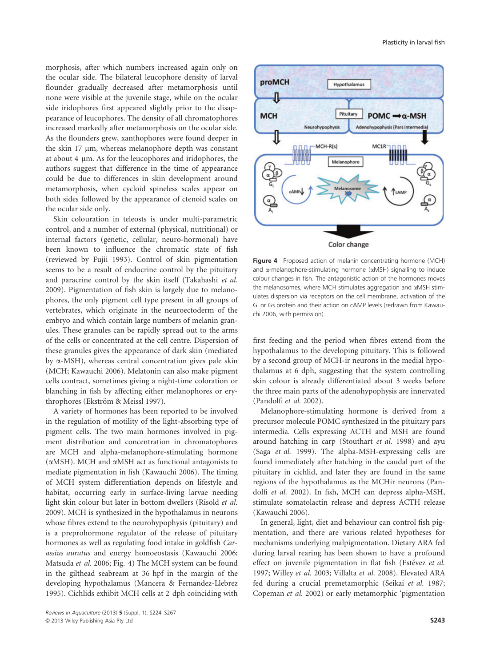morphosis, after which numbers increased again only on the ocular side. The bilateral leucophore density of larval flounder gradually decreased after metamorphosis until none were visible at the juvenile stage, while on the ocular side iridophores first appeared slightly prior to the disappearance of leucophores. The density of all chromatophores increased markedly after metamorphosis on the ocular side. As the flounders grew, xanthophores were found deeper in the skin  $17 \mu m$ , whereas melanophore depth was constant at about 4  $\mu$ m. As for the leucophores and iridophores, the authors suggest that difference in the time of appearance could be due to differences in skin development around metamorphosis, when cycloid spineless scales appear on both sides followed by the appearance of ctenoid scales on the ocular side only.

Skin colouration in teleosts is under multi-parametric control, and a number of external (physical, nutritional) or internal factors (genetic, cellular, neuro-hormonal) have been known to influence the chromatic state of fish (reviewed by Fujii 1993). Control of skin pigmentation seems to be a result of endocrine control by the pituitary and paracrine control by the skin itself (Takahashi et al. 2009). Pigmentation of fish skin is largely due to melanophores, the only pigment cell type present in all groups of vertebrates, which originate in the neuroectoderm of the embryo and which contain large numbers of melanin granules. These granules can be rapidly spread out to the arms of the cells or concentrated at the cell centre. Dispersion of these granules gives the appearance of dark skin (mediated by a-MSH), whereas central concentration gives pale skin (MCH; Kawauchi 2006). Melatonin can also make pigment cells contract, sometimes giving a night-time coloration or blanching in fish by affecting either melanophores or erythrophores (Ekström & Meissl 1997).

A variety of hormones has been reported to be involved in the regulation of motility of the light-absorbing type of pigment cells. The two main hormones involved in pigment distribution and concentration in chromatophores are MCH and alpha-melanophore-stimulating hormone (aMSH). MCH and aMSH act as functional antagonists to mediate pigmentation in fish (Kawauchi 2006). The timing of MCH system differentiation depends on lifestyle and habitat, occurring early in surface-living larvae needing light skin colour but later in bottom dwellers (Risold et al. 2009). MCH is synthesized in the hypothalamus in neurons whose fibres extend to the neurohypophysis (pituitary) and is a preprohormone regulator of the release of pituitary hormones as well as regulating food intake in goldfish Carassius auratus and energy homoeostasis (Kawauchi 2006; Matsuda et al. 2006; Fig. 4) The MCH system can be found in the gilthead seabream at 36 hpf in the margin of the developing hypothalamus (Mancera & Fernandez-Llebrez 1995). Cichlids exhibit MCH cells at 2 dph coinciding with



Figure 4 Proposed action of melanin concentrating hormone (MCH) and  $\alpha$ -melanophore-stimulating hormone ( $\alpha$ MSH) signalling to induce colour changes in fish. The antagonistic action of the hormones moves the melanosomes, where MCH stimulates aggregation and aMSH stimulates dispersion via receptors on the cell membrane, activation of the Gi or Gs protein and their action on cAMP levels (redrawn from Kawauchi 2006, with permission).

first feeding and the period when fibres extend from the hypothalamus to the developing pituitary. This is followed by a second group of MCH-ir neurons in the medial hypothalamus at 6 dph, suggesting that the system controlling skin colour is already differentiated about 3 weeks before the three main parts of the adenohypophysis are innervated (Pandolfi et al. 2002).

Melanophore-stimulating hormone is derived from a precursor molecule POMC synthesized in the pituitary pars intermedia. Cells expressing ACTH and MSH are found around hatching in carp (Stouthart et al. 1998) and ayu (Saga et al. 1999). The alpha-MSH-expressing cells are found immediately after hatching in the caudal part of the pituitary in cichlid, and later they are found in the same regions of the hypothalamus as the MCHir neurons (Pandolfi et al. 2002). In fish, MCH can depress alpha-MSH, stimulate somatolactin release and depress ACTH release (Kawauchi 2006).

In general, light, diet and behaviour can control fish pigmentation, and there are various related hypotheses for mechanisms underlying malpigmentation. Dietary ARA fed during larval rearing has been shown to have a profound effect on juvenile pigmentation in flat fish (Estévez et al. 1997; Willey et al. 2003; Villalta et al. 2008). Elevated ARA fed during a crucial premetamorphic (Seikai et al. 1987; Copeman et al. 2002) or early metamorphic 'pigmentation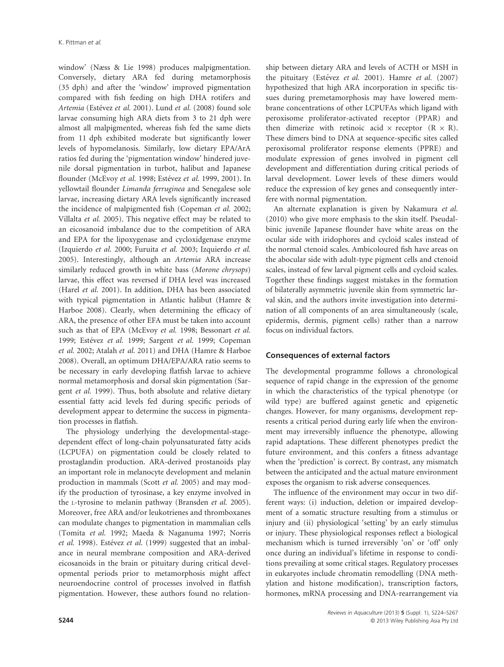window' (Næss & Lie 1998) produces malpigmentation. Conversely, dietary ARA fed during metamorphosis (35 dph) and after the 'window' improved pigmentation compared with fish feeding on high DHA rotifers and Artemia (Estévez et al. 2001). Lund et al. (2008) found sole larvae consuming high ARA diets from 3 to 21 dph were almost all malpigmented, whereas fish fed the same diets from 11 dph exhibited moderate but significantly lower levels of hypomelanosis. Similarly, low dietary EPA/ArA ratios fed during the 'pigmentation window' hindered juvenile dorsal pigmentation in turbot, halibut and Japanese flounder (McEvoy et al. 1998; Estévez et al. 1999, 2001). In yellowtail flounder Limanda ferruginea and Senegalese sole larvae, increasing dietary ARA levels significantly increased the incidence of malpigmented fish (Copeman et al. 2002; Villalta et al. 2005). This negative effect may be related to an eicosanoid imbalance due to the competition of ARA and EPA for the lipoxygenase and cycloxidgenase enzyme (Izquierdo et al. 2000; Furuita et al. 2003; Izquierdo et al. 2005). Interestingly, although an Artemia ARA increase similarly reduced growth in white bass (Morone chrysops) larvae, this effect was reversed if DHA level was increased (Harel et al. 2001). In addition, DHA has been associated with typical pigmentation in Atlantic halibut (Hamre & Harboe 2008). Clearly, when determining the efficacy of ARA, the presence of other EFA must be taken into account such as that of EPA (McEvoy et al. 1998; Bessonart et al. 1999; Estévez et al. 1999; Sargent et al. 1999; Copeman et al. 2002; Atalah et al. 2011) and DHA (Hamre & Harboe 2008). Overall, an optimum DHA/EPA/ARA ratio seems to be necessary in early developing flatfish larvae to achieve normal metamorphosis and dorsal skin pigmentation (Sargent et al. 1999). Thus, both absolute and relative dietary essential fatty acid levels fed during specific periods of development appear to determine the success in pigmentation processes in flatfish.

The physiology underlying the developmental-stagedependent effect of long-chain polyunsaturated fatty acids (LCPUFA) on pigmentation could be closely related to prostaglandin production. ARA-derived prostanoids play an important role in melanocyte development and melanin production in mammals (Scott et al. 2005) and may modify the production of tyrosinase, a key enzyme involved in the L-tyrosine to melanin pathway (Bransden et al. 2005). Moreover, free ARA and/or leukotrienes and thromboxanes can modulate changes to pigmentation in mammalian cells (Tomita et al. 1992; Maeda & Naganuma 1997; Norris et al. 1998). Estévez et al. (1999) suggested that an imbalance in neural membrane composition and ARA-derived eicosanoids in the brain or pituitary during critical developmental periods prior to metamorphosis might affect neuroendocrine control of processes involved in flatfish pigmentation. However, these authors found no relationship between dietary ARA and levels of ACTH or MSH in the pituitary (Estévez et al. 2001). Hamre et al. (2007) hypothesized that high ARA incorporation in specific tissues during premetamorphosis may have lowered membrane concentrations of other LCPUFAs which ligand with peroxisome proliferator-activated receptor (PPAR) and then dimerize with retinoic acid  $\times$  receptor (R  $\times$  R). These dimers bind to DNA at sequence-specific sites called peroxisomal proliferator response elements (PPRE) and modulate expression of genes involved in pigment cell development and differentiation during critical periods of larval development. Lower levels of these dimers would reduce the expression of key genes and consequently interfere with normal pigmentation.

An alternate explanation is given by Nakamura et al. (2010) who give more emphasis to the skin itself. Pseudalbinic juvenile Japanese flounder have white areas on the ocular side with iridophores and cycloid scales instead of the normal ctenoid scales. Ambicoloured fish have areas on the abocular side with adult-type pigment cells and ctenoid scales, instead of few larval pigment cells and cycloid scales. Together these findings suggest mistakes in the formation of bilaterally asymmetric juvenile skin from symmetric larval skin, and the authors invite investigation into determination of all components of an area simultaneously (scale, epidermis, dermis, pigment cells) rather than a narrow focus on individual factors.

# Consequences of external factors

The developmental programme follows a chronological sequence of rapid change in the expression of the genome in which the characteristics of the typical phenotype (or wild type) are buffered against genetic and epigenetic changes. However, for many organisms, development represents a critical period during early life when the environment may irreversibly influence the phenotype, allowing rapid adaptations. These different phenotypes predict the future environment, and this confers a fitness advantage when the 'prediction' is correct. By contrast, any mismatch between the anticipated and the actual mature environment exposes the organism to risk adverse consequences.

The influence of the environment may occur in two different ways: (i) induction, deletion or impaired development of a somatic structure resulting from a stimulus or injury and (ii) physiological 'setting' by an early stimulus or injury. These physiological responses reflect a biological mechanism which is turned irreversibly 'on' or 'off' only once during an individual's lifetime in response to conditions prevailing at some critical stages. Regulatory processes in eukaryotes include chromatin remodelling (DNA methylation and histone modification), transcription factors, hormones, mRNA processing and DNA-rearrangement via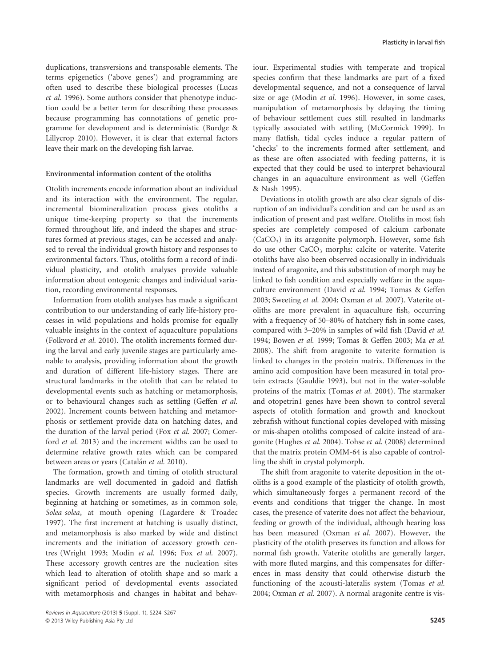duplications, transversions and transposable elements. The terms epigenetics ('above genes') and programming are often used to describe these biological processes (Lucas et al. 1996). Some authors consider that phenotype induction could be a better term for describing these processes because programming has connotations of genetic programme for development and is deterministic (Burdge & Lillycrop 2010). However, it is clear that external factors leave their mark on the developing fish larvae.

# Environmental information content of the otoliths

Otolith increments encode information about an individual and its interaction with the environment. The regular, incremental biomineralization process gives otoliths a unique time-keeping property so that the increments formed throughout life, and indeed the shapes and structures formed at previous stages, can be accessed and analysed to reveal the individual growth history and responses to environmental factors. Thus, otoliths form a record of individual plasticity, and otolith analyses provide valuable information about ontogenic changes and individual variation, recording environmental responses.

Information from otolith analyses has made a significant contribution to our understanding of early life-history processes in wild populations and holds promise for equally valuable insights in the context of aquaculture populations (Folkvord et al. 2010). The otolith increments formed during the larval and early juvenile stages are particularly amenable to analysis, providing information about the growth and duration of different life-history stages. There are structural landmarks in the otolith that can be related to developmental events such as hatching or metamorphosis, or to behavioural changes such as settling (Geffen et al. 2002). Increment counts between hatching and metamorphosis or settlement provide data on hatching dates, and the duration of the larval period (Fox et al. 2007; Comerford et al. 2013) and the increment widths can be used to determine relative growth rates which can be compared between areas or years (Catalán et al. 2010).

The formation, growth and timing of otolith structural landmarks are well documented in gadoid and flatfish species. Growth increments are usually formed daily, beginning at hatching or sometimes, as in common sole, Solea solea, at mouth opening (Lagardere & Troadec 1997). The first increment at hatching is usually distinct, and metamorphosis is also marked by wide and distinct increments and the initiation of accessory growth centres (Wright 1993; Modin et al. 1996; Fox et al. 2007). These accessory growth centres are the nucleation sites which lead to alteration of otolith shape and so mark a significant period of developmental events associated with metamorphosis and changes in habitat and behav-

iour. Experimental studies with temperate and tropical species confirm that these landmarks are part of a fixed developmental sequence, and not a consequence of larval size or age (Modin et al. 1996). However, in some cases, manipulation of metamorphosis by delaying the timing of behaviour settlement cues still resulted in landmarks typically associated with settling (McCormick 1999). In many flatfish, tidal cycles induce a regular pattern of 'checks' to the increments formed after settlement, and as these are often associated with feeding patterns, it is expected that they could be used to interpret behavioural changes in an aquaculture environment as well (Geffen & Nash 1995).

Deviations in otolith growth are also clear signals of disruption of an individual's condition and can be used as an indication of present and past welfare. Otoliths in most fish species are completely composed of calcium carbonate  $(CaCO<sub>3</sub>)$  in its aragonite polymorph. However, some fish do use other CaCO<sub>3</sub> morphs: calcite or vaterite. Vaterite otoliths have also been observed occasionally in individuals instead of aragonite, and this substitution of morph may be linked to fish condition and especially welfare in the aquaculture environment (David et al. 1994; Tomas & Geffen 2003; Sweeting et al. 2004; Oxman et al. 2007). Vaterite otoliths are more prevalent in aquaculture fish, occurring with a frequency of 50–80% of hatchery fish in some cases, compared with 3–20% in samples of wild fish (David et al. 1994; Bowen et al. 1999; Tomas & Geffen 2003; Ma et al. 2008). The shift from aragonite to vaterite formation is linked to changes in the protein matrix. Differences in the amino acid composition have been measured in total protein extracts (Gauldie 1993), but not in the water-soluble proteins of the matrix (Tomas et al. 2004). The starmaker and otopetrin1 genes have been shown to control several aspects of otolith formation and growth and knockout zebrafish without functional copies developed with missing or mis-shapen otoliths composed of calcite instead of aragonite (Hughes et al. 2004). Tohse et al. (2008) determined that the matrix protein OMM-64 is also capable of controlling the shift in crystal polymorph.

The shift from aragonite to vaterite deposition in the otoliths is a good example of the plasticity of otolith growth, which simultaneously forges a permanent record of the events and conditions that trigger the change. In most cases, the presence of vaterite does not affect the behaviour, feeding or growth of the individual, although hearing loss has been measured (Oxman et al. 2007). However, the plasticity of the otolith preserves its function and allows for normal fish growth. Vaterite otoliths are generally larger, with more fluted margins, and this compensates for differences in mass density that could otherwise disturb the functioning of the acousti-lateralis system (Tomas et al. 2004; Oxman et al. 2007). A normal aragonite centre is vis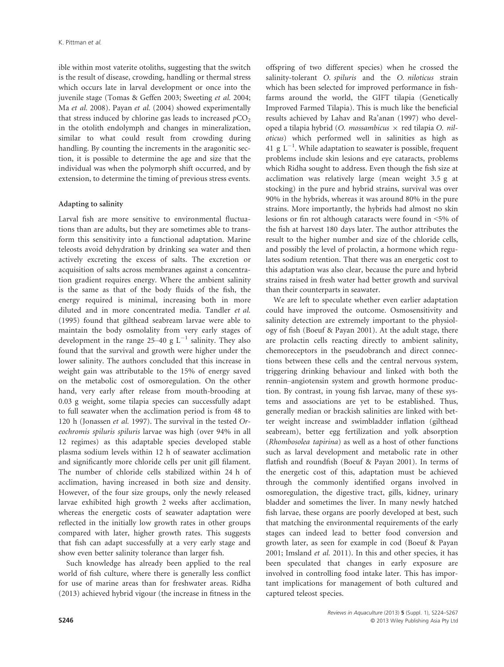ible within most vaterite otoliths, suggesting that the switch is the result of disease, crowding, handling or thermal stress which occurs late in larval development or once into the juvenile stage (Tomas & Geffen 2003; Sweeting et al. 2004; Ma et al. 2008). Payan et al. (2004) showed experimentally that stress induced by chlorine gas leads to increased  $pCO<sub>2</sub>$ in the otolith endolymph and changes in mineralization, similar to what could result from crowding during handling. By counting the increments in the aragonitic section, it is possible to determine the age and size that the individual was when the polymorph shift occurred, and by extension, to determine the timing of previous stress events.

#### Adapting to salinity

Larval fish are more sensitive to environmental fluctuations than are adults, but they are sometimes able to transform this sensitivity into a functional adaptation. Marine teleosts avoid dehydration by drinking sea water and then actively excreting the excess of salts. The excretion or acquisition of salts across membranes against a concentration gradient requires energy. Where the ambient salinity is the same as that of the body fluids of the fish, the energy required is minimal, increasing both in more diluted and in more concentrated media. Tandler et al. (1995) found that gilthead seabream larvae were able to maintain the body osmolality from very early stages of development in the range 25–40 g  $L^{-1}$  salinity. They also found that the survival and growth were higher under the lower salinity. The authors concluded that this increase in weight gain was attributable to the 15% of energy saved on the metabolic cost of osmoregulation. On the other hand, very early after release from mouth-brooding at 0.03 g weight, some tilapia species can successfully adapt to full seawater when the acclimation period is from 48 to 120 h (Jonassen et al. 1997). The survival in the tested Oreochromis spiluris spiluris larvae was high (over 94% in all 12 regimes) as this adaptable species developed stable plasma sodium levels within 12 h of seawater acclimation and significantly more chloride cells per unit gill filament. The number of chloride cells stabilized within 24 h of acclimation, having increased in both size and density. However, of the four size groups, only the newly released larvae exhibited high growth 2 weeks after acclimation, whereas the energetic costs of seawater adaptation were reflected in the initially low growth rates in other groups compared with later, higher growth rates. This suggests that fish can adapt successfully at a very early stage and show even better salinity tolerance than larger fish.

Such knowledge has already been applied to the real world of fish culture, where there is generally less conflict for use of marine areas than for freshwater areas. Ridha (2013) achieved hybrid vigour (the increase in fitness in the offspring of two different species) when he crossed the salinity-tolerant O. spiluris and the O. niloticus strain which has been selected for improved performance in fishfarms around the world, the GIFT tilapia (Genetically Improved Farmed Tilapia). This is much like the beneficial results achieved by Lahav and Ra'anan (1997) who developed a tilapia hybrid (O. mossambicus  $\times$  red tilapia O. niloticus) which performed well in salinities as high as 41  $g L^{-1}$ . While adaptation to seawater is possible, frequent problems include skin lesions and eye cataracts, problems which Ridha sought to address. Even though the fish size at acclimation was relatively large (mean weight 3.5 g at stocking) in the pure and hybrid strains, survival was over 90% in the hybrids, whereas it was around 80% in the pure strains. More importantly, the hybrids had almost no skin lesions or fin rot although cataracts were found in <5% of the fish at harvest 180 days later. The author attributes the result to the higher number and size of the chloride cells, and possibly the level of prolactin, a hormone which regulates sodium retention. That there was an energetic cost to this adaptation was also clear, because the pure and hybrid strains raised in fresh water had better growth and survival than their counterparts in seawater.

We are left to speculate whether even earlier adaptation could have improved the outcome. Osmosensitivity and salinity detection are extremely important to the physiology of fish (Boeuf & Payan 2001). At the adult stage, there are prolactin cells reacting directly to ambient salinity, chemoreceptors in the pseudobranch and direct connections between these cells and the central nervous system, triggering drinking behaviour and linked with both the rennin–angiotensin system and growth hormone production. By contrast, in young fish larvae, many of these systems and associations are yet to be established. Thus, generally median or brackish salinities are linked with better weight increase and swimbladder inflation (gilthead seabream), better egg fertilization and yolk absorption (Rhombosolea tapirina) as well as a host of other functions such as larval development and metabolic rate in other flatfish and roundfish (Boeuf & Payan 2001). In terms of the energetic cost of this, adaptation must be achieved through the commonly identified organs involved in osmoregulation, the digestive tract, gills, kidney, urinary bladder and sometimes the liver. In many newly hatched fish larvae, these organs are poorly developed at best, such that matching the environmental requirements of the early stages can indeed lead to better food conversion and growth later, as seen for example in cod (Boeuf & Payan 2001; Imsland et al. 2011). In this and other species, it has been speculated that changes in early exposure are involved in controlling food intake later. This has important implications for management of both cultured and captured teleost species.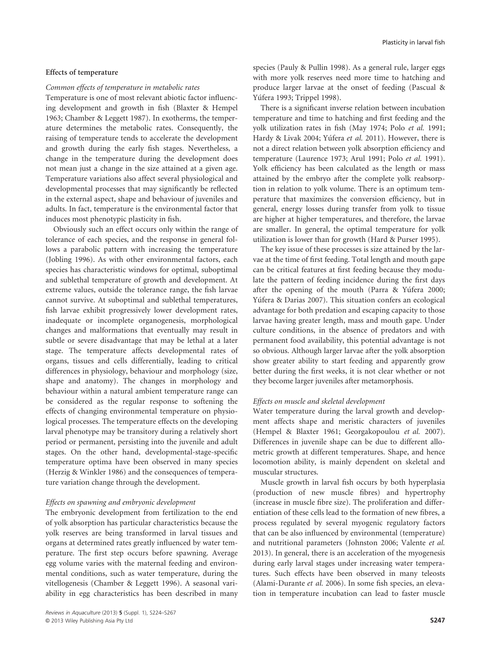#### Effects of temperature

#### Common effects of temperature in metabolic rates

Temperature is one of most relevant abiotic factor influencing development and growth in fish (Blaxter & Hempel 1963; Chamber & Leggett 1987). In exotherms, the temperature determines the metabolic rates. Consequently, the raising of temperature tends to accelerate the development and growth during the early fish stages. Nevertheless, a change in the temperature during the development does not mean just a change in the size attained at a given age. Temperature variations also affect several physiological and developmental processes that may significantly be reflected in the external aspect, shape and behaviour of juveniles and adults. In fact, temperature is the environmental factor that induces most phenotypic plasticity in fish.

Obviously such an effect occurs only within the range of tolerance of each species, and the response in general follows a parabolic pattern with increasing the temperature (Jobling 1996). As with other environmental factors, each species has characteristic windows for optimal, suboptimal and sublethal temperature of growth and development. At extreme values, outside the tolerance range, the fish larvae cannot survive. At suboptimal and sublethal temperatures, fish larvae exhibit progressively lower development rates, inadequate or incomplete organogenesis, morphological changes and malformations that eventually may result in subtle or severe disadvantage that may be lethal at a later stage. The temperature affects developmental rates of organs, tissues and cells differentially, leading to critical differences in physiology, behaviour and morphology (size, shape and anatomy). The changes in morphology and behaviour within a natural ambient temperature range can be considered as the regular response to softening the effects of changing environmental temperature on physiological processes. The temperature effects on the developing larval phenotype may be transitory during a relatively short period or permanent, persisting into the juvenile and adult stages. On the other hand, developmental-stage-specific temperature optima have been observed in many species (Herzig & Winkler 1986) and the consequences of temperature variation change through the development.

# Effects on spawning and embryonic development

The embryonic development from fertilization to the end of yolk absorption has particular characteristics because the yolk reserves are being transformed in larval tissues and organs at determined rates greatly influenced by water temperature. The first step occurs before spawning. Average egg volume varies with the maternal feeding and environmental conditions, such as water temperature, during the vitellogenesis (Chamber & Leggett 1996). A seasonal variability in egg characteristics has been described in many

species (Pauly & Pullin 1998). As a general rule, larger eggs with more yolk reserves need more time to hatching and produce larger larvae at the onset of feeding (Pascual & Yufera 1993; Trippel 1998).

There is a significant inverse relation between incubation temperature and time to hatching and first feeding and the yolk utilization rates in fish (May 1974; Polo et al. 1991; Hardy & Livak 2004; Yúfera et al. 2011). However, there is not a direct relation between yolk absorption efficiency and temperature (Laurence 1973; Arul 1991; Polo et al. 1991). Yolk efficiency has been calculated as the length or mass attained by the embryo after the complete yolk reabsorption in relation to yolk volume. There is an optimum temperature that maximizes the conversion efficiency, but in general, energy losses during transfer from yolk to tissue are higher at higher temperatures, and therefore, the larvae are smaller. In general, the optimal temperature for yolk utilization is lower than for growth (Hard & Purser 1995).

The key issue of these processes is size attained by the larvae at the time of first feeding. Total length and mouth gape can be critical features at first feeding because they modulate the pattern of feeding incidence during the first days after the opening of the mouth (Parra & Yúfera 2000; Yúfera & Darias 2007). This situation confers an ecological advantage for both predation and escaping capacity to those larvae having greater length, mass and mouth gape. Under culture conditions, in the absence of predators and with permanent food availability, this potential advantage is not so obvious. Although larger larvae after the yolk absorption show greater ability to start feeding and apparently grow better during the first weeks, it is not clear whether or not they become larger juveniles after metamorphosis.

# Effects on muscle and skeletal development

Water temperature during the larval growth and development affects shape and meristic characters of juveniles (Hempel & Blaxter 1961; Georgakopoulou et al. 2007). Differences in juvenile shape can be due to different allometric growth at different temperatures. Shape, and hence locomotion ability, is mainly dependent on skeletal and muscular structures.

Muscle growth in larval fish occurs by both hyperplasia (production of new muscle fibres) and hypertrophy (increase in muscle fibre size). The proliferation and differentiation of these cells lead to the formation of new fibres, a process regulated by several myogenic regulatory factors that can be also influenced by environmental (temperature) and nutritional parameters (Johnston 2006; Valente et al. 2013). In general, there is an acceleration of the myogenesis during early larval stages under increasing water temperatures. Such effects have been observed in many teleosts (Alami-Durante et al. 2006). In some fish species, an elevation in temperature incubation can lead to faster muscle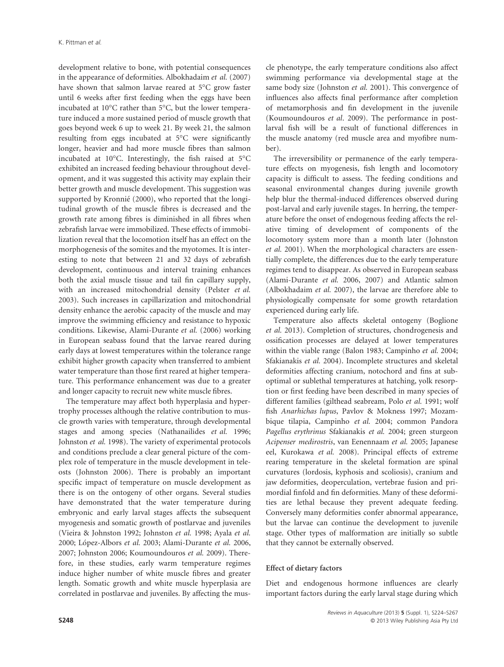development relative to bone, with potential consequences in the appearance of deformities. Albokhadaim et al. (2007) have shown that salmon larvae reared at 5°C grow faster until 6 weeks after first feeding when the eggs have been incubated at 10°C rather than 5°C, but the lower temperature induced a more sustained period of muscle growth that goes beyond week 6 up to week 21. By week 21, the salmon resulting from eggs incubated at 5°C were significantly longer, heavier and had more muscle fibres than salmon incubated at 10°C. Interestingly, the fish raised at 5°C exhibited an increased feeding behaviour throughout development, and it was suggested this activity may explain their better growth and muscle development. This suggestion was supported by Kronnie (2000), who reported that the longitudinal growth of the muscle fibres is decreased and the growth rate among fibres is diminished in all fibres when zebrafish larvae were immobilized. These effects of immobilization reveal that the locomotion itself has an effect on the morphogenesis of the somites and the myotomes. It is interesting to note that between 21 and 32 days of zebrafish development, continuous and interval training enhances both the axial muscle tissue and tail fin capillary supply, with an increased mitochondrial density (Pelster et al. 2003). Such increases in capillarization and mitochondrial density enhance the aerobic capacity of the muscle and may improve the swimming efficiency and resistance to hypoxic conditions. Likewise, Alami-Durante et al. (2006) working in European seabass found that the larvae reared during early days at lowest temperatures within the tolerance range exhibit higher growth capacity when transferred to ambient water temperature than those first reared at higher temperature. This performance enhancement was due to a greater and longer capacity to recruit new white muscle fibres.

The temperature may affect both hyperplasia and hypertrophy processes although the relative contribution to muscle growth varies with temperature, through developmental stages and among species (Nathanailides et al. 1996; Johnston et al. 1998). The variety of experimental protocols and conditions preclude a clear general picture of the complex role of temperature in the muscle development in teleosts (Johnston 2006). There is probably an important specific impact of temperature on muscle development as there is on the ontogeny of other organs. Several studies have demonstrated that the water temperature during embryonic and early larval stages affects the subsequent myogenesis and somatic growth of postlarvae and juveniles (Vieira & Johnston 1992; Johnston et al. 1998; Ayala et al. 2000; López-Albors et al. 2003; Alami-Durante et al. 2006, 2007; Johnston 2006; Koumoundouros et al. 2009). Therefore, in these studies, early warm temperature regimes induce higher number of white muscle fibres and greater length. Somatic growth and white muscle hyperplasia are correlated in postlarvae and juveniles. By affecting the muscle phenotype, the early temperature conditions also affect swimming performance via developmental stage at the same body size (Johnston et al. 2001). This convergence of influences also affects final performance after completion of metamorphosis and fin development in the juvenile (Koumoundouros et al. 2009). The performance in postlarval fish will be a result of functional differences in the muscle anatomy (red muscle area and myofibre number).

The irreversibility or permanence of the early temperature effects on myogenesis, fish length and locomotory capacity is difficult to assess. The feeding conditions and seasonal environmental changes during juvenile growth help blur the thermal-induced differences observed during post-larval and early juvenile stages. In herring, the temperature before the onset of endogenous feeding affects the relative timing of development of components of the locomotory system more than a month later (Johnston et al. 2001). When the morphological characters are essentially complete, the differences due to the early temperature regimes tend to disappear. As observed in European seabass (Alami-Durante et al. 2006, 2007) and Atlantic salmon (Albokhadaim et al. 2007), the larvae are therefore able to physiologically compensate for some growth retardation experienced during early life.

Temperature also affects skeletal ontogeny (Boglione et al. 2013). Completion of structures, chondrogenesis and ossification processes are delayed at lower temperatures within the viable range (Balon 1983; Campinho et al. 2004; Sfakianakis et al. 2004). Incomplete structures and skeletal deformities affecting cranium, notochord and fins at suboptimal or sublethal temperatures at hatching, yolk resorption or first feeding have been described in many species of different families (gilthead seabream, Polo et al. 1991; wolf fish Anarhichas lupus, Pavlov & Mokness 1997; Mozambique tilapia, Campinho et al. 2004; common Pandora Pagellus erythrinus Sfakianakis et al. 2004; green sturgeon Acipenser medirostris, van Eenennaam et al. 2005; Japanese eel, Kurokawa et al. 2008). Principal effects of extreme rearing temperature in the skeletal formation are spinal curvatures (lordosis, kyphosis and scoliosis), cranium and jaw deformities, deoperculation, vertebrae fusion and primordial finfold and fin deformities. Many of these deformities are lethal because they prevent adequate feeding. Conversely many deformities confer abnormal appearance, but the larvae can continue the development to juvenile stage. Other types of malformation are initially so subtle that they cannot be externally observed.

# Effect of dietary factors

Diet and endogenous hormone influences are clearly important factors during the early larval stage during which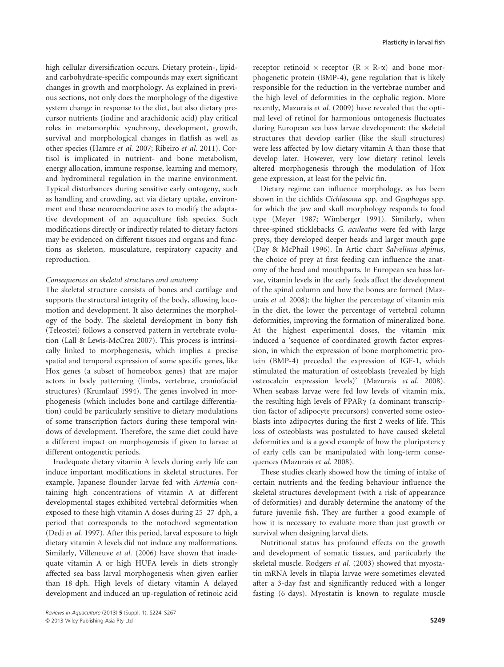high cellular diversification occurs. Dietary protein-, lipidand carbohydrate-specific compounds may exert significant changes in growth and morphology. As explained in previous sections, not only does the morphology of the digestive system change in response to the diet, but also dietary precursor nutrients (iodine and arachidonic acid) play critical roles in metamorphic synchrony, development, growth, survival and morphological changes in flatfish as well as other species (Hamre et al. 2007; Ribeiro et al. 2011). Cortisol is implicated in nutrient- and bone metabolism, energy allocation, immune response, learning and memory, and hydromineral regulation in the marine environment. Typical disturbances during sensitive early ontogeny, such as handling and crowding, act via dietary uptake, environment and these neuroendocrine axes to modify the adaptative development of an aquaculture fish species. Such modifications directly or indirectly related to dietary factors may be evidenced on different tissues and organs and functions as skeleton, musculature, respiratory capacity and reproduction.

#### Consequences on skeletal structures and anatomy

The skeletal structure consists of bones and cartilage and supports the structural integrity of the body, allowing locomotion and development. It also determines the morphology of the body. The skeletal development in bony fish (Teleostei) follows a conserved pattern in vertebrate evolution (Lall & Lewis-McCrea 2007). This process is intrinsically linked to morphogenesis, which implies a precise spatial and temporal expression of some specific genes, like Hox genes (a subset of homeobox genes) that are major actors in body patterning (limbs, vertebrae, craniofacial structures) (Krumlauf 1994). The genes involved in morphogenesis (which includes bone and cartilage differentiation) could be particularly sensitive to dietary modulations of some transcription factors during these temporal windows of development. Therefore, the same diet could have a different impact on morphogenesis if given to larvae at different ontogenetic periods.

Inadequate dietary vitamin A levels during early life can induce important modifications in skeletal structures. For example, Japanese flounder larvae fed with Artemia containing high concentrations of vitamin A at different developmental stages exhibited vertebral deformities when exposed to these high vitamin A doses during 25–27 dph, a period that corresponds to the notochord segmentation (Dedi et al. 1997). After this period, larval exposure to high dietary vitamin A levels did not induce any malformations. Similarly, Villeneuve et al. (2006) have shown that inadequate vitamin A or high HUFA levels in diets strongly affected sea bass larval morphogenesis when given earlier than 18 dph. High levels of dietary vitamin A delayed development and induced an up-regulation of retinoic acid

receptor retinoid  $\times$  receptor (R  $\times$  R- $\alpha$ ) and bone morphogenetic protein (BMP-4), gene regulation that is likely responsible for the reduction in the vertebrae number and the high level of deformities in the cephalic region. More recently, Mazurais et al. (2009) have revealed that the optimal level of retinol for harmonious ontogenesis fluctuates during European sea bass larvae development: the skeletal structures that develop earlier (like the skull structures) were less affected by low dietary vitamin A than those that develop later. However, very low dietary retinol levels altered morphogenesis through the modulation of Hox gene expression, at least for the pelvic fin.

Dietary regime can influence morphology, as has been shown in the cichlids Cichlasoma spp. and Geaphagus spp. for which the jaw and skull morphology responds to food type (Meyer 1987; Wimberger 1991). Similarly, when three-spined sticklebacks G. aculeatus were fed with large preys, they developed deeper heads and larger mouth gape (Day & McPhail 1996). In Artic charr Salvelinus alpinus, the choice of prey at first feeding can influence the anatomy of the head and mouthparts. In European sea bass larvae, vitamin levels in the early feeds affect the development of the spinal column and how the bones are formed (Mazurais et al. 2008): the higher the percentage of vitamin mix in the diet, the lower the percentage of vertebral column deformities, improving the formation of mineralized bone. At the highest experimental doses, the vitamin mix induced a 'sequence of coordinated growth factor expression, in which the expression of bone morphometric protein (BMP-4) preceded the expression of IGF-1, which stimulated the maturation of osteoblasts (revealed by high osteocalcin expression levels)' (Mazurais et al. 2008). When seabass larvae were fed low levels of vitamin mix, the resulting high levels of PPAR $\gamma$  (a dominant transcription factor of adipocyte precursors) converted some osteoblasts into adipocytes during the first 2 weeks of life. This loss of osteoblasts was postulated to have caused skeletal deformities and is a good example of how the pluripotency of early cells can be manipulated with long-term consequences (Mazurais et al. 2008).

These studies clearly showed how the timing of intake of certain nutrients and the feeding behaviour influence the skeletal structures development (with a risk of appearance of deformities) and durably determine the anatomy of the future juvenile fish. They are further a good example of how it is necessary to evaluate more than just growth or survival when designing larval diets.

Nutritional status has profound effects on the growth and development of somatic tissues, and particularly the skeletal muscle. Rodgers et al. (2003) showed that myostatin mRNA levels in tilapia larvae were sometimes elevated after a 3-day fast and significantly reduced with a longer fasting (6 days). Myostatin is known to regulate muscle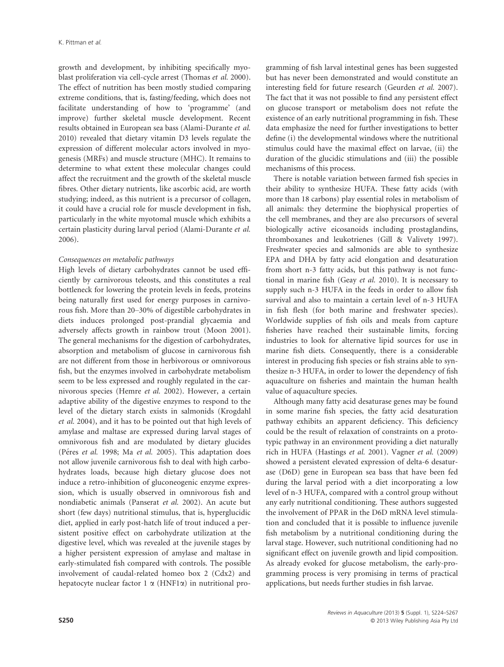growth and development, by inhibiting specifically myoblast proliferation via cell-cycle arrest (Thomas et al. 2000). The effect of nutrition has been mostly studied comparing extreme conditions, that is, fasting/feeding, which does not facilitate understanding of how to 'programme' (and improve) further skeletal muscle development. Recent results obtained in European sea bass (Alami-Durante et al. 2010) revealed that dietary vitamin D3 levels regulate the expression of different molecular actors involved in myogenesis (MRFs) and muscle structure (MHC). It remains to determine to what extent these molecular changes could affect the recruitment and the growth of the skeletal muscle fibres. Other dietary nutrients, like ascorbic acid, are worth studying; indeed, as this nutrient is a precursor of collagen, it could have a crucial role for muscle development in fish, particularly in the white myotomal muscle which exhibits a certain plasticity during larval period (Alami-Durante et al. 2006).

#### Consequences on metabolic pathways

High levels of dietary carbohydrates cannot be used efficiently by carnivorous teleosts, and this constitutes a real bottleneck for lowering the protein levels in feeds, proteins being naturally first used for energy purposes in carnivorous fish. More than 20–30% of digestible carbohydrates in diets induces prolonged post-prandial glycaemia and adversely affects growth in rainbow trout (Moon 2001). The general mechanisms for the digestion of carbohydrates, absorption and metabolism of glucose in carnivorous fish are not different from those in herbivorous or omnivorous fish, but the enzymes involved in carbohydrate metabolism seem to be less expressed and roughly regulated in the carnivorous species (Hemre et al. 2002). However, a certain adaptive ability of the digestive enzymes to respond to the level of the dietary starch exists in salmonids (Krogdahl et al. 2004), and it has to be pointed out that high levels of amylase and maltase are expressed during larval stages of omnivorous fish and are modulated by dietary glucides (Péres et al. 1998; Ma et al. 2005). This adaptation does not allow juvenile carnivorous fish to deal with high carbohydrates loads, because high dietary glucose does not induce a retro-inhibition of gluconeogenic enzyme expression, which is usually observed in omnivorous fish and nondiabetic animals (Panserat et al. 2002). An acute but short (few days) nutritional stimulus, that is, hyperglucidic diet, applied in early post-hatch life of trout induced a persistent positive effect on carbohydrate utilization at the digestive level, which was revealed at the juvenile stages by a higher persistent expression of amylase and maltase in early-stimulated fish compared with controls. The possible involvement of caudal-related homeo box 2 (Cdx2) and hepatocyte nuclear factor  $1 \alpha$  (HNF1 $\alpha$ ) in nutritional programming of fish larval intestinal genes has been suggested but has never been demonstrated and would constitute an interesting field for future research (Geurden et al. 2007). The fact that it was not possible to find any persistent effect on glucose transport or metabolism does not refute the existence of an early nutritional programming in fish. These data emphasize the need for further investigations to better define (i) the developmental windows where the nutritional stimulus could have the maximal effect on larvae, (ii) the duration of the glucidic stimulations and (iii) the possible mechanisms of this process.

There is notable variation between farmed fish species in their ability to synthesize HUFA. These fatty acids (with more than 18 carbons) play essential roles in metabolism of all animals: they determine the biophysical properties of the cell membranes, and they are also precursors of several biologically active eicosanoids including prostaglandins, thromboxanes and leukotrienes (Gill & Valivety 1997). Freshwater species and salmonids are able to synthesize EPA and DHA by fatty acid elongation and desaturation from short n-3 fatty acids, but this pathway is not functional in marine fish (Geay et al. 2010). It is necessary to supply such n-3 HUFA in the feeds in order to allow fish survival and also to maintain a certain level of n-3 HUFA in fish flesh (for both marine and freshwater species). Worldwide supplies of fish oils and meals from capture fisheries have reached their sustainable limits, forcing industries to look for alternative lipid sources for use in marine fish diets. Consequently, there is a considerable interest in producing fish species or fish strains able to synthesize n-3 HUFA, in order to lower the dependency of fish aquaculture on fisheries and maintain the human health value of aquaculture species.

Although many fatty acid desaturase genes may be found in some marine fish species, the fatty acid desaturation pathway exhibits an apparent deficiency. This deficiency could be the result of relaxation of constraints on a prototypic pathway in an environment providing a diet naturally rich in HUFA (Hastings et al. 2001). Vagner et al. (2009) showed a persistent elevated expression of delta-6 desaturase (D6D) gene in European sea bass that have been fed during the larval period with a diet incorporating a low level of n-3 HUFA, compared with a control group without any early nutritional conditioning. These authors suggested the involvement of PPAR in the D6D mRNA level stimulation and concluded that it is possible to influence juvenile fish metabolism by a nutritional conditioning during the larval stage. However, such nutritional conditioning had no significant effect on juvenile growth and lipid composition. As already evoked for glucose metabolism, the early-programming process is very promising in terms of practical applications, but needs further studies in fish larvae.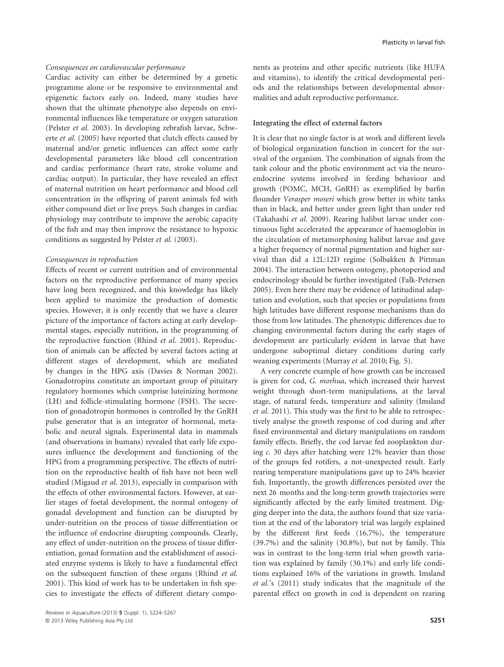# Consequences on cardiovascular performance

Cardiac activity can either be determined by a genetic programme alone or be responsive to environmental and epigenetic factors early on. Indeed, many studies have shown that the ultimate phenotype also depends on environmental influences like temperature or oxygen saturation (Pelster et al. 2003). In developing zebrafish larvae, Schwerte et al. (2005) have reported that clutch effects caused by maternal and/or genetic influences can affect some early developmental parameters like blood cell concentration and cardiac performance (heart rate, stroke volume and cardiac output). In particular, they have revealed an effect of maternal nutrition on heart performance and blood cell concentration in the offspring of parent animals fed with either compound diet or live preys. Such changes in cardiac physiology may contribute to improve the aerobic capacity of the fish and may then improve the resistance to hypoxic conditions as suggested by Pelster et al. (2003).

# Consequences in reproduction

Effects of recent or current nutrition and of environmental factors on the reproductive performance of many species have long been recognized, and this knowledge has likely been applied to maximize the production of domestic species. However, it is only recently that we have a clearer picture of the importance of factors acting at early developmental stages, especially nutrition, in the programming of the reproductive function (Rhind et al. 2001). Reproduction of animals can be affected by several factors acting at different stages of development, which are mediated by changes in the HPG axis (Davies & Norman 2002). Gonadotropins constitute an important group of pituitary regulatory hormones which comprise luteinizing hormone (LH) and follicle-stimulating hormone (FSH). The secretion of gonadotropin hormones is controlled by the GnRH pulse generator that is an integrator of hormonal, metabolic and neural signals. Experimental data in mammals (and observations in humans) revealed that early life exposures influence the development and functioning of the HPG from a programming perspective. The effects of nutrition on the reproductive health of fish have not been well studied (Migaud et al. 2013), especially in comparison with the effects of other environmental factors. However, at earlier stages of foetal development, the normal ontogeny of gonadal development and function can be disrupted by under-nutrition on the process of tissue differentiation or the influence of endocrine disrupting compounds. Clearly, any effect of under-nutrition on the process of tissue differentiation, gonad formation and the establishment of associated enzyme systems is likely to have a fundamental effect on the subsequent function of these organs (Rhind et al. 2001). This kind of work has to be undertaken in fish species to investigate the effects of different dietary components as proteins and other specific nutrients (like HUFA and vitamins), to identify the critical developmental periods and the relationships between developmental abnormalities and adult reproductive performance.

# Integrating the effect of external factors

It is clear that no single factor is at work and different levels of biological organization function in concert for the survival of the organism. The combination of signals from the tank colour and the photic environment act via the neuroendocrine systems involved in feeding behaviour and growth (POMC, MCH, GnRH) as exemplified by barfin flounder Verasper moseri which grow better in white tanks than in black, and better under green light than under red (Takahashi et al. 2009). Rearing halibut larvae under continuous light accelerated the appearance of haemoglobin in the circulation of metamorphosing halibut larvae and gave a higher frequency of normal pigmentation and higher survival than did a 12L:12D regime (Solbakken & Pittman 2004). The interaction between ontogeny, photoperiod and endocrinology should be further investigated (Falk-Petersen 2005). Even here there may be evidence of latitudinal adaptation and evolution, such that species or populations from high latitudes have different response mechanisms than do those from low latitudes. The phenotypic differences due to changing environmental factors during the early stages of development are particularly evident in larvae that have undergone suboptimal dietary conditions during early weaning experiments (Murray et al. 2010; Fig. 5).

A very concrete example of how growth can be increased is given for cod, G. morhua, which increased their harvest weight through short-term manipulations, at the larval stage, of natural feeds, temperature and salinity (Imsland et al. 2011). This study was the first to be able to retrospectively analyse the growth response of cod during and after fixed environmental and dietary manipulations on random family effects. Briefly, the cod larvae fed zooplankton during c. 30 days after hatching were 12% heavier than those of the groups fed rotifers, a not-unexpected result. Early rearing temperature manipulations gave up to 24% heavier fish. Importantly, the growth differences persisted over the next 26 months and the long-term growth trajectories were significantly affected by the early limited treatment. Digging deeper into the data, the authors found that size variation at the end of the laboratory trial was largely explained by the different first feeds (16.7%), the temperature (39.7%) and the salinity (30.8%), but not by family. This was in contrast to the long-term trial when growth variation was explained by family (30.1%) and early life conditions explained 16% of the variations in growth. Imsland et al.'s (2011) study indicates that the magnitude of the parental effect on growth in cod is dependent on rearing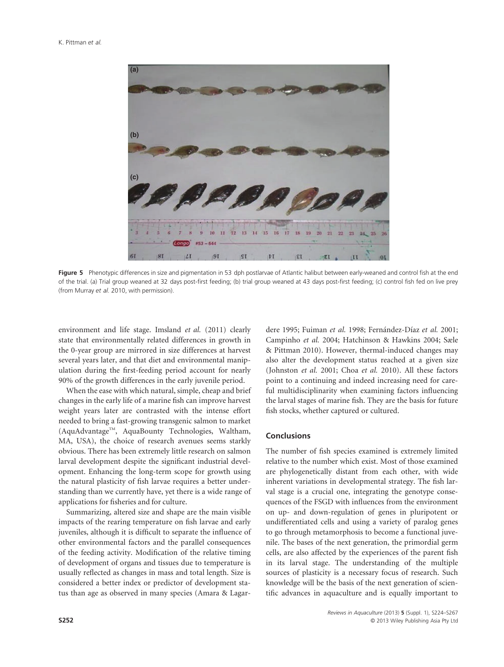

Figure 5 Phenotypic differences in size and pigmentation in 53 dph postlarvae of Atlantic halibut between early-weaned and control fish at the end of the trial. (a) Trial group weaned at 32 days post-first feeding; (b) trial group weaned at 43 days post-first feeding; (c) control fish fed on live prey (from Murray et al. 2010, with permission).

environment and life stage. Imsland et al. (2011) clearly state that environmentally related differences in growth in the 0-year group are mirrored in size differences at harvest several years later, and that diet and environmental manipulation during the first-feeding period account for nearly 90% of the growth differences in the early juvenile period.

When the ease with which natural, simple, cheap and brief changes in the early life of a marine fish can improve harvest weight years later are contrasted with the intense effort needed to bring a fast-growing transgenic salmon to market  $(AquAdvantage<sup>TM</sup>, Aquabounty Technologies, Waltham,$ MA, USA), the choice of research avenues seems starkly obvious. There has been extremely little research on salmon larval development despite the significant industrial development. Enhancing the long-term scope for growth using the natural plasticity of fish larvae requires a better understanding than we currently have, yet there is a wide range of applications for fisheries and for culture.

Summarizing, altered size and shape are the main visible impacts of the rearing temperature on fish larvae and early juveniles, although it is difficult to separate the influence of other environmental factors and the parallel consequences of the feeding activity. Modification of the relative timing of development of organs and tissues due to temperature is usually reflected as changes in mass and total length. Size is considered a better index or predictor of development status than age as observed in many species (Amara & Lagardere 1995; Fuiman et al. 1998; Fernández-Díaz et al. 2001; Campinho et al. 2004; Hatchinson & Hawkins 2004; Sæle & Pittman 2010). However, thermal-induced changes may also alter the development status reached at a given size (Johnston et al. 2001; Choa et al. 2010). All these factors point to a continuing and indeed increasing need for careful multidisciplinarity when examining factors influencing the larval stages of marine fish. They are the basis for future fish stocks, whether captured or cultured.

# Conclusions

The number of fish species examined is extremely limited relative to the number which exist. Most of those examined are phylogenetically distant from each other, with wide inherent variations in developmental strategy. The fish larval stage is a crucial one, integrating the genotype consequences of the FSGD with influences from the environment on up- and down-regulation of genes in pluripotent or undifferentiated cells and using a variety of paralog genes to go through metamorphosis to become a functional juvenile. The bases of the next generation, the primordial germ cells, are also affected by the experiences of the parent fish in its larval stage. The understanding of the multiple sources of plasticity is a necessary focus of research. Such knowledge will be the basis of the next generation of scientific advances in aquaculture and is equally important to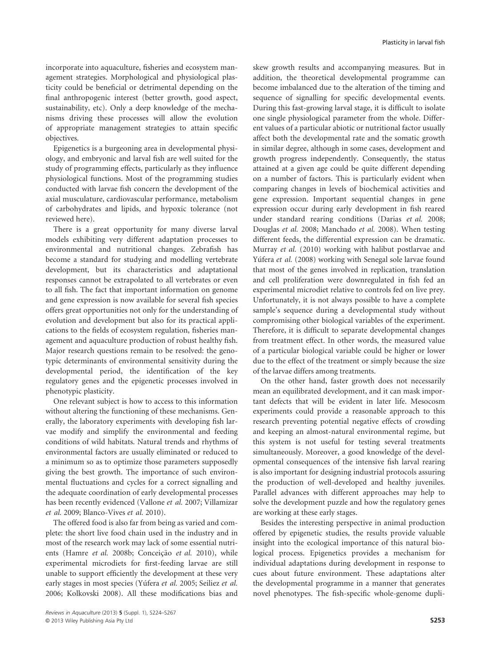incorporate into aquaculture, fisheries and ecosystem management strategies. Morphological and physiological plasticity could be beneficial or detrimental depending on the final anthropogenic interest (better growth, good aspect, sustainability, etc). Only a deep knowledge of the mechanisms driving these processes will allow the evolution of appropriate management strategies to attain specific objectives.

Epigenetics is a burgeoning area in developmental physiology, and embryonic and larval fish are well suited for the study of programming effects, particularly as they influence physiological functions. Most of the programming studies conducted with larvae fish concern the development of the axial musculature, cardiovascular performance, metabolism of carbohydrates and lipids, and hypoxic tolerance (not reviewed here).

There is a great opportunity for many diverse larval models exhibiting very different adaptation processes to environmental and nutritional changes. Zebrafish has become a standard for studying and modelling vertebrate development, but its characteristics and adaptational responses cannot be extrapolated to all vertebrates or even to all fish. The fact that important information on genome and gene expression is now available for several fish species offers great opportunities not only for the understanding of evolution and development but also for its practical applications to the fields of ecosystem regulation, fisheries management and aquaculture production of robust healthy fish. Major research questions remain to be resolved: the genotypic determinants of environmental sensitivity during the developmental period, the identification of the key regulatory genes and the epigenetic processes involved in phenotypic plasticity.

One relevant subject is how to access to this information without altering the functioning of these mechanisms. Generally, the laboratory experiments with developing fish larvae modify and simplify the environmental and feeding conditions of wild habitats. Natural trends and rhythms of environmental factors are usually eliminated or reduced to a minimum so as to optimize those parameters supposedly giving the best growth. The importance of such environmental fluctuations and cycles for a correct signalling and the adequate coordination of early developmental processes has been recently evidenced (Vallone et al. 2007; Villamizar et al. 2009; Blanco-Vives et al. 2010).

The offered food is also far from being as varied and complete: the short live food chain used in the industry and in most of the research work may lack of some essential nutrients (Hamre et al. 2008b; Conceição et al. 2010), while experimental microdiets for first-feeding larvae are still unable to support efficiently the development at these very early stages in most species (Yúfera et al. 2005; Seiliez et al. 2006; Kolkovski 2008). All these modifications bias and

skew growth results and accompanying measures. But in addition, the theoretical developmental programme can become imbalanced due to the alteration of the timing and sequence of signalling for specific developmental events. During this fast-growing larval stage, it is difficult to isolate one single physiological parameter from the whole. Different values of a particular abiotic or nutritional factor usually affect both the developmental rate and the somatic growth in similar degree, although in some cases, development and growth progress independently. Consequently, the status attained at a given age could be quite different depending on a number of factors. This is particularly evident when comparing changes in levels of biochemical activities and gene expression. Important sequential changes in gene expression occur during early development in fish reared under standard rearing conditions (Darias et al. 2008; Douglas et al. 2008; Manchado et al. 2008). When testing different feeds, the differential expression can be dramatic. Murray et al. (2010) working with halibut postlarvae and Yúfera et al. (2008) working with Senegal sole larvae found that most of the genes involved in replication, translation and cell proliferation were downregulated in fish fed an experimental microdiet relative to controls fed on live prey. Unfortunately, it is not always possible to have a complete sample's sequence during a developmental study without compromising other biological variables of the experiment. Therefore, it is difficult to separate developmental changes from treatment effect. In other words, the measured value of a particular biological variable could be higher or lower due to the effect of the treatment or simply because the size of the larvae differs among treatments.

On the other hand, faster growth does not necessarily mean an equilibrated development, and it can mask important defects that will be evident in later life. Mesocosm experiments could provide a reasonable approach to this research preventing potential negative effects of crowding and keeping an almost-natural environmental regime, but this system is not useful for testing several treatments simultaneously. Moreover, a good knowledge of the developmental consequences of the intensive fish larval rearing is also important for designing industrial protocols assuring the production of well-developed and healthy juveniles. Parallel advances with different approaches may help to solve the development puzzle and how the regulatory genes are working at these early stages.

Besides the interesting perspective in animal production offered by epigenetic studies, the results provide valuable insight into the ecological importance of this natural biological process. Epigenetics provides a mechanism for individual adaptations during development in response to cues about future environment. These adaptations alter the developmental programme in a manner that generates novel phenotypes. The fish-specific whole-genome dupli-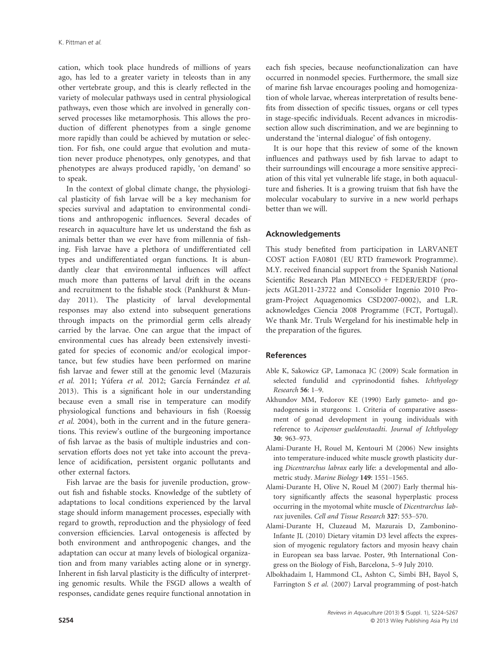cation, which took place hundreds of millions of years ago, has led to a greater variety in teleosts than in any other vertebrate group, and this is clearly reflected in the variety of molecular pathways used in central physiological pathways, even those which are involved in generally conserved processes like metamorphosis. This allows the production of different phenotypes from a single genome more rapidly than could be achieved by mutation or selection. For fish, one could argue that evolution and mutation never produce phenotypes, only genotypes, and that phenotypes are always produced rapidly, 'on demand' so to speak.

In the context of global climate change, the physiological plasticity of fish larvae will be a key mechanism for species survival and adaptation to environmental conditions and anthropogenic influences. Several decades of research in aquaculture have let us understand the fish as animals better than we ever have from millennia of fishing. Fish larvae have a plethora of undifferentiated cell types and undifferentiated organ functions. It is abundantly clear that environmental influences will affect much more than patterns of larval drift in the oceans and recruitment to the fishable stock (Pankhurst & Munday 2011). The plasticity of larval developmental responses may also extend into subsequent generations through impacts on the primordial germ cells already carried by the larvae. One can argue that the impact of environmental cues has already been extensively investigated for species of economic and/or ecological importance, but few studies have been performed on marine fish larvae and fewer still at the genomic level (Mazurais et al. 2011; Yúfera et al. 2012; García Fernández et al. 2013). This is a significant hole in our understanding because even a small rise in temperature can modify physiological functions and behaviours in fish (Roessig et al. 2004), both in the current and in the future generations. This review's outline of the burgeoning importance of fish larvae as the basis of multiple industries and conservation efforts does not yet take into account the prevalence of acidification, persistent organic pollutants and other external factors.

Fish larvae are the basis for juvenile production, growout fish and fishable stocks. Knowledge of the subtlety of adaptations to local conditions experienced by the larval stage should inform management processes, especially with regard to growth, reproduction and the physiology of feed conversion efficiencies. Larval ontogenesis is affected by both environment and anthropogenic changes, and the adaptation can occur at many levels of biological organization and from many variables acting alone or in synergy. Inherent in fish larval plasticity is the difficulty of interpreting genomic results. While the FSGD allows a wealth of responses, candidate genes require functional annotation in each fish species, because neofunctionalization can have occurred in nonmodel species. Furthermore, the small size of marine fish larvae encourages pooling and homogenization of whole larvae, whereas interpretation of results benefits from dissection of specific tissues, organs or cell types in stage-specific individuals. Recent advances in microdissection allow such discrimination, and we are beginning to understand the 'internal dialogue' of fish ontogeny.

It is our hope that this review of some of the known influences and pathways used by fish larvae to adapt to their surroundings will encourage a more sensitive appreciation of this vital yet vulnerable life stage, in both aquaculture and fisheries. It is a growing truism that fish have the molecular vocabulary to survive in a new world perhaps better than we will.

# Acknowledgements

This study benefited from participation in LARVANET COST action FA0801 (EU RTD framework Programme). M.Y. received financial support from the Spanish National Scientific Research Plan MINECO + FEDER/ERDF (projects AGL2011-23722 and Consolider Ingenio 2010 Program-Project Aquagenomics CSD2007-0002), and L.R. acknowledges Ciencia 2008 Programme (FCT, Portugal). We thank Mr. Truls Wergeland for his inestimable help in the preparation of the figures.

# References

- Able K, Sakowicz GP, Lamonaca JC (2009) Scale formation in selected fundulid and cyprinodontid fishes. Ichthyology Research 56: 1–9.
- Akhundov MM, Fedorov KE (1990) Early gameto- and gonadogenesis in sturgeons: 1. Criteria of comparative assessment of gonad development in young individuals with reference to Acipenser gueldenstaedti. Journal of Ichthyology 30: 963–973.
- Alami-Durante H, Rouel M, Kentouri M (2006) New insights into temperature-induced white muscle growth plasticity during Dicentrarchus labrax early life: a developmental and allometric study. Marine Biology 149: 1551–1565.
- Alami-Durante H, Olive N, Rouel M (2007) Early thermal history significantly affects the seasonal hyperplastic process occurring in the myotomal white muscle of Dicentrarchus labrax juveniles. Cell and Tissue Research 327: 553–570.
- Alami-Durante H, Cluzeaud M, Mazurais D, Zambonino-Infante JL (2010) Dietary vitamin D3 level affects the expression of myogenic regulatory factors and myosin heavy chain in European sea bass larvae. Poster, 9th International Congress on the Biology of Fish, Barcelona, 5–9 July 2010.
- Albokhadaim I, Hammond CL, Ashton C, Simbi BH, Bayol S, Farrington S et al. (2007) Larval programming of post-hatch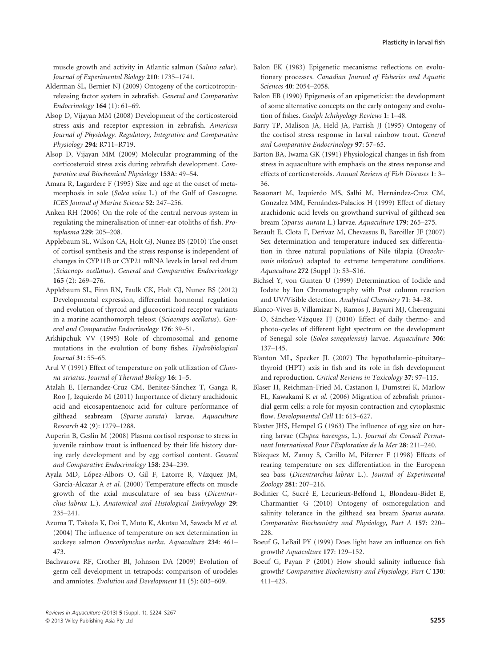muscle growth and activity in Atlantic salmon (Salmo salar). Journal of Experimental Biology 210: 1735–1741.

- Alderman SL, Bernier NJ (2009) Ontogeny of the corticotropinreleasing factor system in zebrafish. General and Comparative Endocrinology 164 (1): 61–69.
- Alsop D, Vijayan MM (2008) Development of the corticosteroid stress axis and receptor expression in zebrafish. American Journal of Physiology. Regulatory, Integrative and Comparative Physiology 294: R711–R719.
- Alsop D, Vijayan MM (2009) Molecular programming of the corticosteroid stress axis during zebrafish development. Comparative and Biochemical Physiology 153A: 49–54.
- Amara R, Lagardere F (1995) Size and age at the onset of metamorphosis in sole (Solea solea L.) of the Gulf of Gascogne. ICES Journal of Marine Science 52: 247–256.
- Anken RH (2006) On the role of the central nervous system in regulating the mineralisation of inner-ear otoliths of fish. Protoplasma 229: 205–208.
- Applebaum SL, Wilson CA, Holt GJ, Nunez BS (2010) The onset of cortisol synthesis and the stress response is independent of changes in CYP11B or CYP21 mRNA levels in larval red drum (Sciaenops ocellatus). General and Comparative Endocrinology 165 (2): 269–276.
- Applebaum SL, Finn RN, Faulk CK, Holt GJ, Nunez BS (2012) Developmental expression, differential hormonal regulation and evolution of thyroid and glucocorticoid receptor variants in a marine acanthomorph teleost (Sciaenops ocellatus). General and Comparative Endocrinology 176: 39–51.
- Arkhipchuk VV (1995) Role of chromosomal and genome mutations in the evolution of bony fishes. Hydrobiological Journal 31: 55–65.
- Arul V (1991) Effect of temperature on yolk utilization of Channa striatus. Journal of Thermal Biology 16: 1–5.
- Atalah E, Hernandez-Cruz CM, Benitez-Sánchez T, Ganga R, Roo J, Izquierdo M (2011) Importance of dietary arachidonic acid and eicosapentaenoic acid for culture performance of gilthead seabream (Sparus aurata) larvae. Aquaculture Research 42 (9): 1279–1288.
- Auperin B, Geslin M (2008) Plasma cortisol response to stress in juvenile rainbow trout is influenced by their life history during early development and by egg cortisol content. General and Comparative Endocrinology 158: 234–239.
- Ayala MD, López-Albors O, Gil F, Latorre R, Vázquez JM, García-Alcazar A et al. (2000) Temperature effects on muscle growth of the axial musculature of sea bass (Dicentrarchus labrax L.). Anatomical and Histological Embryology 29: 235–241.
- Azuma T, Takeda K, Doi T, Muto K, Akutsu M, Sawada M et al. (2004) The influence of temperature on sex determination in sockeye salmon Oncorhynchus nerka. Aquaculture 234: 461– 473.
- Bachvarova RF, Crother BI, Johnson DA (2009) Evolution of germ cell development in tetrapods: comparison of urodeles and amniotes. Evolution and Development 11 (5): 603–609.
- Balon EK (1983) Epigenetic mecanisms: reflections on evolutionary processes. Canadian Journal of Fisheries and Aquatic Sciences 40: 2054–2058.
- Balon EB (1990) Epigenesis of an epigeneticist: the development of some alternative concepts on the early ontogeny and evolution of fishes. Guelph Ichthyology Reviews 1: 1–48.
- Barry TP, Malison JA, Held JA, Parrish JJ (1995) Ontogeny of the cortisol stress response in larval rainbow trout. General and Comparative Endocrinology 97: 57–65.
- Barton BA, Iwama GK (1991) Physiological changes in fish from stress in aquaculture with emphasis on the stress response and effects of corticosteroids. Annual Reviews of Fish Diseases 1: 3– 36.
- Bessonart M, Izquierdo MS, Salhi M, Hernández-Cruz CM, Gonzalez MM, Fernández-Palacios H (1999) Effect of dietary arachidonic acid levels on growthand survival of gilthead sea bream (Sparus aurata L.) larvae. Aquaculture 179: 265–275.
- Bezault E, Clota F, Derivaz M, Chevassus B, Baroiller JF (2007) Sex determination and temperature induced sex differentiation in three natural populations of Nile tilapia (Oreochromis niloticus) adapted to extreme temperature conditions. Aquaculture 272 (Suppl 1): S3–S16.
- Bichsel Y, von Gunten U (1999) Determination of Iodide and Iodate by Ion Chromatography with Post column reaction and UV/Visible detection. Analytical Chemistry 71: 34–38.
- Blanco-Vives B, Villamizar N, Ramos J, Bayarri MJ, Cherenguini O, Sanchez-Vazquez FJ (2010) Effect of daily thermo- and photo-cycles of different light spectrum on the development of Senegal sole (Solea senegalensis) larvae. Aquaculture 306: 137–145.
- Blanton ML, Specker JL (2007) The hypothalamic–pituitary– thyroid (HPT) axis in fish and its role in fish development and reproduction. Critical Reviews in Toxicology 37: 97–115.
- Blaser H, Reichman-Fried M, Castanon I, Dumstrei K, Marlow FL, Kawakami K et al. (2006) Migration of zebrafish primordial germ cells: a role for myosin contraction and cytoplasmic flow. Developmental Cell 11: 613–627.
- Blaxter JHS, Hempel G (1963) The influence of egg size on herring larvae (Clupea harengus, L.). Journal du Conseil Permanent International Pour l'Exploration de la Mer 28: 211–240.
- Blázquez M, Zanuy S, Carillo M, Piferrer F (1998) Effects of rearing temperature on sex differentiation in the European sea bass (Dicentrarchus labrax L.). Journal of Experimental Zoology 281: 207–216.
- Bodinier C, Sucré E, Lecurieux-Belfond L, Blondeau-Bidet E, Charmantier G (2010) Ontogeny of osmoregulation and salinity tolerance in the gilthead sea bream Sparus aurata. Comparative Biochemistry and Physiology, Part A 157: 220– 228.
- Boeuf G, LeBail PY (1999) Does light have an influence on fish growth? Aquaculture 177: 129–152.
- Boeuf G, Payan P (2001) How should salinity influence fish growth? Comparative Biochemistry and Physiology, Part C 130: 411–423.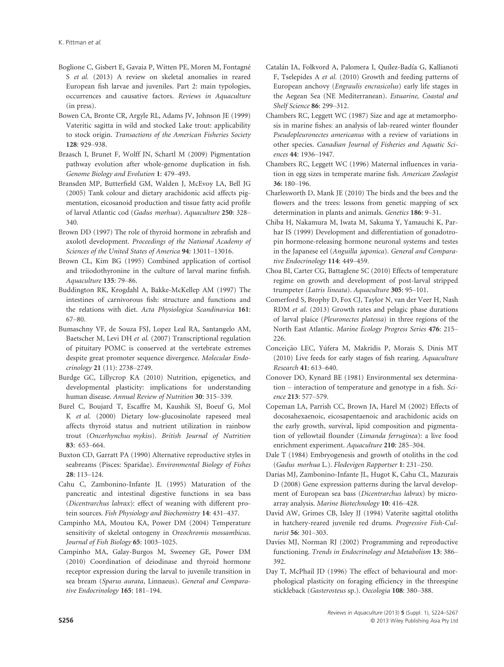- Boglione C, Gisbert E, Gavaia P, Witten PE, Moren M, Fontagne S et al. (2013) A review on skeletal anomalies in reared European fish larvae and juveniles. Part 2: main typologies, occurrences and causative factors. Reviews in Aquaculture (in press).
- Bowen CA, Bronte CR, Argyle RL, Adams JV, Johnson JE (1999) Vateritic sagitta in wild and stocked Lake trout: applicability to stock origin. Transactions of the American Fisheries Society 128: 929–938.
- Braasch I, Brunet F, Wolff JN, Schartl M (2009) Pigmentation pathway evolution after whole-genome duplication in fish. Genome Biology and Evolution 1: 479–493.
- Bransden MP, Butterfield GM, Walden J, McEvoy LA, Bell JG (2005) Tank colour and dietary arachidonic acid affects pigmentation, eicosanoid production and tissue fatty acid profile of larval Atlantic cod (Gadus morhua). Aquaculture 250: 328– 340.
- Brown DD (1997) The role of thyroid hormone in zebrafish and axolotl development. Proceedings of the National Academy of Sciences of the United States of America 94: 13011–13016.
- Brown CL, Kim BG (1995) Combined application of cortisol and triiodothyronine in the culture of larval marine finfish. Aquaculture 135: 79–86.
- Buddington RK, Krogdahl A, Bakke-McKellep AM (1997) The intestines of carnivorous fish: structure and functions and the relations with diet. Acta Physiologica Scandinavica 161: 67–80.
- Bumaschny VF, de Souza FSJ, Lopez Leal RA, Santangelo AM, Baetscher M, Levi DH et al. (2007) Transcriptional regulation of pituitary POMC is conserved at the vertebrate extremes despite great promoter sequence divergence. Molecular Endocrinology 21 (11): 2738–2749.
- Burdge GC, Lillycrop KA (2010) Nutrition, epigenetics, and developmental plasticity: implications for understanding human disease. Annual Review of Nutrition 30: 315–339.
- Burel C, Boujard T, Escaffre M, Kaushik SJ, Boeuf G, Mol K et al. (2000) Dietary low-glucosinolate rapeseed meal affects thyroid status and nutrient utilization in rainbow trout (Oncorhynchus mykiss). British Journal of Nutrition 83: 653–664.
- Buxton CD, Garratt PA (1990) Alternative reproductive styles in seabreams (Pisces: Sparidae). Environmental Biology of Fishes 28: 113–124.
- Cahu C, Zambonino-Infante JL (1995) Maturation of the pancreatic and intestinal digestive functions in sea bass (Dicentrarchus labrax): effect of weaning with different protein sources. Fish Physiology and Biochemistry 14: 431–437.
- Campinho MA, Moutou KA, Power DM (2004) Temperature sensitivity of skeletal ontogeny in Oreochromis mossambicus. Journal of Fish Biology 65: 1003–1025.
- Campinho MA, Galay-Burgos M, Sweeney GE, Power DM (2010) Coordination of deiodinase and thyroid hormone receptor expression during the larval to juvenile transition in sea bream (Sparus aurata, Linnaeus). General and Comparative Endocrinology 165: 181–194.
- Catalán IA, Folkvord A, Palomera I, Quílez-Badía G, Kallianoti F, Tselepides A et al. (2010) Growth and feeding patterns of European anchovy (Engraulis encrasicolus) early life stages in the Aegean Sea (NE Mediterranean). Estuarine, Coastal and Shelf Science 86: 299–312.
- Chambers RC, Leggett WC (1987) Size and age at metamorphosis in marine fishes: an analysis of lab-reared winter flounder Pseudopleuronectes americanus with a review of variations in other species. Canadian Journal of Fisheries and Aquatic Sciences 44: 1936–1947.
- Chambers RC, Leggett WC (1996) Maternal influences in variation in egg sizes in temperate marine fish. American Zoologist 36: 180–196.
- Charlesworth D, Mank JE (2010) The birds and the bees and the flowers and the trees: lessons from genetic mapping of sex determination in plants and animals. Genetics 186: 9–31.
- Chiba H, Nakamura M, Iwata M, Sakuma Y, Yamauchi K, Parhar IS (1999) Development and differentiation of gonadotropin hormone-releasing hormone neuronal systems and testes in the Japanese eel (Anguilla japonica). General and Comparative Endocrinology 114: 449–459.
- Choa BI, Carter CG, Battaglene SC (2010) Effects of temperature regime on growth and development of post-larval stripped trumpeter (Latris lineata). Aquaculture 305: 95–101.
- Comerford S, Brophy D, Fox CJ, Taylor N, van der Veer H, Nash RDM et al. (2013) Growth rates and pelagic phase durations of larval plaice (Pleuronectes platessa) in three regions of the North East Atlantic. Marine Ecology Progress Series 476: 215– 226.
- Conceição LEC, Yúfera M, Makridis P, Morais S, Dinis MT (2010) Live feeds for early stages of fish rearing. Aquaculture Research 41: 613–640.
- Conover DO, Kynard BE (1981) Environmental sex determination – interaction of temperature and genotype in a fish. Science 213: 577–579.
- Copeman LA, Parrish CC, Brown JA, Harel M (2002) Effects of docosahexaenoic, eicosapentaenoic and arachidonic acids on the early growth, survival, lipid composition and pigmentation of yellowtail flounder (Limanda ferruginea): a live food enrichment experiment. Aquaculture 210: 285–304.
- Dale T (1984) Embryogenesis and growth of otoliths in the cod (Gadus morhua L.). Flodevigen Rapportser 1: 231–250.
- Darias MJ, Zambonino-Infante JL, Hugot K, Cahu CL, Mazurais D (2008) Gene expression patterns during the larval development of European sea bass (Dicentrarchus labrax) by microarray analysis. Marine Biotechnology 10: 416–428.
- David AW, Grimes CB, Isley JJ (1994) Vaterite sagittal otoliths in hatchery-reared juvenile red drums. Progressive Fish-Culturist 56: 301–303.
- Davies MJ, Norman RJ (2002) Programming and reproductive functioning. Trends in Endocrinology and Metabolism 13: 386– 392.
- Day T, McPhail JD (1996) The effect of behavioural and morphological plasticity on foraging efficiency in the threespine stickleback (Gasterosteus sp.). Oecologia 108: 380–388.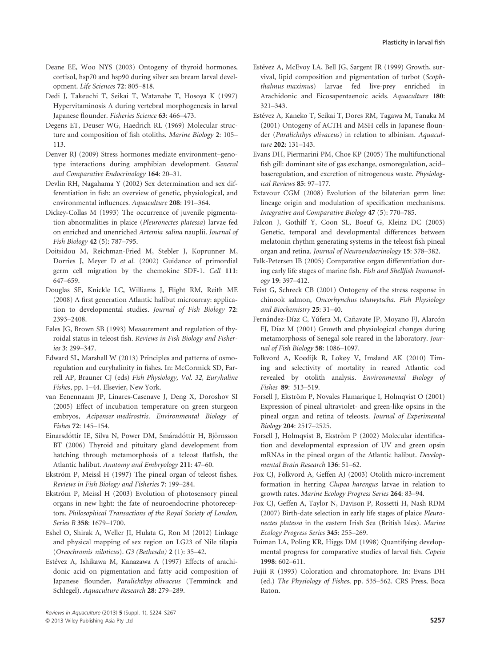- Deane EE, Woo NYS (2003) Ontogeny of thyroid hormones, cortisol, hsp70 and hsp90 during silver sea bream larval development. Life Sciences 72: 805–818.
- Dedi J, Takeuchi T, Seikai T, Watanabe T, Hosoya K (1997) Hypervitaminosis A during vertebral morphogenesis in larval Japanese flounder. Fisheries Science 63: 466–473.
- Degens ET, Deuser WG, Haedrich RL (1969) Molecular structure and composition of fish otoliths. Marine Biology 2: 105– 113.
- Denver RJ (2009) Stress hormones mediate environment–genotype interactions during amphibian development. General and Comparative Endocrinology 164: 20–31.
- Devlin RH, Nagahama Y (2002) Sex determination and sex differentiation in fish: an overview of genetic, physiological, and environmental influences. Aquaculture 208: 191–364.
- Dickey-Collas M (1993) The occurrence of juvenile pigmentation abnormalities in plaice (Pleuronectes platessa) larvae fed on enriched and unenriched Artemia salina nauplii. Journal of Fish Biology 42 (5): 787–795.
- Doitsidou M, Reichman-Fried M, Stebler J, Koprunner M, Dorries J, Meyer D et al. (2002) Guidance of primordial germ cell migration by the chemokine SDF-1. Cell 111: 647–659.
- Douglas SE, Knickle LC, Williams J, Flight RM, Reith ME (2008) A first generation Atlantic halibut microarray: application to developmental studies. Journal of Fish Biology 72: 2393–2408.
- Eales JG, Brown SB (1993) Measurement and regulation of thyroidal status in teleost fish. Reviews in Fish Biology and Fisheries 3: 299–347.
- Edward SL, Marshall W (2013) Principles and patterns of osmoregulation and euryhalinity in fishes. In: McCormick SD, Farrell AP, Brauner CJ (eds) Fish Physiology, Vol. 32, Euryhaline Fishes, pp. 1–44. Elsevier, New York.
- van Eenennaam JP, Linares-Casenave J, Deng X, Doroshov SI (2005) Effect of incubation temperature on green sturgeon embryos, Acipenser medirostris. Environmental Biology of Fishes 72: 145–154.
- Einarsdóttir IE, Silva N, Power DM, Smáradóttir H, Björnsson BT (2006) Thyroid and pituitary gland development from hatching through metamorphosis of a teleost flatfish, the Atlantic halibut. Anatomy and Embryology 211: 47–60.
- Ekström P, Meissl H (1997) The pineal organ of teleost fishes. Reviews in Fish Biology and Fisheries 7: 199–284.
- Ekström P, Meissl H (2003) Evolution of photosensory pineal organs in new light: the fate of neuroendocrine photoreceptors. Philosophical Transactions of the Royal Society of London, Series B 358: 1679–1700.
- Eshel O, Shirak A, Weller JI, Hulata G, Ron M (2012) Linkage and physical mapping of sex region on LG23 of Nile tilapia (Oreochromis niloticus). G3 (Bethesda) 2 (1): 35–42.
- Estévez A, Ishikawa M, Kanazawa A (1997) Effects of arachidonic acid on pigmentation and fatty acid composition of Japanese flounder, Paralichthys olivaceus (Temminck and Schlegel). Aquaculture Research 28: 279–289.
- Estévez A, McEvoy LA, Bell JG, Sargent JR (1999) Growth, survival, lipid composition and pigmentation of turbot (Scophthalmus maximus) larvae fed live-prey enriched in Arachidonic and Eicosapentaenoic acids. Aquaculture 180: 321–343.
- Estévez A, Kaneko T, Seikai T, Dores RM, Tagawa M, Tanaka M (2001) Ontogeny of ACTH and MSH cells in Japanese flounder (Paralichthys olivaceus) in relation to albinism. Aquaculture 202: 131–143.
- Evans DH, Piermarini PM, Choe KP (2005) The multifunctional fish gill: dominant site of gas exchange, osmoregulation, acid– baseregulation, and excretion of nitrogenous waste. Physiological Reviews 85: 97–177.
- Extavour CGM (2008) Evolution of the bilaterian germ line: lineage origin and modulation of specification mechanisms. Integrative and Comparative Biology 47 (5): 770–785.
- Falcon J, Gothilf Y, Coon SL, Boeuf G, Kleinz DC (2003) Genetic, temporal and developmental differences between melatonin rhythm generating systems in the teleost fish pineal organ and retina. Journal of Neuroendocrinology 15: 378–382.
- Falk-Petersen IB (2005) Comparative organ differentiation during early life stages of marine fish. Fish and Shellfish Immunology 19: 397–412.
- Feist G, Schreck CB (2001) Ontogeny of the stress response in chinook salmon, Oncorhynchus tshawytscha. Fish Physiology and Biochemistry 25: 31–40.
- Fernández-Díaz C, Yúfera M, Cañavate JP, Moyano FJ, Alarcón FJ, Díaz M (2001) Growth and physiological changes during metamorphosis of Senegal sole reared in the laboratory. Journal of Fish Biology 58: 1086–1097.
- Folkvord A, Koedijk R, Lokøy V, Imsland AK (2010) Timing and selectivity of mortality in reared Atlantic cod revealed by otolith analysis. Environmental Biology of Fishes 89: 513–519.
- Forsell J, Ekström P, Novales Flamarique I, Holmqvist O (2001) Expression of pineal ultraviolet- and green-like opsins in the pineal organ and retina of teleosts. Journal of Experimental Biology 204: 2517–2525.
- Forsell J, Holmqvist B, Ekström P (2002) Molecular identification and developmental expression of UV and green opsin mRNAs in the pineal organ of the Atlantic halibut. Developmental Brain Research 136: 51–62.
- Fox CJ, Folkvord A, Geffen AJ (2003) Otolith micro-increment formation in herring Clupea harengus larvae in relation to growth rates. Marine Ecology Progress Series 264: 83–94.
- Fox CJ, Geffen A, Taylor N, Davison P, Rossetti H, Nash RDM (2007) Birth-date selection in early life stages of plaice Pleuronectes platessa in the eastern Irish Sea (British Isles). Marine Ecology Progress Series 345: 255–269.
- Fuiman LA, Poling KR, Higgs DM (1998) Quantifying developmental progress for comparative studies of larval fish. Copeia 1998: 602–611.
- Fujii R (1993) Coloration and chromatophore. In: Evans DH (ed.) The Physiology of Fishes, pp. 535–562. CRS Press, Boca Raton.

Reviews in Aquaculture (2013) 5 (Suppl. 1), S224–S267  $\degree$  2013 Wiley Publishing Asia Pty Ltd S257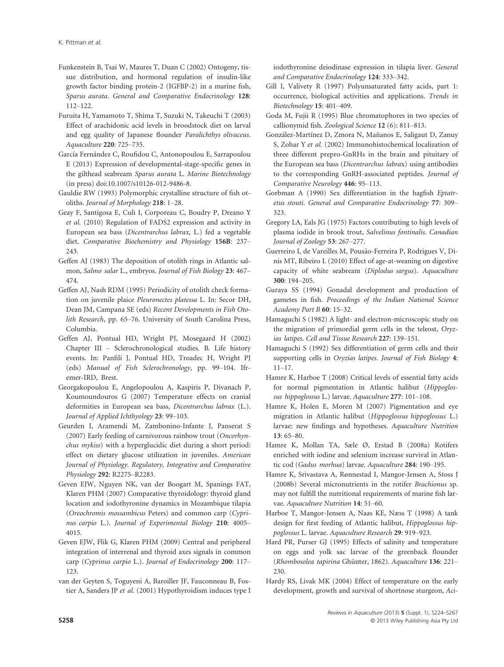- Funkenstein B, Tsai W, Maures T, Duan C (2002) Ontogeny, tissue distribution, and hormonal regulation of insulin-like growth factor binding protein-2 (IGFBP-2) in a marine fish, Sparus aurata. General and Comparative Endocrinology 128: 112–122.
- Furuita H, Yamamoto T, Shima T, Suzuki N, Takeuchi T (2003) Effect of arachidonic acid levels in broodstock diet on larval and egg quality of Japanese flounder Paralichthys olivaceus. Aquaculture 220: 725–735.
- García Fernández C, Roufidou C, Antonopoulou E, Sarrapoulou E (2013) Expression of developmental-stage-specific genes in the gilthead seabream Sparus aurata L. Marine Biotechnology (in press) doi:10.1007/s10126-012-9486-8.
- Gauldie RW (1993) Polymorphic crystalline structure of fish otoliths. Journal of Morphology 218: 1–28.
- Geay F, Santigosa E, Culi I, Corporeau C, Boudry P, Dreano Y et al. (2010) Regulation of FADS2 expression and activity in European sea bass (Dicentrarchus labrax, L.) fed a vegetable diet. Comparative Biochemistry and Physiology 156B: 237– 243.
- Geffen AJ (1983) The deposition of otolith rings in Atlantic salmon, Salmo salar L., embryos. Journal of Fish Biology 23: 467– 474.
- Geffen AJ, Nash RDM (1995) Periodicity of otolith check formation on juvenile plaice Pleuronectes platessa L. In: Secor DH, Dean JM, Campana SE (eds) Recent Developments in Fish Otolith Research, pp. 65–76. University of South Carolina Press, Columbia.
- Geffen AJ, Pontual HD, Wright PJ, Mosegaard H (2002) Chapter III – Sclerochronological studies. B. Life history events. In: Panfili J, Pontual HD, Troadec H, Wright PJ (eds) Manual of Fish Sclerochronology, pp. 99–104. Ifremer-IRD, Brest.
- Georgakopoulou E, Angelopoulou A, Kaspiris P, Divanach P, Koumoundouros G (2007) Temperature effects on cranial deformities in European sea bass, Dicentrarchus labrax (L.). Journal of Applied Ichthyology 23: 99–103.
- Geurden I, Aramendi M, Zambonino-Infante J, Panserat S (2007) Early feeding of carnivorous rainbow trout (Oncorhynchus mykiss) with a hyperglucidic diet during a short period: effect on dietary glucose utilization in juveniles. American Journal of Physiology. Regulatory, Integrative and Comparative Physiology 292: R2275–R2283.
- Geven EJW, Nguyen NK, van der Boogart M, Spanings FAT, Klaren PHM (2007) Comparative thyroidology: thyroid gland location and iodothyronine dynamics in Mozambique tilapia (Oreochromis mossambicus Peters) and common carp (Cyprinus carpio L.). Journal of Experimental Biology 210: 4005– 4015.
- Geven EJW, Flik G, Klaren PHM (2009) Central and peripheral integration of interrenal and thyroid axes signals in common carp (Cyprinus carpio L.). Journal of Endocrinology 200: 117– 123.
- van der Geyten S, Toguyeni A, Baroiller JF, Fauconneau B, Fostier A, Sanders JP et al. (2001) Hypothyroidism induces type I

iodothyronine deiodinase expression in tilapia liver. General and Comparative Endocrinology 124: 333–342.

- Gill I, Valivety R (1997) Polyunsaturated fatty acids, part 1: occurrence, biological activities and applications. Trends in Biotechnology 15: 401–409.
- Goda M, Fujii R (1995) Blue chromatophores in two species of callionymid fish. Zoological Science 12 (6): 811–813.
- González-Martínez D, Zmora N, Mañanos E, Saligaut D, Zanuy S, Zohar Y et al. (2002) Immunohistochemical localization of three different prepro-GnRHs in the brain and pituitary of the European sea bass (Dicentrarchus labrax) using antibodies to the corresponding GnRH-associated peptides. Journal of Comparative Neurology 446: 95–113.
- Gorbman A (1990) Sex differentiation in the hagfish Eptatretus stouti. General and Comparative Endocrinology 77: 309– 323.
- Gregory LA, Eals JG (1975) Factors contributing to high levels of plasma iodide in brook trout, Salvelinus fontinalis. Canadian Journal of Zoology 53: 267–277.
- Guerreiro I, de Vareilles M, Pousão-Ferreira P, Rodrigues V, Dinis MT, Ribeiro L (2010) Effect of age-at-weaning on digestive capacity of white seabream (Diplodus sargus). Aquaculture 300: 194–205.
- Guraya SS (1994) Gonadal development and production of gametes in fish. Proceedings of the Indian National Science Academy Part B 60: 15–32.
- Hamaguchi S (1982) A light- and electron-microscopic study on the migration of primordial germ cells in the teleost, Oryzias latipes. Cell and Tissue Research 227: 139–151.
- Hamaguchi S (1992) Sex differentiation of germ cells and their supporting cells in Oryzias latipes. Journal of Fish Biology 4: 11–17.
- Hamre K, Harboe T (2008) Critical levels of essential fatty acids for normal pigmentation in Atlantic halibut (Hippoglossus hippoglossus L.) larvae. Aquaculture 277: 101–108.
- Hamre K, Holen E, Moren M (2007) Pigmentation and eye migration in Atlantic halibut (Hippoglossus hippoglossus L.) larvae: new findings and hypotheses. Aquaculture Nutrition 13: 65–80.
- Hamre K, Mollan TA, Sæle Ø, Erstad B (2008a) Rotifers enriched with iodine and selenium increase survival in Atlantic cod (Gadus morhua) larvae. Aquaculture 284: 190–195.
- Hamre K, Srivastava A, Rønnestad I, Mangor-Jensen A, Stoss J (2008b) Several micronutrients in the rotifer Brachionus sp. may not fulfill the nutritional requirements of marine fish larvae. Aquaculture Nutrition 14: 51–60.
- Harboe T, Mangor-Jensen A, Naas KE, Næss T (1998) A tank design for first feeding of Atlantic halibut, Hippoglossus hippoglossus L. larvae. Aquaculture Research 29: 919–923.
- Hard PR, Purser GJ (1995) Effects of salinity and temperature on eggs and yolk sac larvae of the greenback flounder (Rhombosolea tapirina Ghünter, 1862). Aquaculture 136: 221-230.
- Hardy RS, Livak MK (2004) Effect of temperature on the early development, growth and survival of shortnose sturgeon, Aci-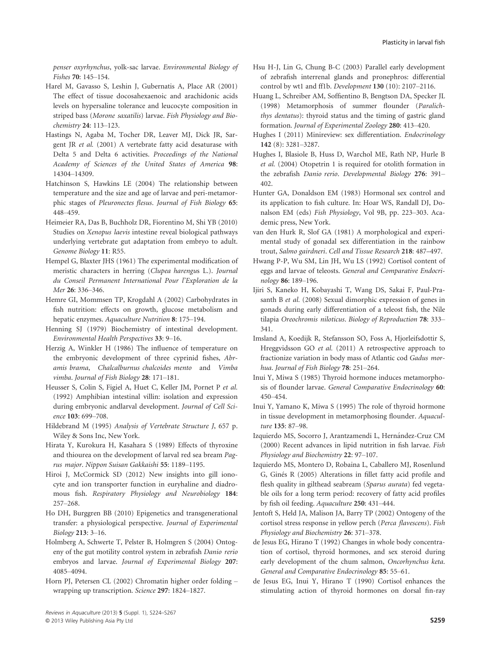penser oxyrhynchus, yolk-sac larvae. Environmental Biology of Fishes 70: 145–154.

- Harel M, Gavasso S, Leshin J, Gubernatis A, Place AR (2001) The effect of tissue docosahexaenoic and arachidonic acids levels on hypersaline tolerance and leucocyte composition in striped bass (Morone saxatilis) larvae. Fish Physiology and Biochemistry 24: 113–123.
- Hastings N, Agaba M, Tocher DR, Leaver MJ, Dick JR, Sargent JR et al. (2001) A vertebrate fatty acid desaturase with Delta 5 and Delta 6 activities. Proceedings of the National Academy of Sciences of the United States of America 98: 14304–14309.
- Hatchinson S, Hawkins LE (2004) The relationship between temperature and the size and age of larvae and peri-metamorphic stages of Pleuronectes flesus. Journal of Fish Biology 65: 448–459.
- Heimeier RA, Das B, Buchholz DR, Fiorentino M, Shi YB (2010) Studies on Xenopus laevis intestine reveal biological pathways underlying vertebrate gut adaptation from embryo to adult. Genome Biology 11: R55.
- Hempel G, Blaxter JHS (1961) The experimental modification of meristic characters in herring (Clupea harengus L.). Journal du Conseil Permanent International Pour l'Exploration de la Mer 26: 336–346.
- Hemre GI, Mommsen TP, Krogdahl A (2002) Carbohydrates in fish nutrition: effects on growth, glucose metabolism and hepatic enzymes. Aquaculture Nutrition 8: 175–194.
- Henning SJ (1979) Biochemistry of intestinal development. Environmental Health Perspectives 33: 9–16.
- Herzig A, Winkler H (1986) The influence of temperature on the embryonic development of three cyprinid fishes, Abramis brama, Chalcalburnus chalcoides mento and Vimba vimba. Journal of Fish Biology 28: 171–181.
- Heusser S, Colin S, Figiel A, Huet C, Keller JM, Pornet P et al. (1992) Amphibian intestinal villin: isolation and expression during embryonic andlarval development. Journal of Cell Science 103: 699–708.
- Hildebrand M (1995) Analysis of Vertebrate Structure J, 657 p. Wiley & Sons Inc, New York.
- Hirata Y, Kurokura H, Kasahara S (1989) Effects of thyroxine and thiourea on the development of larval red sea bream Pagrus major. Nippon Suisan Gakkaishi 55: 1189–1195.
- Hiroi J, McCormick SD (2012) New insights into gill ionocyte and ion transporter function in euryhaline and diadromous fish. Respiratory Physiology and Neurobiology 184: 257–268.
- Ho DH, Burggren BB (2010) Epigenetics and transgenerational transfer: a physiological perspective. Journal of Experimental Biology 213: 3–16.
- Holmberg A, Schwerte T, Pelster B, Holmgren S (2004) Ontogeny of the gut motility control system in zebrafish Danio rerio embryos and larvae. Journal of Experimental Biology 207: 4085–4094.
- Horn PJ, Petersen CL (2002) Chromatin higher order folding wrapping up transcription. Science 297: 1824–1827.
- Hsu H-J, Lin G, Chung B-C (2003) Parallel early development of zebrafish interrenal glands and pronephros: differential control by wt1 and ff1b. Development 130 (10): 2107–2116.
- Huang L, Schreiber AM, Soffientino B, Bengtson DA, Specker JL (1998) Metamorphosis of summer flounder (Paralichthys dentatus): thyroid status and the timing of gastric gland formation. Journal of Experimental Zoology 280: 413–420.
- Hughes I (2011) Minireview: sex differentiation. Endocrinology 142 (8): 3281–3287.
- Hughes I, Blasiole B, Huss D, Warchol ME, Rath NP, Hurle B et al. (2004) Otopetrin 1 is required for otolith formation in the zebrafish Danio rerio. Developmental Biology 276: 391– 402.
- Hunter GA, Donaldson EM (1983) Hormonal sex control and its application to fish culture. In: Hoar WS, Randall DJ, Donalson EM (eds) Fish Physiology, Vol 9B, pp. 223–303. Academic press, New York.
- van den Hurk R, Slof GA (1981) A morphological and experimental study of gonadal sex differentiation in the rainbow trout, Salmo gairdneri. Cell and Tissue Research 218: 487–497.
- Hwang P-P, Wu SM, Lin JH, Wu LS (1992) Cortisol content of eggs and larvae of teleosts. General and Comparative Endocrinology 86: 189–196.
- Ijiri S, Kaneko H, Kobayashi T, Wang DS, Sakai F, Paul-Prasanth B et al. (2008) Sexual dimorphic expression of genes in gonads during early differentiation of a teleost fish, the Nile tilapia Oreochromis niloticus. Biology of Reproduction 78: 333– 341.
- Imsland A, Koedijk R, Stefansson SO, Foss A, Hjorleifsdottir S, Hreggvidsson GO et al. (2011) A retrospective approach to fractionize variation in body mass of Atlantic cod Gadus morhua. Journal of Fish Biology 78: 251–264.
- Inui Y, Miwa S (1985) Thyroid hormone induces metamorphosis of flounder larvae. General Comparative Endocrinology 60: 450–454.
- Inui Y, Yamano K, Miwa S (1995) The role of thyroid hormone in tissue development in metamorphosing flounder. Aquaculture 135: 87–98.
- Izquierdo MS, Socorro J, Arantzamendi L, Hernández-Cruz CM (2000) Recent advances in lipid nutrition in fish larvae. Fish Physiology and Biochemistry 22: 97–107.
- Izquierdo MS, Montero D, Robaina L, Caballero MJ, Rosenlund G, Ginés R (2005) Alterations in fillet fatty acid profile and flesh quality in gilthead seabream (Sparus aurata) fed vegetable oils for a long term period: recovery of fatty acid profiles by fish oil feeding. Aquaculture 250: 431–444.
- Jentoft S, Held JA, Malison JA, Barry TP (2002) Ontogeny of the cortisol stress response in yellow perch (Perca flavescens). Fish Physiology and Biochemistry 26: 371–378.
- de Jesus EG, Hirano T (1992) Changes in whole body concentration of cortisol, thyroid hormones, and sex steroid during early development of the chum salmon, Oncorhynchus keta. General and Comparative Endocrinology 85: 55–61.
- de Jesus EG, Inui Y, Hirano T (1990) Cortisol enhances the stimulating action of thyroid hormones on dorsal fin-ray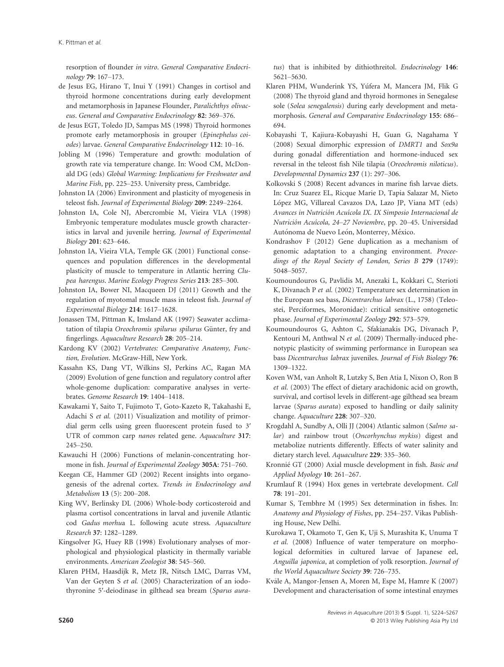resorption of flounder in vitro. General Comparative Endocrinology 79: 167–173.

de Jesus EG, Hirano T, Inui Y (1991) Changes in cortisol and thyroid hormone concentrations during early development and metamorphosis in Japanese Flounder, Paralichthys olivaceus. General and Comparative Endocrinology 82: 369–376.

de Jesus EGT, Toledo JD, Sampas MS (1998) Thyroid hormones promote early metamorphosis in grouper (Epinephelus coiodes) larvae. General Comparative Endocrinology 112: 10–16.

Jobling M (1996) Temperature and growth: modulation of growth rate via temperature change. In: Wood CM, McDonald DG (eds) Global Warming: Implications for Freshwater and Marine Fish, pp. 225–253. University press, Cambridge.

Johnston IA (2006) Environment and plasticity of myogenesis in teleost fish. Journal of Experimental Biology 209: 2249–2264.

Johnston IA, Cole NJ, Abercrombie M, Vieira VLA (1998) Embryonic temperature modulates muscle growth characteristics in larval and juvenile herring. Journal of Experimental Biology 201: 623–646.

Johnston IA, Vieira VLA, Temple GK (2001) Functional consequences and population differences in the developmental plasticity of muscle to temperature in Atlantic herring Clupea harengus. Marine Ecology Progress Series 213: 285–300.

Johnston IA, Bower NI, Macqueen DJ (2011) Growth and the regulation of myotomal muscle mass in teleost fish. Journal of Experimental Biology 214: 1617–1628.

Jonassen TM, Pittman K, Imsland AK (1997) Seawater acclimatation of tilapia Oreochromis spilurus spilurus Günter, fry and fingerlings. Aquaculture Research 28: 205–214.

Kardong KV (2002) Vertebrates: Comparative Anatomy, Function, Evolution. McGraw-Hill, New York.

Kassahn KS, Dang VT, Wilkins SJ, Perkins AC, Ragan MA (2009) Evolution of gene function and regulatory control after whole-genome duplication: comparative analyses in vertebrates. Genome Research 19: 1404–1418.

Kawakami Y, Saito T, Fujimoto T, Goto-Kazeto R, Takahashi E, Adachi S et al. (2011) Visualization and motility of primordial germ cells using green fluorescent protein fused to 3′ UTR of common carp nanos related gene. Aquaculture 317: 245–250.

Kawauchi H (2006) Functions of melanin-concentrating hormone in fish. Journal of Experimental Zoology 305A: 751–760.

Keegan CE, Hammer GD (2002) Recent insights into organogenesis of the adrenal cortex. Trends in Endocrinology and Metabolism 13 (5): 200–208.

King WV, Berlinsky DL (2006) Whole-body corticosteroid and plasma cortisol concentrations in larval and juvenile Atlantic cod Gadus morhua L. following acute stress. Aquaculture Research 37: 1282–1289.

Kingsolver JG, Huey RB (1998) Evolutionary analyses of morphological and physiological plasticity in thermally variable environments. American Zoologist 38: 545–560.

Klaren PHM, Haasdijk R, Metz JR, Nitsch LMC, Darras VM, Van der Geyten S et al. (2005) Characterization of an iodothyronine 5′-deiodinase in gilthead sea bream (Sparus auratus) that is inhibited by dithiothreitol. Endocrinology 146: 5621–5630.

- Klaren PHM, Wunderink YS, Yufera M, Mancera JM, Flik G (2008) The thyroid gland and thyroid hormones in Senegalese sole (Solea senegalensis) during early development and metamorphosis. General and Comparative Endocrinology 155: 686– 694.
- Kobayashi T, Kajiura-Kobayashi H, Guan G, Nagahama Y (2008) Sexual dimorphic expression of DMRT1 and Sox9a during gonadal differentiation and hormone-induced sex reversal in the teleost fish Nile tilapia (Oreochromis niloticus). Developmental Dynamics 237 (1): 297–306.
- Kolkovski S (2008) Recent advances in marine fish larvae diets. In: Cruz Suarez EL, Ricque Marie D, Tapia Salazar M, Nieto López MG, Villareal Cavazos DA, Lazo JP, Viana MT (eds) Avances in Nutrición Acuícola IX. IX Simposio Internacional de Nutrición Acuícola, 24-27 Noviembre, pp. 20-45. Universidad Autónoma de Nuevo León, Monterrey, México.
- Kondrashov F (2012) Gene duplication as a mechanism of genomic adaptation to a changing environment. Proceedings of the Royal Society of London, Series B 279 (1749): 5048–5057.
- Koumoundouros G, Pavlidis M, Anezaki L, Kokkari C, Sterioti K, Divanach P et al. (2002) Temperature sex determination in the European sea bass, Dicentrarchus labrax (L., 1758) (Teleostei, Perciformes, Moronidae): critical sensitive ontogenetic phase. Journal of Experimental Zoology 292: 573–579.
- Koumoundouros G, Ashton C, Sfakianakis DG, Divanach P, Kentouri M, Anthwal N et al. (2009) Thermally-induced phenotypic plasticity of swimming performance in European sea bass Dicentrarchus labrax juveniles. Journal of Fish Biology 76: 1309–1322.
- Koven WM, van Anholt R, Lutzky S, Ben Atia I, Nixon O, Ron B et al. (2003) The effect of dietary arachidonic acid on growth, survival, and cortisol levels in different-age gilthead sea bream larvae (Sparus aurata) exposed to handling or daily salinity change. Aquaculture 228: 307–320.
- Krogdahl A, Sundby A, Olli JJ (2004) Atlantic salmon (Salmo salar) and rainbow trout (Oncorhynchus mykiss) digest and metabolize nutrients differently. Effects of water salinity and dietary starch level. Aquaculture 229: 335–360.
- Kronnié GT (2000) Axial muscle development in fish. Basic and Applied Myology 10: 261–267.

Krumlauf R (1994) Hox genes in vertebrate development. Cell 78: 191–201.

Kumar S, Tembhre M (1995) Sex determination in fishes. In: Anatomy and Physiology of Fishes, pp. 254–257. Vikas Publishing House, New Delhi.

- Kurokawa T, Okamoto T, Gen K, Uji S, Murashita K, Unuma T et al. (2008) Influence of water temperature on morphological deformities in cultured larvae of Japanese eel, Anguilla japonica, at completion of yolk resorption. Journal of the World Aquaculture Society 39: 726–735.
- Kvale A, Mangor-Jensen A, Moren M, Espe M, Hamre K (2007) Development and characterisation of some intestinal enzymes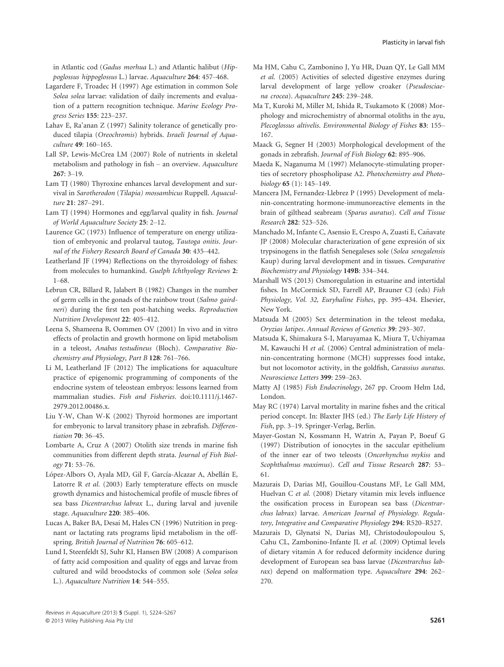in Atlantic cod (Gadus morhua L.) and Atlantic halibut (Hippoglossus hippoglossus L.) larvae. Aquaculture 264: 457–468.

- Lagardere F, Troadec H (1997) Age estimation in common Sole Solea solea larvae: validation of daily increments and evaluation of a pattern recognition technique. Marine Ecology Progress Series 155: 223–237.
- Lahav E, Ra'anan Z (1997) Salinity tolerance of genetically produced tilapia (Oreochromis) hybrids. Israeli Journal of Aquaculture 49: 160–165.
- Lall SP, Lewis-McCrea LM (2007) Role of nutrients in skeletal metabolism and pathology in fish – an overview. Aquaculture 267: 3–19.
- Lam TJ (1980) Thyroxine enhances larval development and survival in Sarotherodon (Tilapia) mossambicus Ruppell. Aquaculture 21: 287–291.
- Lam TJ (1994) Hormones and egg/larval quality in fish. Journal of World Aquaculture Society 25: 2–12.
- Laurence GC (1973) Influence of temperature on energy utilization of embryonic and prolarval tautog, Tautoga onitis. Journal of the Fishery Research Board of Canada 30: 435–442.
- Leatherland JF (1994) Reflections on the thyroidology of fishes: from molecules to humankind. Guelph Ichthyology Reviews 2: 1–68.
- Lebrun CR, Billard R, Jalabert B (1982) Changes in the number of germ cells in the gonads of the rainbow trout (Salmo gairdneri) during the first ten post-hatching weeks. Reproduction Nutrition Development 22: 405–412.
- Leena S, Shameena B, Oommen OV (2001) In vivo and in vitro effects of prolactin and growth hormone on lipid metabolism in a teleost, Anabas testudineus (Bloch). Comparative Biochemistry and Physiology, Part B 128: 761–766.
- Li M, Leatherland JF (2012) The implications for aquaculture practice of epigenomic programming of components of the endocrine system of teleostean embryos: lessons learned from mammalian studies. Fish and Fisheries. doi:10.1111/j.1467- 2979.2012.00486.x.
- Liu Y-W, Chan W-K (2002) Thyroid hormones are important for embryonic to larval transitory phase in zebrafish. Differentiation 70: 36–45.
- Lombarte A, Cruz A (2007) Otolith size trends in marine fish communities from different depth strata. Journal of Fish Biology 71: 53–76.
- López-Albors O, Ayala MD, Gil F, García-Alcazar A, Abellán E, Latorre R et al. (2003) Early tempterature effects on muscle growth dynamics and histochemical profile of muscle fibres of sea bass Dicentrarchus labrax L., during larval and juvenile stage. Aquaculture 220: 385–406.
- Lucas A, Baker BA, Desai M, Hales CN (1996) Nutrition in pregnant or lactating rats programs lipid metabolism in the offspring. British Journal of Nutrition 76: 605-612.
- Lund I, Steenfeldt SJ, Suhr KI, Hansen BW (2008) A comparison of fatty acid composition and quality of eggs and larvae from cultured and wild broodstocks of common sole (Solea solea L.). Aquaculture Nutrition 14: 544–555.
- Ma HM, Cahu C, Zambonino J, Yu HR, Duan QY, Le Gall MM et al. (2005) Activities of selected digestive enzymes during larval development of large yellow croaker (Pseudosciaena crocea). Aquaculture 245: 239–248.
- Ma T, Kuroki M, Miller M, Ishida R, Tsukamoto K (2008) Morphology and microchemistry of abnormal otoliths in the ayu, Plecoglossus altivelis. Environmental Biology of Fishes 83: 155– 167.
- Maack G, Segner H (2003) Morphological development of the gonads in zebrafish. Journal of Fish Biology 62: 895–906.
- Maeda K, Naganuma M (1997) Melanocyte-stimulating properties of secretory phospholipase A2. Photochemistry and Photobiology 65 (1): 145–149.
- Mancera JM, Fernandez-Llebrez P (1995) Development of melanin-concentrating hormone-immunoreactive elements in the brain of gilthead seabream (Sparus auratus). Cell and Tissue Research 282: 523–526.
- Manchado M, Infante C, Asensio E, Crespo A, Zuasti E, Cañavate JP (2008) Molecular characterization of gene expresión of six trypsinogens in the flatfish Senegaleses sole (Solea senegalensis Kaup) during larval development and in tissues. Comparative Biochemistry and Physiology 149B: 334–344.
- Marshall WS (2013) Osmoregulation in estuarine and intertidal fishes. In McCormick SD, Farrell AP, Brauner CJ (eds) Fish Physiology, Vol. 32, Euryhaline Fishes, pp. 395–434. Elsevier, New York.
- Matsuda M (2005) Sex determination in the teleost medaka, Oryzias latipes. Annual Reviews of Genetics 39: 293–307.
- Matsuda K, Shimakura S-I, Maruyamaa K, Miura T, Uchiyamaa M, Kawauchi H et al. (2006) Central administration of melanin-concentrating hormone (MCH) suppresses food intake, but not locomotor activity, in the goldfish, Carassius auratus. Neuroscience Letters 399: 259–263.
- Matty AJ (1985) Fish Endocrinology, 267 pp. Croom Helm Ltd, London.
- May RC (1974) Larval mortality in marine fishes and the critical period concept. In: Blaxter JHS (ed.) The Early Life History of Fish, pp. 3–19. Springer-Verlag, Berlin.
- Mayer-Gostan N, Kossmann H, Watrin A, Payan P, Boeuf G (1997) Distribution of ionocytes in the saccular epithelium of the inner ear of two teleosts (Oncorhynchus mykiss and Scophthalmus maximus). Cell and Tissue Research 287: 53– 61.
- Mazurais D, Darias MJ, Gouillou-Coustans MF, Le Gall MM, Huelvan C et al. (2008) Dietary vitamin mix levels influence the ossification process in European sea bass (Dicentrarchus labrax) larvae. American Journal of Physiology. Regulatory, Integrative and Comparative Physiology 294: R520–R527.
- Mazurais D, Glynatsi N, Darias MJ, Christodoulopoulou S, Cahu CL, Zambonino-Infante JL et al. (2009) Optimal levels of dietary vitamin A for reduced deformity incidence during development of European sea bass larvae (Dicentrarchus labrax) depend on malformation type. Aquaculture 294: 262– 270.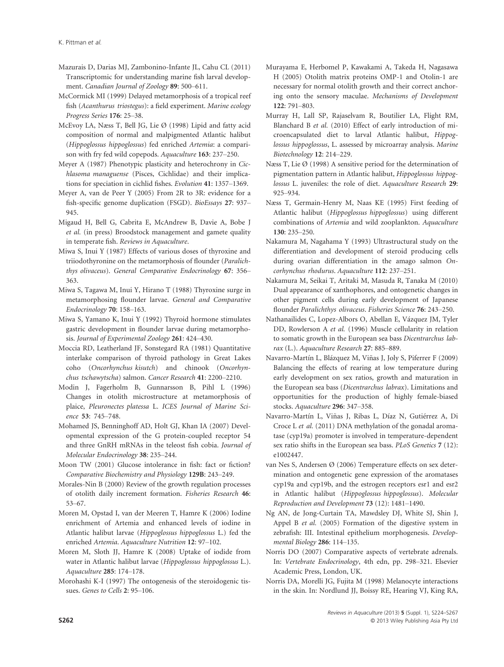- Mazurais D, Darias MJ, Zambonino-Infante JL, Cahu CL (2011) Transcriptomic for understanding marine fish larval development. Canadian Journal of Zoology 89: 500–611.
- McCormick MI (1999) Delayed metamorphosis of a tropical reef fish (Acanthurus triostegus): a field experiment. Marine ecology Progress Series 176: 25–38.
- McEvoy LA, Næss T, Bell JG, Lie Ø (1998) Lipid and fatty acid composition of normal and malpigmented Atlantic halibut (Hippoglossus hippoglossus) fed enriched Artemia: a comparison with fry fed wild copepods. Aquaculture 163: 237–250.
- Meyer A (1987) Phenotypic plasticity and heterochrony in Cichlasoma managuense (Pisces, Cichlidae) and their implications for speciation in cichlid fishes. Evolution 41: 1357–1369.
- Meyer A, van de Peer Y (2005) From 2R to 3R: evidence for a fish-specific genome duplication (FSGD). BioEssays 27: 937– 945.
- Migaud H, Bell G, Cabrita E, McAndrew B, Davie A, Bobe J et al. (in press) Broodstock management and gamete quality in temperate fish. Reviews in Aquaculture.
- Miwa S, Inui Y (1987) Effects of various doses of thyroxine and triiodothyronine on the metamorphosis of flounder (Paralichthys olivaceus). General Comparative Endocrinology 67: 356– 363.
- Miwa S, Tagawa M, Inui Y, Hirano T (1988) Thyroxine surge in metamorphosing flounder larvae. General and Comparative Endocrinology 70: 158–163.
- Miwa S, Yamano K, Inui Y (1992) Thyroid hormone stimulates gastric development in flounder larvae during metamorphosis. Journal of Experimental Zoology 261: 424–430.
- Moccia RD, Leatherland JF, Sonstegard RA (1981) Quantitative interlake comparison of thyroid pathology in Great Lakes coho (Oncorhynchus kisutch) and chinook (Oncorhynchus tschawytscha) salmon. Cancer Research 41: 2200–2210.
- Modin J, Fagerholm B, Gunnarsson B, Pihl L (1996) Changes in otolith microstructure at metamorphosis of plaice, Pleuronectes platessa L. ICES Journal of Marine Science 53: 745–748.
- Mohamed JS, Benninghoff AD, Holt GJ, Khan IA (2007) Developmental expression of the G protein-coupled receptor 54 and three GnRH mRNAs in the teleost fish cobia. Journal of Molecular Endocrinology 38: 235–244.
- Moon TW (2001) Glucose intolerance in fish: fact or fiction? Comparative Biochemistry and Physiology 129B: 243–249.
- Morales-Nin B (2000) Review of the growth regulation processes of otolith daily increment formation. Fisheries Research 46: 53–67.
- Moren M, Opstad I, van der Meeren T, Hamre K (2006) Iodine enrichment of Artemia and enhanced levels of iodine in Atlantic halibut larvae (Hippoglossus hippoglossus L.) fed the enriched Artemia. Aquaculture Nutrition 12: 97–102.
- Moren M, Sloth JJ, Hamre K (2008) Uptake of iodide from water in Atlantic halibut larvae (Hippoglossus hippoglossus L.). Aquaculture 285: 174–178.
- Morohashi K-I (1997) The ontogenesis of the steroidogenic tissues. Genes to Cells 2: 95–106.
- Murayama E, Herbomel P, Kawakami A, Takeda H, Nagasawa H (2005) Otolith matrix proteins OMP-1 and Otolin-1 are necessary for normal otolith growth and their correct anchoring onto the sensory maculae. Mechanisms of Development 122: 791–803.
- Murray H, Lall SP, Rajaselvam R, Boutilier LA, Flight RM, Blanchard B et al. (2010) Effect of early introduction of microencapsulated diet to larval Atlantic halibut, Hippoglossus hippoglossus, L. assessed by microarray analysis. Marine Biotechnology 12: 214–229.
- Næss T, Lie Ø (1998) A sensitive period for the determination of pigmentation pattern in Atlantic halibut, Hippoglossus hippoglossus L. juveniles: the role of diet. Aquaculture Research 29: 925–934.
- Næss T, Germain-Henry M, Naas KE (1995) First feeding of Atlantic halibut (Hippoglossus hippoglossus) using different combinations of Artemia and wild zooplankton. Aquaculture 130: 235–250.
- Nakamura M, Nagahama Y (1993) Ultrastructural study on the differentiation and development of steroid producing cells during ovarian differentiation in the amago salmon Oncorhynchus rhodurus. Aquaculture 112: 237–251.
- Nakamura M, Seikai T, Aritaki M, Masuda R, Tanaka M (2010) Dual appearance of xanthophores, and ontogenetic changes in other pigment cells during early development of Japanese flounder Paralichthys olivaceus. Fisheries Science 76: 243-250.
- Nathanailides C, Lopez-Albors O, Abellan E, Vázquez JM, Tyler DD, Rowlerson A et al. (1996) Muscle cellularity in relation to somatic growth in the European sea bass Dicentrarchus labrax (L.). Aquaculture Research 27: 885–889.
- Navarro-Martín L, Blázquez M, Viñas J, Joly S, Piferrer F (2009) Balancing the effects of rearing at low temperature during early development on sex ratios, growth and maturation in the European sea bass (Dicentrarchus labrax). Limitations and opportunities for the production of highly female-biased stocks. Aquaculture 296: 347–358.
- Navarro-Martín L, Viñas J, Ribas L, Díaz N, Gutiérrez A, Di Croce L et al. (2011) DNA methylation of the gonadal aromatase (cyp19a) promoter is involved in temperature-dependent sex ratio shifts in the European sea bass. PLoS Genetics 7 (12): e1002447.
- van Nes S, Andersen Ø (2006) Temperature effects on sex determination and ontogenetic gene expression of the aromatases cyp19a and cyp19b, and the estrogen receptors esr1 and esr2 in Atlantic halibut (Hippoglossus hippoglossus). Molecular Reproduction and Development 73 (12): 1481–1490.
- Ng AN, de Jong-Curtain TA, Mawdsley DJ, White SJ, Shin J, Appel B et al. (2005) Formation of the digestive system in zebrafish: III. Intestinal epithelium morphogenesis. Developmental Biology 286: 114–135.
- Norris DO (2007) Comparative aspects of vertebrate adrenals. In: Vertebrate Endocrinology, 4th edn, pp. 298–321. Elsevier Academic Press, London, UK.
- Norris DA, Morelli JG, Fujita M (1998) Melanocyte interactions in the skin. In: Nordlund JJ, Boissy RE, Hearing VJ, King RA,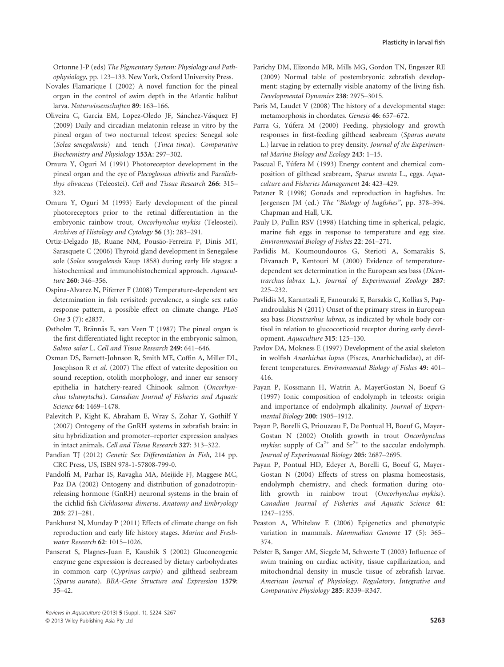Ortonne J-P (eds) The Pigmentary System: Physiology and Pathophysiology, pp. 123–133. New York, Oxford University Press.

- Novales Flamarique I (2002) A novel function for the pineal organ in the control of swim depth in the Atlantic halibut larva. Naturwissenschaften 89: 163–166.
- Oliveira C, Garcia EM, Lopez-Oledo JF, Sánchez-Vásquez FJ (2009) Daily and circadian melatonin release in vitro by the pineal organ of two nocturnal teleost species: Senegal sole (Solea senegalensis) and tench (Tinca tinca). Comparative Biochemistry and Physiology 153A: 297–302.
- Omura Y, Oguri M (1991) Photoreceptor development in the pineal organ and the eye of Plecoglossus altivelis and Paralichthys olivaceus (Teleostei). Cell and Tissue Research 266: 315-323.
- Omura Y, Oguri M (1993) Early development of the pineal photoreceptors prior to the retinal differentiation in the embryonic rainbow trout, Oncorhynchus mykiss (Teleostei). Archives of Histology and Cytology 56 (3): 283–291.
- Ortiz-Delgado JB, Ruane NM, Pousão-Ferreira P, Dinis MT, Sarasquete C (2006) Thyroid gland development in Senegalese sole (Solea senegalensis Kaup 1858) during early life stages: a histochemical and immunohistochemical approach. Aquaculture 260: 346–356.
- Ospina-Alvarez N, Piferrer F (2008) Temperature-dependent sex determination in fish revisited: prevalence, a single sex ratio response pattern, a possible effect on climate change. PLoS One 3 (7): e2837.
- Østholm T, Brännäs E, van Veen T (1987) The pineal organ is the first differentiated light receptor in the embryonic salmon, Salmo salar L. Cell and Tissue Research 249: 641-646.
- Oxman DS, Barnett-Johnson R, Smith ME, Coffin A, Miller DL, Josephson R et al. (2007) The effect of vaterite deposition on sound reception, otolith morphology, and inner ear sensory epithelia in hatchery-reared Chinook salmon (Oncorhynchus tshawytscha). Canadian Journal of Fisheries and Aquatic Science 64: 1469–1478.
- Palevitch P, Kight K, Abraham E, Wray S, Zohar Y, Gothilf Y (2007) Ontogeny of the GnRH systems in zebrafish brain: in situ hybridization and promoter–reporter expression analyses in intact animals. Cell and Tissue Research 327: 313–322.
- Pandian TJ (2012) Genetic Sex Differentiation in Fish, 214 pp. CRC Press, US, ISBN 978-1-57808-799-0.
- Pandolfi M, Parhar IS, Ravaglia MA, Meijide FJ, Maggese MC, Paz DA (2002) Ontogeny and distribution of gonadotropinreleasing hormone (GnRH) neuronal systems in the brain of the cichlid fish Cichlasoma dimerus. Anatomy and Embryology 205: 271–281.
- Pankhurst N, Munday P (2011) Effects of climate change on fish reproduction and early life history stages. Marine and Freshwater Research 62: 1015–1026.
- Panserat S, Plagnes-Juan E, Kaushik S (2002) Gluconeogenic enzyme gene expression is decreased by dietary carbohydrates in common carp (Cyprinus carpio) and gilthead seabream (Sparus aurata). BBA-Gene Structure and Expression 1579: 35–42.
- Parichy DM, Elizondo MR, Mills MG, Gordon TN, Engeszer RE (2009) Normal table of postembryonic zebrafish development: staging by externally visible anatomy of the living fish. Developmental Dynamics 238: 2975–3015.
- Paris M, Laudet V (2008) The history of a developmental stage: metamorphosis in chordates. Genesis 46: 657–672.
- Parra G, Yúfera M (2000) Feeding, physiology and growth responses in first-feeding gilthead seabream (Sparus aurata L.) larvae in relation to prey density. Journal of the Experimental Marine Biology and Ecology 243: 1–15.
- Pascual E, Yúfera M (1993) Energy content and chemical composition of gilthead seabream, Sparus aurata L., eggs. Aquaculture and Fisheries Management 24: 423–429.
- Patzner R (1998) Gonads and reproduction in hagfishes. In: Jørgensen JM (ed.) The "Biology of hagfishes", pp. 378–394. Chapman and Hall, UK.
- Pauly D, Pullin RSV (1998) Hatching time in spherical, pelagic, marine fish eggs in response to temperature and egg size. Environmental Biology of Fishes 22: 261–271.
- Pavlidis M, Koumoundouros G, Sterioti A, Somarakis S, Divanach P, Kentouri M (2000) Evidence of temperaturedependent sex determination in the European sea bass (Dicentrarchus labrax L.). Journal of Experimental Zoology 287: 225–232.
- Pavlidis M, Karantzali E, Fanouraki E, Barsakis C, Kollias S, Papandroulakis N (2011) Onset of the primary stress in European sea bass Dicentrarhus labrax, as indicated by whole body cortisol in relation to glucocorticoid receptor during early development. Aquaculture 315: 125–130.
- Pavlov DA, Mokness E (1997) Development of the axial skeleton in wolfish Anarhichas lupus (Pisces, Anarhichadidae), at different temperatures. Environmental Biology of Fishes 49: 401– 416.
- Payan P, Kossmann H, Watrin A, MayerGostan N, Boeuf G (1997) Ionic composition of endolymph in teleosts: origin and importance of endolymph alkalinity. Journal of Experimental Biology 200: 1905–1912.
- Payan P, Borelli G, Priouzeau F, De Pontual H, Boeuf G, Mayer-Gostan N (2002) Otolith growth in trout Oncorhynchus mykiss: supply of  $Ca^{2+}$  and  $Sr^{2+}$  to the saccular endolymph. Journal of Experimental Biology 205: 2687–2695.
- Payan P, Pontual HD, Edeyer A, Borelli G, Boeuf G, Mayer-Gostan N (2004) Effects of stress on plasma homeostasis, endolymph chemistry, and check formation during otolith growth in rainbow trout (Oncorhynchus mykiss). Canadian Journal of Fisheries and Aquatic Science 61: 1247–1255.
- Peaston A, Whitelaw E (2006) Epigenetics and phenotypic variation in mammals. Mammalian Genome 17 (5): 365– 374.
- Pelster B, Sanger AM, Siegele M, Schwerte T (2003) Influence of swim training on cardiac activity, tissue capillarization, and mitochondrial density in muscle tissue of zebrafish larvae. American Journal of Physiology. Regulatory, Integrative and Comparative Physiology 285: R339–R347.

Reviews in Aquaculture (2013) 5 (Suppl. 1), S224–S267 © 2013 Wiley Publishing Asia Pty Ltd S263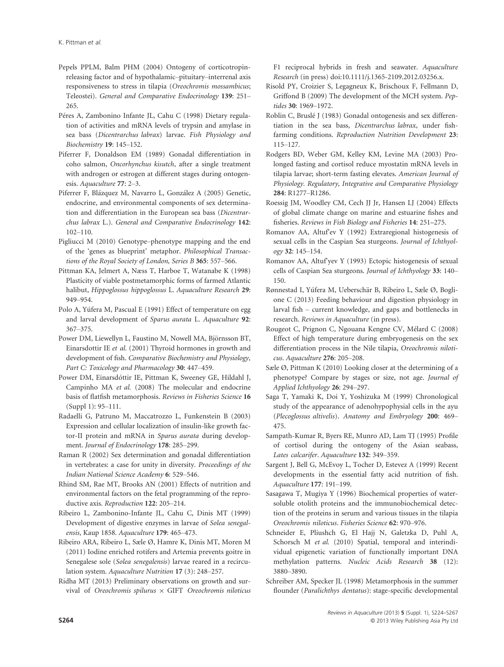- Pepels PPLM, Balm PHM (2004) Ontogeny of corticotropinreleasing factor and of hypothalamic–pituitary–interrenal axis responsiveness to stress in tilapia (Oreochromis mossambicus; Teleostei). General and Comparative Endocrinology 139: 251– 265.
- Peres A, Zambonino Infante JL, Cahu C (1998) Dietary regulation of activities and mRNA levels of trypsin and amylase in sea bass (Dicentrarchus labrax) larvae. Fish Physiology and Biochemistry 19: 145–152.
- Piferrer F, Donaldson EM (1989) Gonadal differentiation in coho salmon, Oncorhynchus kisutch, after a single treatment with androgen or estrogen at different stages during ontogenesis. Aquaculture 77: 2–3.
- Piferrer F, Blázquez M, Navarro L, González A (2005) Genetic, endocrine, and environmental components of sex determination and differentiation in the European sea bass (Dicentrarchus labrax L.). General and Comparative Endocrinology 142: 102–110.
- Pigliucci M (2010) Genotype–phenotype mapping and the end of the 'genes as blueprint' metaphor. Philosophical Transactions of the Royal Society of London, Series B 365: 557–566.
- Pittman KA, Jelmert A, Næss T, Harboe T, Watanabe K (1998) Plasticity of viable postmetamorphic forms of farmed Atlantic halibut, Hippoglossus hippoglossus L. Aquaculture Research 29: 949–954.
- Polo A, Yúfera M, Pascual E (1991) Effect of temperature on egg and larval development of Sparus aurata L. Aquaculture 92: 367–375.
- Power DM, Liewellyn L, Faustino M, Nowell MA, Björnsson BT, Einarsdottir IE et al. (2001) Thyroid hormones in growth and development of fish. Comparative Biochemistry and Physiology, Part C: Toxicology and Pharmacology 30: 447-459.
- Power DM, Einarsdóttir IE, Pittman K, Sweeney GE, Hildahl J, Campinho MA et al. (2008) The molecular and endocrine basis of flatfish metamorphosis. Reviews in Fisheries Science 16 (Suppl 1): 95–111.
- Radaelli G, Patruno M, Maccatrozzo L, Funkenstein B (2003) Expression and cellular localization of insulin-like growth factor-II protein and mRNA in Sparus aurata during development. Journal of Endocrinology 178: 285–299.
- Raman R (2002) Sex determination and gonadal differentiation in vertebrates: a case for unity in diversity. Proceedings of the Indian National Science Academy 6: 529–546.
- Rhind SM, Rae MT, Brooks AN (2001) Effects of nutrition and environmental factors on the fetal programming of the reproductive axis. Reproduction 122: 205–214.
- Ribeiro L, Zambonino-Infante JL, Cahu C, Dinis MT (1999) Development of digestive enzymes in larvae of Solea senegalensis, Kaup 1858. Aquaculture 179: 465–473.
- Ribeiro ARA, Ribeiro L, Sæle Ø, Hamre K, Dinis MT, Moren M (2011) Iodine enriched rotifers and Artemia prevents goitre in Senegalese sole (Solea senegalensis) larvae reared in a recirculation system. Aquaculture Nutrition 17 (3): 248–257.
- Ridha MT (2013) Preliminary observations on growth and survival of Oreochromis spilurus  $\times$  GIFT Oreochromis niloticus

F1 reciprocal hybrids in fresh and seawater. Aquaculture Research (in press) doi:10.1111/j.1365-2109.2012.03256.x.

- Risold PY, Croizier S, Legagneux K, Brischoux F, Fellmann D, Griffond B (2009) The development of the MCH system. Peptides 30: 1969–1972.
- Roblin C, Brusle J (1983) Gonadal ontogenesis and sex differentiation in the sea bass, Dicentrarchus labrax, under fishfarming conditions. Reproduction Nutrition Development 23: 115–127.
- Rodgers BD, Weber GM, Kelley KM, Levine MA (2003) Prolonged fasting and cortisol reduce myostatin mRNA levels in tilapia larvae; short-term fasting elevates. American Journal of Physiology. Regulatory, Integrative and Comparative Physiology 284: R1277–R1286.
- Roessig JM, Woodley CM, Cech JJ Jr, Hansen LJ (2004) Effects of global climate change on marine and estuarine fishes and fisheries. Reviews in Fish Biology and Fisheries 14: 251–275.
- Romanov AA, Altuf'ev Y (1992) Extraregional histogenesis of sexual cells in the Caspian Sea sturgeons. Journal of Ichthyology 32: 145–154.
- Romanov AA, Altuf'yev Y (1993) Ectopic histogenesis of sexual cells of Caspian Sea sturgeons. Journal of Ichthyology 33: 140– 150.
- Rønnestad I, Yúfera M, Ueberschär B, Ribeiro L, Sæle Ø, Boglione C (2013) Feeding behaviour and digestion physiology in larval fish – current knowledge, and gaps and bottlenecks in research. Reviews in Aquaculture (in press).
- Rougeot C, Prignon C, Ngouana Kengne CV, Melard C (2008) Effect of high temperature during embryogenesis on the sex differentiation process in the Nile tilapia, Oreochromis niloticus. Aquaculture 276: 205–208.
- Sæle Ø, Pittman K (2010) Looking closer at the determining of a phenotype? Compare by stages or size, not age. Journal of Applied Ichthyology 26: 294–297.
- Saga T, Yamaki K, Doi Y, Yoshizuka M (1999) Chronological study of the appearance of adenohypophysial cells in the ayu (Plecoglossus altivelis). Anatomy and Embryology 200: 469– 475.
- Sampath-Kumar R, Byers RE, Munro AD, Lam TJ (1995) Profile of cortisol during the ontogeny of the Asian seabass, Lates calcarifer. Aquaculture 132: 349–359.
- Sargent J, Bell G, McEvoy L, Tocher D, Estevez A (1999) Recent developments in the essential fatty acid nutrition of fish. Aquaculture 177: 191–199.
- Sasagawa T, Mugiya Y (1996) Biochemical properties of watersoluble otolith proteins and the immunobiochemical detection of the proteins in serum and various tissues in the tilapia Oreochromis niloticus. Fisheries Science 62: 970–976.
- Schneider E, Pliushch G, El Hajj N, Galetzka D, Puhl A, Schorsch M et al. (2010) Spatial, temporal and interindividual epigenetic variation of functionally important DNA methylation patterns. Nucleic Acids Research 38 (12): 3880–3890.
- Schreiber AM, Specker JL (1998) Metamorphosis in the summer flounder (Paralichthys dentatus): stage-specific developmental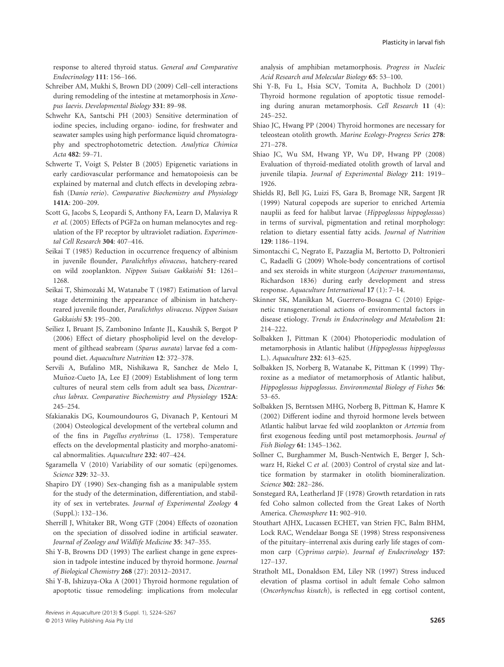response to altered thyroid status. General and Comparative Endocrinology 111: 156–166.

- Schreiber AM, Mukhi S, Brown DD (2009) Cell–cell interactions during remodeling of the intestine at metamorphosis in Xenopus laevis. Developmental Biology 331: 89–98.
- Schwehr KA, Santschi PH (2003) Sensitive determination of iodine species, including organo- iodine, for freshwater and seawater samples using high performance liquid chromatography and spectrophotometric detection. Analytica Chimica Acta 482: 59–71.
- Schwerte T, Voigt S, Pelster B (2005) Epigenetic variations in early cardiovascular performance and hematopoiesis can be explained by maternal and clutch effects in developing zebrafish (Danio rerio). Comparative Biochemistry and Physiology 141A: 200–209.
- Scott G, Jacobs S, Leopardi S, Anthony FA, Learn D, Malaviya R et al. (2005) Effects of PGF2a on human melanocytes and regulation of the FP receptor by ultraviolet radiation. Experimental Cell Research 304: 407–416.
- Seikai T (1985) Reduction in occurrence frequency of albinism in juvenile flounder, Paralichthys olivaceus, hatchery-reared on wild zooplankton. Nippon Suisan Gakkaishi 51: 1261– 1268.
- Seikai T, Shimozaki M, Watanabe T (1987) Estimation of larval stage determining the appearance of albinism in hatcheryreared juvenile flounder, Paralichthys olivaceus. Nippon Suisan Gakkaishi 53: 195–200.
- Seiliez I, Bruant JS, Zambonino Infante JL, Kaushik S, Bergot P (2006) Effect of dietary phospholipid level on the development of gilthead seabream (Sparus aurata) larvae fed a compound diet. Aquaculture Nutrition 12: 372–378.
- Servili A, Bufalino MR, Nishikawa R, Sanchez de Melo I, Munoz-Cueto JA, Lee EJ (2009) Establishment of long term ~ cultures of neural stem cells from adult sea bass, Dicentrarchus labrax. Comparative Biochemistry and Physiology 152A: 245–254.
- Sfakianakis DG, Koumoundouros G, Divanach P, Kentouri M (2004) Osteological development of the vertebral column and of the fins in Pagellus erythrinus (L. 1758). Temperature effects on the developmental plasticity and morpho-anatomical abnormalities. Aquaculture 232: 407–424.
- Sgaramella V (2010) Variability of our somatic (epi)genomes. Science 329: 32–33.
- Shapiro DY (1990) Sex-changing fish as a manipulable system for the study of the determination, differentiation, and stability of sex in vertebrates. Journal of Experimental Zoology 4 (Suppl.): 132–136.
- Sherrill J, Whitaker BR, Wong GTF (2004) Effects of ozonation on the speciation of dissolved iodine in artificial seawater. Journal of Zoology and Wildlife Medicine 35: 347–355.
- Shi Y-B, Browns DD (1993) The earliest change in gene expression in tadpole intestine induced by thyroid hormone. Journal of Biological Chemistry 268 (27): 20312–20317.
- Shi Y-B, Ishizuya-Oka A (2001) Thyroid hormone regulation of apoptotic tissue remodeling: implications from molecular

analysis of amphibian metamorphosis. Progress in Nucleic Acid Research and Molecular Biology 65: 53–100.

- Shi Y-B, Fu L, Hsia SCV, Tomita A, Buchholz D (2001) Thyroid hormone regulation of apoptotic tissue remodeling during anuran metamorphosis. Cell Research 11 (4): 245–252.
- Shiao JC, Hwang PP (2004) Thyroid hormones are necessary for teleostean otolith growth. Marine Ecology-Progress Series 278: 271–278.
- Shiao JC, Wu SM, Hwang YP, Wu DP, Hwang PP (2008) Evaluation of thyroid-mediated otolith growth of larval and juvenile tilapia. Journal of Experimental Biology 211: 1919– 1926.
- Shields RJ, Bell JG, Luizi FS, Gara B, Bromage NR, Sargent JR (1999) Natural copepods are superior to enriched Artemia nauplii as feed for halibut larvae (Hippoglossus hippoglossus) in terms of survival, pigmentation and retinal morphology: relation to dietary essential fatty acids. Journal of Nutrition 129: 1186–1194.
- Simontacchi C, Negrato E, Pazzaglia M, Bertotto D, Poltronieri C, Radaelli G (2009) Whole-body concentrations of cortisol and sex steroids in white sturgeon (Acipenser transmontanus, Richardson 1836) during early development and stress response. Aquaculture International 17 (1): 7–14.
- Skinner SK, Manikkan M, Guerrero-Bosagna C (2010) Epigenetic transgenerational actions of environmental factors in disease etiology. Trends in Endocrinology and Metabolism 21: 214–222.
- Solbakken J, Pittman K (2004) Photoperiodic modulation of metamorphosis in Atlantic halibut (Hippoglossus hippoglossus L.). Aquaculture 232: 613–625.
- Solbakken JS, Norberg B, Watanabe K, Pittman K (1999) Thyroxine as a mediator of metamorphosis of Atlantic halibut, Hippoglossus hippoglossus. Environmental Biology of Fishes 56: 53–65.
- Solbakken JS, Berntssen MHG, Norberg B, Pittman K, Hamre K (2002) Different iodine and thyroid hormone levels between Atlantic halibut larvae fed wild zooplankton or Artemia from first exogenous feeding until post metamorphosis. Journal of Fish Biology 61: 1345–1362.
- Sollner C, Burghammer M, Busch-Nentwich E, Berger J, Schwarz H, Riekel C et al. (2003) Control of crystal size and lattice formation by starmaker in otolith biomineralization. Science 302: 282–286.
- Sonstegard RA, Leatherland JF (1978) Growth retardation in rats fed Coho salmon collected from the Great Lakes of North America. Chemosphere 11: 902–910.
- Stouthart AJHX, Lucassen ECHET, van Strien FJC, Balm BHM, Lock RAC, Wendelaar Bonga SE (1998) Stress responsiveness of the pituitary–interrenal axis during early life stages of common carp (Cyprinus carpio). Journal of Endocrinology 157: 127–137.
- Stratholt ML, Donaldson EM, Liley NR (1997) Stress induced elevation of plasma cortisol in adult female Coho salmon (Oncorhynchus kisutch), is reflected in egg cortisol content,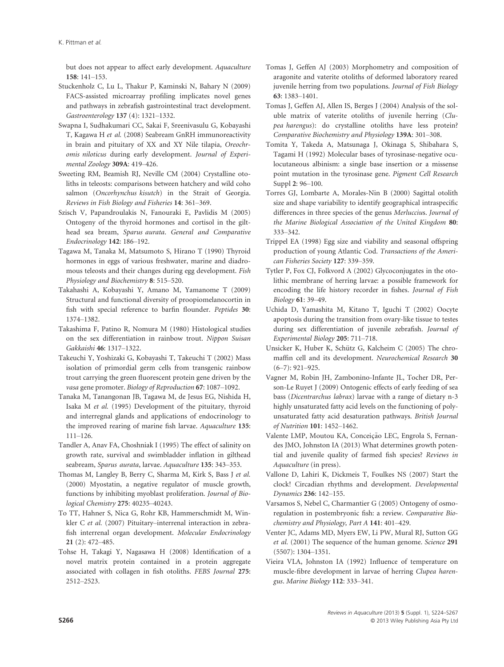but does not appear to affect early development. Aquaculture 158: 141–153.

Stuckenholz C, Lu L, Thakur P, Kaminski N, Bahary N (2009) FACS-assisted microarray profiling implicates novel genes and pathways in zebrafish gastrointestinal tract development. Gastroenterology 137 (4): 1321–1332.

Swapna I, Sudhakumari CC, Sakai F, Sreenivasulu G, Kobayashi T, Kagawa H et al. (2008) Seabream GnRH immunoreactivity in brain and pituitary of XX and XY Nile tilapia, Oreochromis niloticus during early development. Journal of Experimental Zoology 309A: 419–426.

Sweeting RM, Beamish RJ, Neville CM (2004) Crystalline otoliths in teleosts: comparisons between hatchery and wild coho salmon (Oncorhynchus kisutch) in the Strait of Georgia. Reviews in Fish Biology and Fisheries 14: 361–369.

Szisch V, Papandroulakis N, Fanouraki E, Pavlidis M (2005) Ontogeny of the thyroid hormones and cortisol in the gilthead sea bream, Sparus aurata. General and Comparative Endocrinology 142: 186–192.

Tagawa M, Tanaka M, Matsumoto S, Hirano T (1990) Thyroid hormones in eggs of various freshwater, marine and diadromous teleosts and their changes during egg development. Fish Physiology and Biochemistry 8: 515–520.

Takahashi A, Kobayashi Y, Amano M, Yamanome T (2009) Structural and functional diversity of proopiomelanocortin in fish with special reference to barfin flounder. Peptides 30: 1374–1382.

Takashima F, Patino R, Nomura M (1980) Histological studies on the sex differentiation in rainbow trout. Nippon Suisan Gakkaishi 46: 1317–1322.

Takeuchi Y, Yoshizaki G, Kobayashi T, Takeuchi T (2002) Mass isolation of primordial germ cells from transgenic rainbow trout carrying the green fluorescent protein gene driven by the vasa gene promoter. Biology of Reproduction 67: 1087–1092.

Tanaka M, Tanangonan JB, Tagawa M, de Jesus EG, Nishida H, Isaka M et al. (1995) Development of the pituitary, thyroid and interregnal glands and applications of endocrinology to the improved rearing of marine fish larvae. Aquaculture 135: 111–126.

Tandler A, Anav FA, Choshniak I (1995) The effect of salinity on growth rate, survival and swimbladder inflation in gilthead seabream, Sparus aurata, larvae. Aquaculture 135: 343–353.

Thomas M, Langley B, Berry C, Sharma M, Kirk S, Bass J et al. (2000) Myostatin, a negative regulator of muscle growth, functions by inhibiting myoblast proliferation. Journal of Biological Chemistry 275: 40235–40243.

To TT, Hahner S, Nica G, Rohr KB, Hammerschmidt M, Winkler C et al. (2007) Pituitary–interrenal interaction in zebrafish interrenal organ development. Molecular Endocrinology 21 (2): 472–485.

Tohse H, Takagi Y, Nagasawa H (2008) Identification of a novel matrix protein contained in a protein aggregate associated with collagen in fish otoliths. FEBS Journal 275: 2512–2523.

Tomas J, Geffen AJ (2003) Morphometry and composition of aragonite and vaterite otoliths of deformed laboratory reared juvenile herring from two populations. Journal of Fish Biology 63: 1383–1401.

Tomas J, Geffen AJ, Allen IS, Berges J (2004) Analysis of the soluble matrix of vaterite otoliths of juvenile herring (Clupea harengus): do crystalline otoliths have less protein? Comparative Biochemistry and Physiology 139A: 301–308.

Tomita Y, Takeda A, Matsunaga J, Okinaga S, Shibahara S, Tagami H (1992) Molecular bases of tyrosinase-negative oculocutaneous albinism: a single base insertion or a missense point mutation in the tyrosinase gene. Pigment Cell Research Suppl 2: 96–100.

Torres GJ, Lombarte A, Morales-Nin B (2000) Sagittal otolith size and shape variability to identify geographical intraspecific differences in three species of the genus Merluccius. Journal of the Marine Biological Association of the United Kingdom 80: 333–342.

Trippel EA (1998) Egg size and viability and seasonal offspring production of young Atlantic Cod. Transactions of the American Fisheries Society 127: 339–359.

Tytler P, Fox CJ, Folkvord A (2002) Glycoconjugates in the otolithic membrane of herring larvae: a possible framework for encoding the life history recorder in fishes. Journal of Fish Biology 61: 39–49.

Uchida D, Yamashita M, Kitano T, Iguchi T (2002) Oocyte apoptosis during the transition from ovary-like tissue to testes during sex differentiation of juvenile zebrafish. Journal of Experimental Biology 205: 711–718.

Unsicker K, Huber K, Schütz G, Kalcheim C (2005) The chromaffin cell and its development. Neurochemical Research 30 (6–7): 921–925.

Vagner M, Robin JH, Zambonino-Infante JL, Tocher DR, Person-Le Ruyet J (2009) Ontogenic effects of early feeding of sea bass (Dicentrarchus labrax) larvae with a range of dietary n-3 highly unsaturated fatty acid levels on the functioning of polyunsaturated fatty acid desaturation pathways. British Journal of Nutrition 101: 1452–1462.

Valente LMP, Moutou KA, Conceição LEC, Engrola S, Fernandes JMO, Johnston IA (2013) What determines growth potential and juvenile quality of farmed fish species? Reviews in Aquaculture (in press).

Vallone D, Lahiri K, Dickmeis T, Foulkes NS (2007) Start the clock! Circadian rhythms and development. Developmental Dynamics 236: 142–155.

Varsamos S, Nebel C, Charmantier G (2005) Ontogeny of osmoregulation in postembryonic fish: a review. Comparative Biochemistry and Physiology, Part A 141: 401–429.

Venter JC, Adams MD, Myers EW, Li PW, Mural RJ, Sutton GG et al. (2001) The sequence of the human genome. Science 291 (5507): 1304–1351.

Vieira VLA, Johnston IA (1992) Influence of temperature on muscle-fibre development in larvae of herring Clupea harengus. Marine Biology 112: 333–341.